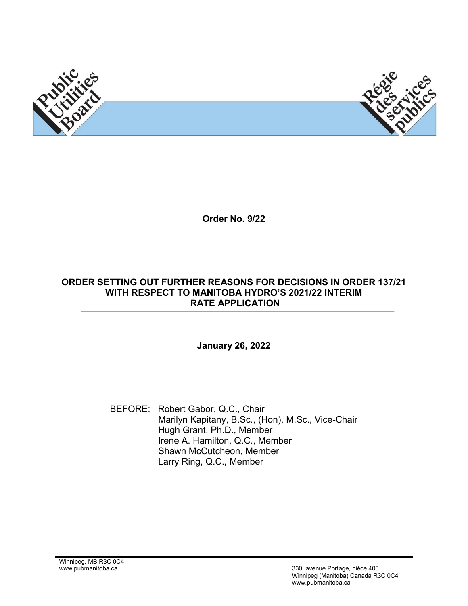



**Order No. 9/22**

#### **ORDER SETTING OUT FURTHER REASONS FOR DECISIONS IN ORDER 137/21 WITH RESPECT TO MANITOBA HYDRO'S 2021/22 INTERIM RATE APPLICATION**

#### **January 26, 2022**

BEFORE: Robert Gabor, Q.C., Chair Marilyn Kapitany, B.Sc., (Hon), M.Sc., Vice-Chair Hugh Grant, Ph.D., Member Irene A. Hamilton, Q.C., Member Shawn McCutcheon, Member Larry Ring, Q.C., Member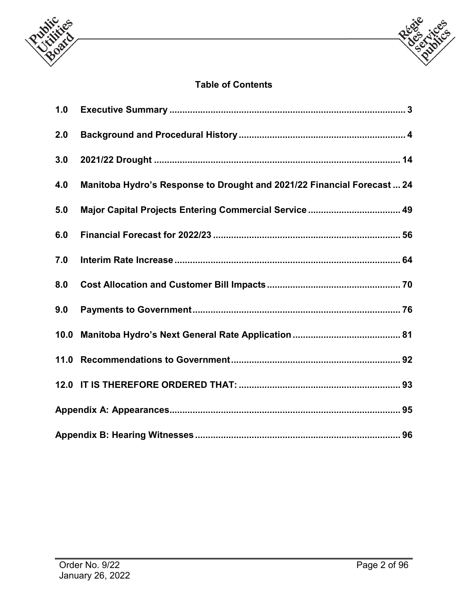



# **Table of Contents**

| 1.0  |                                                                        |  |  |  |
|------|------------------------------------------------------------------------|--|--|--|
| 2.0  |                                                                        |  |  |  |
| 3.0  |                                                                        |  |  |  |
| 4.0  | Manitoba Hydro's Response to Drought and 2021/22 Financial Forecast 24 |  |  |  |
| 5.0  | Major Capital Projects Entering Commercial Service 49                  |  |  |  |
| 6.0  |                                                                        |  |  |  |
| 7.0  |                                                                        |  |  |  |
| 8.0  |                                                                        |  |  |  |
| 9.0  |                                                                        |  |  |  |
| 10.0 |                                                                        |  |  |  |
| 11.0 |                                                                        |  |  |  |
|      |                                                                        |  |  |  |
|      |                                                                        |  |  |  |
|      |                                                                        |  |  |  |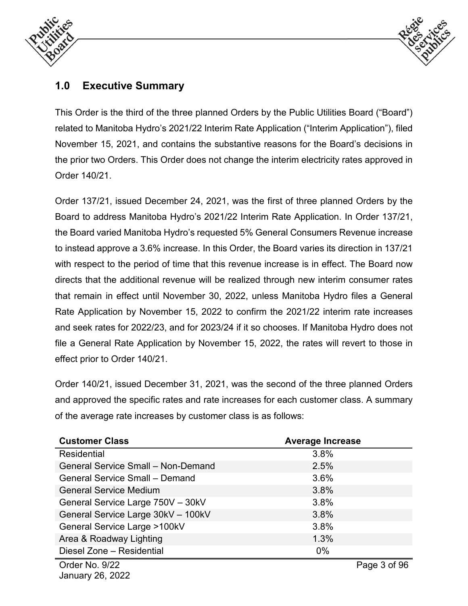



# <span id="page-2-0"></span>**1.0 Executive Summary**

This Order is the third of the three planned Orders by the Public Utilities Board ("Board") related to Manitoba Hydro's 2021/22 Interim Rate Application ("Interim Application"), filed November 15, 2021, and contains the substantive reasons for the Board's decisions in the prior two Orders. This Order does not change the interim electricity rates approved in Order 140/21.

Order 137/21, issued December 24, 2021, was the first of three planned Orders by the Board to address Manitoba Hydro's 2021/22 Interim Rate Application. In Order 137/21, the Board varied Manitoba Hydro's requested 5% General Consumers Revenue increase to instead approve a 3.6% increase. In this Order, the Board varies its direction in 137/21 with respect to the period of time that this revenue increase is in effect. The Board now directs that the additional revenue will be realized through new interim consumer rates that remain in effect until November 30, 2022, unless Manitoba Hydro files a General Rate Application by November 15, 2022 to confirm the 2021/22 interim rate increases and seek rates for 2022/23, and for 2023/24 if it so chooses. If Manitoba Hydro does not file a General Rate Application by November 15, 2022, the rates will revert to those in effect prior to Order 140/21.

Order 140/21, issued December 31, 2021, was the second of the three planned Orders and approved the specific rates and rate increases for each customer class. A summary of the average rate increases by customer class is as follows:

| <b>Customer Class</b>                     | <b>Average Increase</b> |
|-------------------------------------------|-------------------------|
| <b>Residential</b>                        | 3.8%                    |
| <b>General Service Small - Non-Demand</b> | 2.5%                    |
| <b>General Service Small - Demand</b>     | 3.6%                    |
| <b>General Service Medium</b>             | 3.8%                    |
| General Service Large 750V - 30kV         | 3.8%                    |
| General Service Large 30kV - 100kV        | 3.8%                    |
| <b>General Service Large &gt;100kV</b>    | 3.8%                    |
| Area & Roadway Lighting                   | 1.3%                    |
| Diesel Zone - Residential                 | $0\%$                   |
| Order No. 9/22                            | Page 3 of 96            |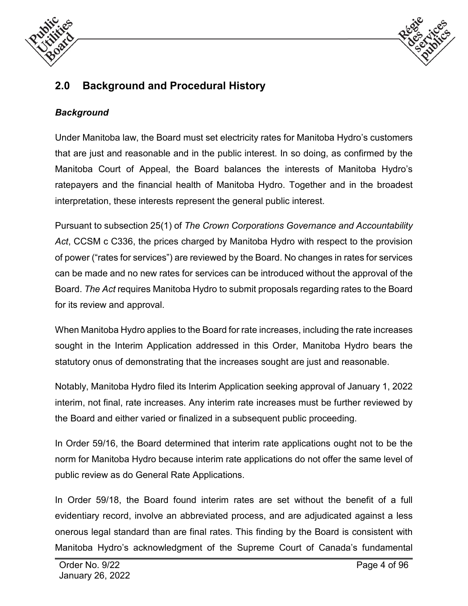



# <span id="page-3-0"></span>**2.0 Background and Procedural History**

# *Background*

Under Manitoba law, the Board must set electricity rates for Manitoba Hydro's customers that are just and reasonable and in the public interest. In so doing, as confirmed by the Manitoba Court of Appeal, the Board balances the interests of Manitoba Hydro's ratepayers and the financial health of Manitoba Hydro. Together and in the broadest interpretation, these interests represent the general public interest.

Pursuant to subsection 25(1) of *The Crown Corporations Governance and Accountability Act*, CCSM c C336, the prices charged by Manitoba Hydro with respect to the provision of power ("rates for services") are reviewed by the Board. No changes in rates for services can be made and no new rates for services can be introduced without the approval of the Board. *The Act* requires Manitoba Hydro to submit proposals regarding rates to the Board for its review and approval.

When Manitoba Hydro applies to the Board for rate increases, including the rate increases sought in the Interim Application addressed in this Order, Manitoba Hydro bears the statutory onus of demonstrating that the increases sought are just and reasonable.

Notably, Manitoba Hydro filed its Interim Application seeking approval of January 1, 2022 interim, not final, rate increases. Any interim rate increases must be further reviewed by the Board and either varied or finalized in a subsequent public proceeding.

In Order 59/16, the Board determined that interim rate applications ought not to be the norm for Manitoba Hydro because interim rate applications do not offer the same level of public review as do General Rate Applications.

In Order 59/18, the Board found interim rates are set without the benefit of a full evidentiary record, involve an abbreviated process, and are adjudicated against a less onerous legal standard than are final rates. This finding by the Board is consistent with Manitoba Hydro's acknowledgment of the Supreme Court of Canada's fundamental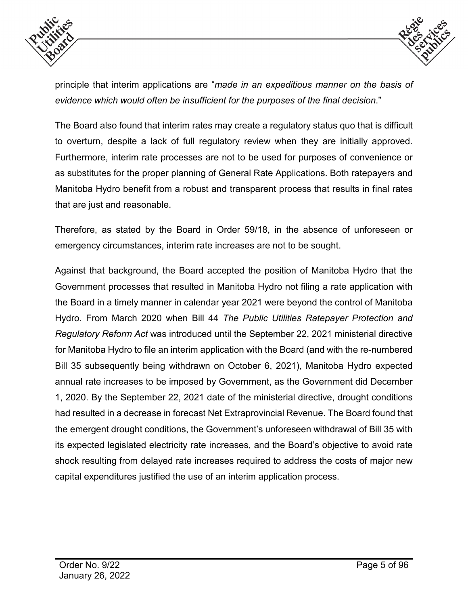



principle that interim applications are "*made in an expeditious manner on the basis of evidence which would often be insufficient for the purposes of the final decision*."

The Board also found that interim rates may create a regulatory status quo that is difficult to overturn, despite a lack of full regulatory review when they are initially approved. Furthermore, interim rate processes are not to be used for purposes of convenience or as substitutes for the proper planning of General Rate Applications. Both ratepayers and Manitoba Hydro benefit from a robust and transparent process that results in final rates that are just and reasonable.

Therefore, as stated by the Board in Order 59/18, in the absence of unforeseen or emergency circumstances, interim rate increases are not to be sought.

Against that background, the Board accepted the position of Manitoba Hydro that the Government processes that resulted in Manitoba Hydro not filing a rate application with the Board in a timely manner in calendar year 2021 were beyond the control of Manitoba Hydro. From March 2020 when Bill 44 *The Public Utilities Ratepayer Protection and Regulatory Reform Act* was introduced until the September 22, 2021 ministerial directive for Manitoba Hydro to file an interim application with the Board (and with the re-numbered Bill 35 subsequently being withdrawn on October 6, 2021), Manitoba Hydro expected annual rate increases to be imposed by Government, as the Government did December 1, 2020. By the September 22, 2021 date of the ministerial directive, drought conditions had resulted in a decrease in forecast Net Extraprovincial Revenue. The Board found that the emergent drought conditions, the Government's unforeseen withdrawal of Bill 35 with its expected legislated electricity rate increases, and the Board's objective to avoid rate shock resulting from delayed rate increases required to address the costs of major new capital expenditures justified the use of an interim application process.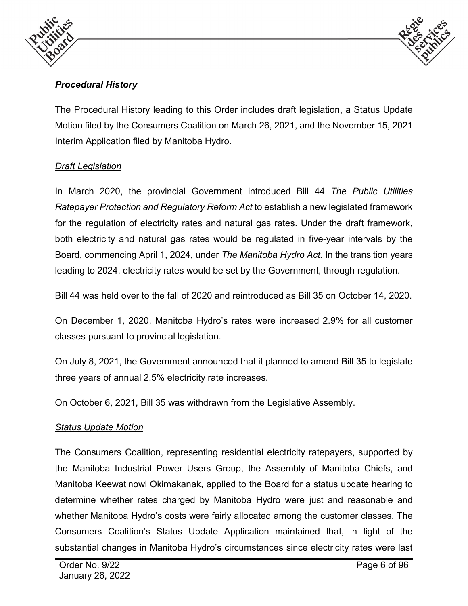



# *Procedural History*

The Procedural History leading to this Order includes draft legislation, a Status Update Motion filed by the Consumers Coalition on March 26, 2021, and the November 15, 2021 Interim Application filed by Manitoba Hydro.

#### *Draft Legislation*

In March 2020, the provincial Government introduced Bill 44 *The Public Utilities Ratepayer Protection and Regulatory Reform Act* to establish a new legislated framework for the regulation of electricity rates and natural gas rates. Under the draft framework, both electricity and natural gas rates would be regulated in five-year intervals by the Board, commencing April 1, 2024, under *The Manitoba Hydro Act.* In the transition years leading to 2024, electricity rates would be set by the Government, through regulation.

Bill 44 was held over to the fall of 2020 and reintroduced as Bill 35 on October 14, 2020.

On December 1, 2020, Manitoba Hydro's rates were increased 2.9% for all customer classes pursuant to provincial legislation.

On July 8, 2021, the Government announced that it planned to amend Bill 35 to legislate three years of annual 2.5% electricity rate increases.

On October 6, 2021, Bill 35 was withdrawn from the Legislative Assembly.

#### *Status Update Motion*

The Consumers Coalition, representing residential electricity ratepayers, supported by the Manitoba Industrial Power Users Group, the Assembly of Manitoba Chiefs, and Manitoba Keewatinowi Okimakanak, applied to the Board for a status update hearing to determine whether rates charged by Manitoba Hydro were just and reasonable and whether Manitoba Hydro's costs were fairly allocated among the customer classes. The Consumers Coalition's Status Update Application maintained that, in light of the substantial changes in Manitoba Hydro's circumstances since electricity rates were last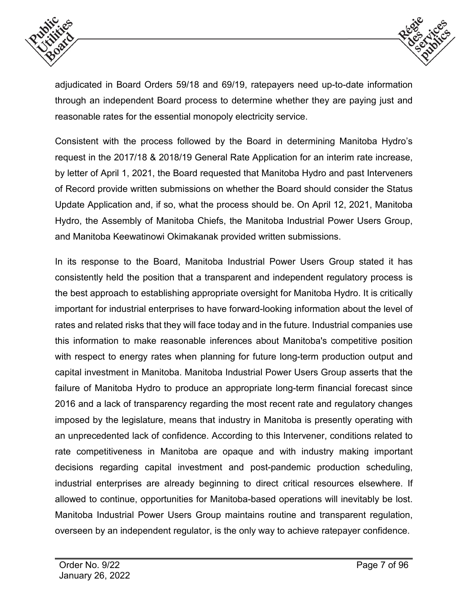



adjudicated in Board Orders 59/18 and 69/19, ratepayers need up-to-date information through an independent Board process to determine whether they are paying just and reasonable rates for the essential monopoly electricity service.

Consistent with the process followed by the Board in determining Manitoba Hydro's request in the 2017/18 & 2018/19 General Rate Application for an interim rate increase, by letter of April 1, 2021, the Board requested that Manitoba Hydro and past Interveners of Record provide written submissions on whether the Board should consider the Status Update Application and, if so, what the process should be. On April 12, 2021, Manitoba Hydro, the Assembly of Manitoba Chiefs, the Manitoba Industrial Power Users Group, and Manitoba Keewatinowi Okimakanak provided written submissions.

In its response to the Board, Manitoba Industrial Power Users Group stated it has consistently held the position that a transparent and independent regulatory process is the best approach to establishing appropriate oversight for Manitoba Hydro. It is critically important for industrial enterprises to have forward-looking information about the level of rates and related risks that they will face today and in the future. Industrial companies use this information to make reasonable inferences about Manitoba's competitive position with respect to energy rates when planning for future long-term production output and capital investment in Manitoba. Manitoba Industrial Power Users Group asserts that the failure of Manitoba Hydro to produce an appropriate long-term financial forecast since 2016 and a lack of transparency regarding the most recent rate and regulatory changes imposed by the legislature, means that industry in Manitoba is presently operating with an unprecedented lack of confidence. According to this Intervener, conditions related to rate competitiveness in Manitoba are opaque and with industry making important decisions regarding capital investment and post-pandemic production scheduling, industrial enterprises are already beginning to direct critical resources elsewhere. If allowed to continue, opportunities for Manitoba-based operations will inevitably be lost. Manitoba Industrial Power Users Group maintains routine and transparent regulation, overseen by an independent regulator, is the only way to achieve ratepayer confidence.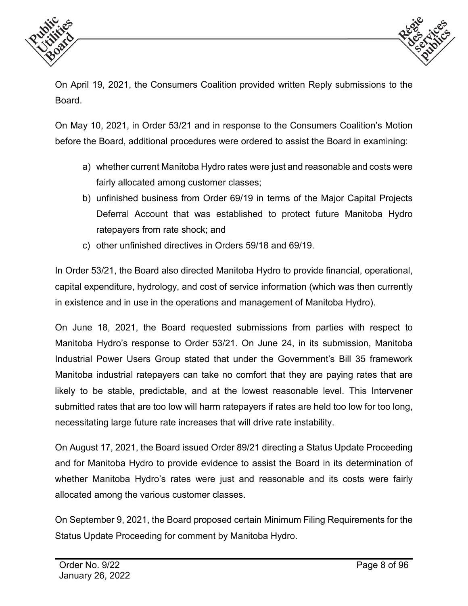



On April 19, 2021, the Consumers Coalition provided written Reply submissions to the Board.

On May 10, 2021, in Order 53/21 and in response to the Consumers Coalition's Motion before the Board, additional procedures were ordered to assist the Board in examining:

- a) whether current Manitoba Hydro rates were just and reasonable and costs were fairly allocated among customer classes;
- b) unfinished business from Order 69/19 in terms of the Major Capital Projects Deferral Account that was established to protect future Manitoba Hydro ratepayers from rate shock; and
- c) other unfinished directives in Orders 59/18 and 69/19.

In Order 53/21, the Board also directed Manitoba Hydro to provide financial, operational, capital expenditure, hydrology, and cost of service information (which was then currently in existence and in use in the operations and management of Manitoba Hydro).

On June 18, 2021, the Board requested submissions from parties with respect to Manitoba Hydro's response to Order 53/21. On June 24, in its submission, Manitoba Industrial Power Users Group stated that under the Government's Bill 35 framework Manitoba industrial ratepayers can take no comfort that they are paying rates that are likely to be stable, predictable, and at the lowest reasonable level. This Intervener submitted rates that are too low will harm ratepayers if rates are held too low for too long, necessitating large future rate increases that will drive rate instability.

On August 17, 2021, the Board issued Order 89/21 directing a Status Update Proceeding and for Manitoba Hydro to provide evidence to assist the Board in its determination of whether Manitoba Hydro's rates were just and reasonable and its costs were fairly allocated among the various customer classes.

On September 9, 2021, the Board proposed certain Minimum Filing Requirements for the Status Update Proceeding for comment by Manitoba Hydro.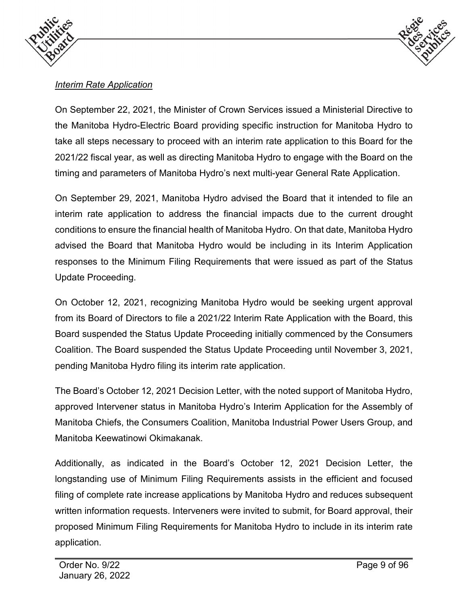



# *Interim Rate Application*

On September 22, 2021, the Minister of Crown Services issued a Ministerial Directive to the Manitoba Hydro-Electric Board providing specific instruction for Manitoba Hydro to take all steps necessary to proceed with an interim rate application to this Board for the 2021/22 fiscal year, as well as directing Manitoba Hydro to engage with the Board on the timing and parameters of Manitoba Hydro's next multi-year General Rate Application.

On September 29, 2021, Manitoba Hydro advised the Board that it intended to file an interim rate application to address the financial impacts due to the current drought conditions to ensure the financial health of Manitoba Hydro. On that date, Manitoba Hydro advised the Board that Manitoba Hydro would be including in its Interim Application responses to the Minimum Filing Requirements that were issued as part of the Status Update Proceeding.

On October 12, 2021, recognizing Manitoba Hydro would be seeking urgent approval from its Board of Directors to file a 2021/22 Interim Rate Application with the Board, this Board suspended the Status Update Proceeding initially commenced by the Consumers Coalition. The Board suspended the Status Update Proceeding until November 3, 2021, pending Manitoba Hydro filing its interim rate application.

The Board's October 12, 2021 Decision Letter, with the noted support of Manitoba Hydro, approved Intervener status in Manitoba Hydro's Interim Application for the Assembly of Manitoba Chiefs, the Consumers Coalition, Manitoba Industrial Power Users Group, and Manitoba Keewatinowi Okimakanak.

Additionally, as indicated in the Board's October 12, 2021 Decision Letter, the longstanding use of Minimum Filing Requirements assists in the efficient and focused filing of complete rate increase applications by Manitoba Hydro and reduces subsequent written information requests. Interveners were invited to submit, for Board approval, their proposed Minimum Filing Requirements for Manitoba Hydro to include in its interim rate application.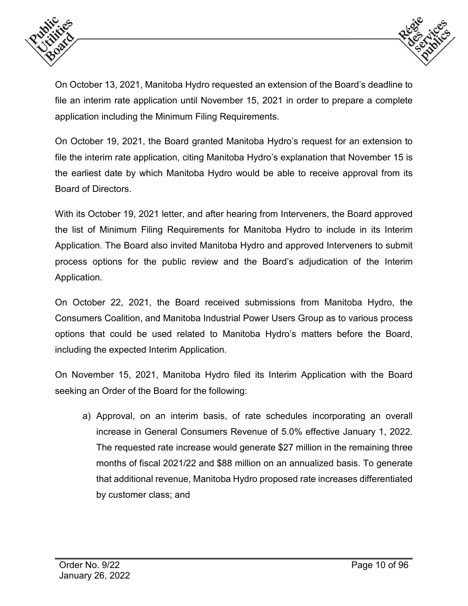



On October 13, 2021, Manitoba Hydro requested an extension of the Board's deadline to file an interim rate application until November 15, 2021 in order to prepare a complete application including the Minimum Filing Requirements.

On October 19, 2021, the Board granted Manitoba Hydro's request for an extension to file the interim rate application, citing Manitoba Hydro's explanation that November 15 is the earliest date by which Manitoba Hydro would be able to receive approval from its Board of Directors.

With its October 19, 2021 letter, and after hearing from Interveners, the Board approved the list of Minimum Filing Requirements for Manitoba Hydro to include in its Interim Application. The Board also invited Manitoba Hydro and approved Interveners to submit process options for the public review and the Board's adjudication of the Interim Application.

On October 22, 2021, the Board received submissions from Manitoba Hydro, the Consumers Coalition, and Manitoba Industrial Power Users Group as to various process options that could be used related to Manitoba Hydro's matters before the Board, including the expected Interim Application.

On November 15, 2021, Manitoba Hydro filed its Interim Application with the Board seeking an Order of the Board for the following:

a) Approval, on an interim basis, of rate schedules incorporating an overall increase in General Consumers Revenue of 5.0% effective January 1, 2022. The requested rate increase would generate \$27 million in the remaining three months of fiscal 2021/22 and \$88 million on an annualized basis. To generate that additional revenue, Manitoba Hydro proposed rate increases differentiated by customer class; and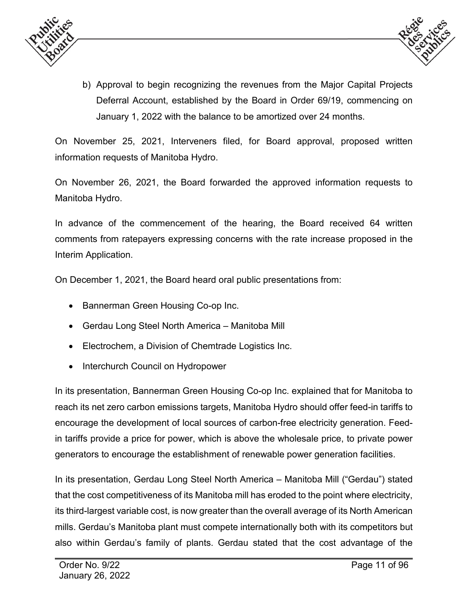



b) Approval to begin recognizing the revenues from the Major Capital Projects Deferral Account, established by the Board in Order 69/19, commencing on January 1, 2022 with the balance to be amortized over 24 months.

On November 25, 2021, Interveners filed, for Board approval, proposed written information requests of Manitoba Hydro.

On November 26, 2021, the Board forwarded the approved information requests to Manitoba Hydro.

In advance of the commencement of the hearing, the Board received 64 written comments from ratepayers expressing concerns with the rate increase proposed in the Interim Application.

On December 1, 2021, the Board heard oral public presentations from:

- Bannerman Green Housing Co-op Inc.
- Gerdau Long Steel North America Manitoba Mill
- Electrochem, a Division of Chemtrade Logistics Inc.
- Interchurch Council on Hydropower

In its presentation, Bannerman Green Housing Co-op Inc. explained that for Manitoba to reach its net zero carbon emissions targets, Manitoba Hydro should offer feed-in tariffs to encourage the development of local sources of carbon-free electricity generation. Feedin tariffs provide a price for power, which is above the wholesale price, to private power generators to encourage the establishment of renewable power generation facilities.

In its presentation, Gerdau Long Steel North America – Manitoba Mill ("Gerdau") stated that the cost competitiveness of its Manitoba mill has eroded to the point where electricity, its third-largest variable cost, is now greater than the overall average of its North American mills. Gerdau's Manitoba plant must compete internationally both with its competitors but also within Gerdau's family of plants. Gerdau stated that the cost advantage of the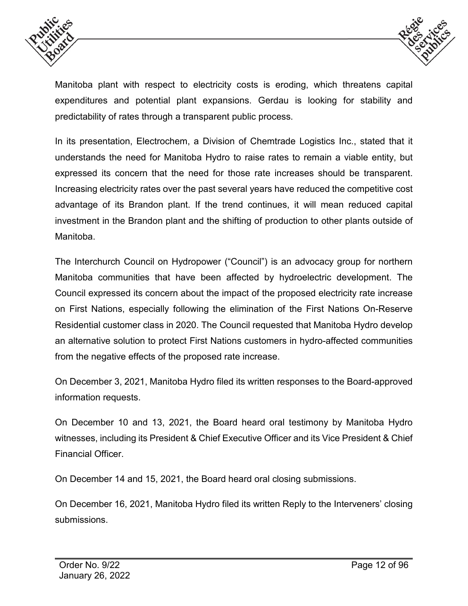



Manitoba plant with respect to electricity costs is eroding, which threatens capital expenditures and potential plant expansions. Gerdau is looking for stability and predictability of rates through a transparent public process.

In its presentation, Electrochem, a Division of Chemtrade Logistics Inc., stated that it understands the need for Manitoba Hydro to raise rates to remain a viable entity, but expressed its concern that the need for those rate increases should be transparent. Increasing electricity rates over the past several years have reduced the competitive cost advantage of its Brandon plant. If the trend continues, it will mean reduced capital investment in the Brandon plant and the shifting of production to other plants outside of Manitoba.

The Interchurch Council on Hydropower ("Council") is an advocacy group for northern Manitoba communities that have been affected by hydroelectric development. The Council expressed its concern about the impact of the proposed electricity rate increase on First Nations, especially following the elimination of the First Nations On-Reserve Residential customer class in 2020. The Council requested that Manitoba Hydro develop an alternative solution to protect First Nations customers in hydro-affected communities from the negative effects of the proposed rate increase.

On December 3, 2021, Manitoba Hydro filed its written responses to the Board-approved information requests.

On December 10 and 13, 2021, the Board heard oral testimony by Manitoba Hydro witnesses, including its President & Chief Executive Officer and its Vice President & Chief Financial Officer.

On December 14 and 15, 2021, the Board heard oral closing submissions.

On December 16, 2021, Manitoba Hydro filed its written Reply to the Interveners' closing submissions.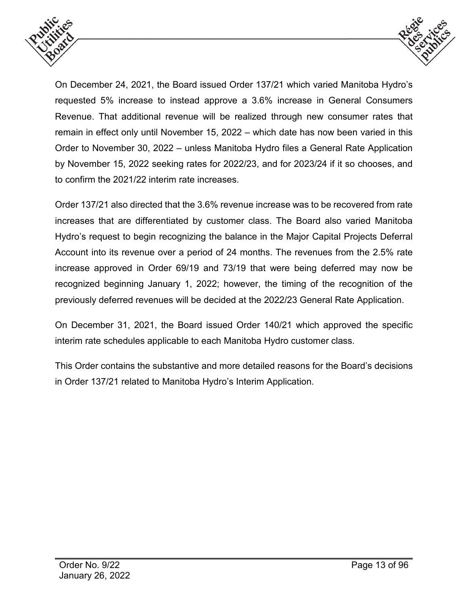



On December 24, 2021, the Board issued Order 137/21 which varied Manitoba Hydro's requested 5% increase to instead approve a 3.6% increase in General Consumers Revenue. That additional revenue will be realized through new consumer rates that remain in effect only until November 15, 2022 – which date has now been varied in this Order to November 30, 2022 – unless Manitoba Hydro files a General Rate Application by November 15, 2022 seeking rates for 2022/23, and for 2023/24 if it so chooses, and to confirm the 2021/22 interim rate increases.

Order 137/21 also directed that the 3.6% revenue increase was to be recovered from rate increases that are differentiated by customer class. The Board also varied Manitoba Hydro's request to begin recognizing the balance in the Major Capital Projects Deferral Account into its revenue over a period of 24 months. The revenues from the 2.5% rate increase approved in Order 69/19 and 73/19 that were being deferred may now be recognized beginning January 1, 2022; however, the timing of the recognition of the previously deferred revenues will be decided at the 2022/23 General Rate Application.

On December 31, 2021, the Board issued Order 140/21 which approved the specific interim rate schedules applicable to each Manitoba Hydro customer class.

This Order contains the substantive and more detailed reasons for the Board's decisions in Order 137/21 related to Manitoba Hydro's Interim Application.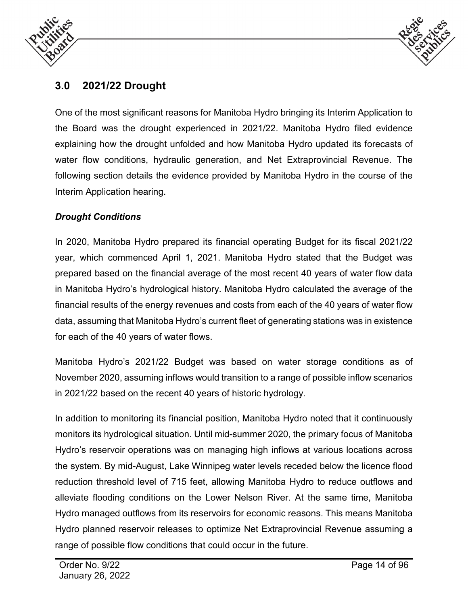



# <span id="page-13-0"></span>**3.0 2021/22 Drought**

One of the most significant reasons for Manitoba Hydro bringing its Interim Application to the Board was the drought experienced in 2021/22. Manitoba Hydro filed evidence explaining how the drought unfolded and how Manitoba Hydro updated its forecasts of water flow conditions, hydraulic generation, and Net Extraprovincial Revenue. The following section details the evidence provided by Manitoba Hydro in the course of the Interim Application hearing.

#### *Drought Conditions*

In 2020, Manitoba Hydro prepared its financial operating Budget for its fiscal 2021/22 year, which commenced April 1, 2021. Manitoba Hydro stated that the Budget was prepared based on the financial average of the most recent 40 years of water flow data in Manitoba Hydro's hydrological history. Manitoba Hydro calculated the average of the financial results of the energy revenues and costs from each of the 40 years of water flow data, assuming that Manitoba Hydro's current fleet of generating stations was in existence for each of the 40 years of water flows.

Manitoba Hydro's 2021/22 Budget was based on water storage conditions as of November 2020, assuming inflows would transition to a range of possible inflow scenarios in 2021/22 based on the recent 40 years of historic hydrology.

In addition to monitoring its financial position, Manitoba Hydro noted that it continuously monitors its hydrological situation. Until mid-summer 2020, the primary focus of Manitoba Hydro's reservoir operations was on managing high inflows at various locations across the system. By mid-August, Lake Winnipeg water levels receded below the licence flood reduction threshold level of 715 feet, allowing Manitoba Hydro to reduce outflows and alleviate flooding conditions on the Lower Nelson River. At the same time, Manitoba Hydro managed outflows from its reservoirs for economic reasons. This means Manitoba Hydro planned reservoir releases to optimize Net Extraprovincial Revenue assuming a range of possible flow conditions that could occur in the future.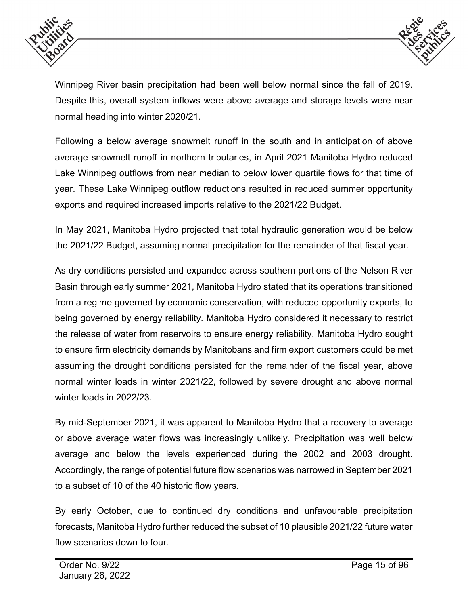



Winnipeg River basin precipitation had been well below normal since the fall of 2019. Despite this, overall system inflows were above average and storage levels were near normal heading into winter 2020/21.

Following a below average snowmelt runoff in the south and in anticipation of above average snowmelt runoff in northern tributaries, in April 2021 Manitoba Hydro reduced Lake Winnipeg outflows from near median to below lower quartile flows for that time of year. These Lake Winnipeg outflow reductions resulted in reduced summer opportunity exports and required increased imports relative to the 2021/22 Budget.

In May 2021, Manitoba Hydro projected that total hydraulic generation would be below the 2021/22 Budget, assuming normal precipitation for the remainder of that fiscal year.

As dry conditions persisted and expanded across southern portions of the Nelson River Basin through early summer 2021, Manitoba Hydro stated that its operations transitioned from a regime governed by economic conservation, with reduced opportunity exports, to being governed by energy reliability. Manitoba Hydro considered it necessary to restrict the release of water from reservoirs to ensure energy reliability. Manitoba Hydro sought to ensure firm electricity demands by Manitobans and firm export customers could be met assuming the drought conditions persisted for the remainder of the fiscal year, above normal winter loads in winter 2021/22, followed by severe drought and above normal winter loads in 2022/23.

By mid-September 2021, it was apparent to Manitoba Hydro that a recovery to average or above average water flows was increasingly unlikely. Precipitation was well below average and below the levels experienced during the 2002 and 2003 drought. Accordingly, the range of potential future flow scenarios was narrowed in September 2021 to a subset of 10 of the 40 historic flow years.

By early October, due to continued dry conditions and unfavourable precipitation forecasts, Manitoba Hydro further reduced the subset of 10 plausible 2021/22 future water flow scenarios down to four.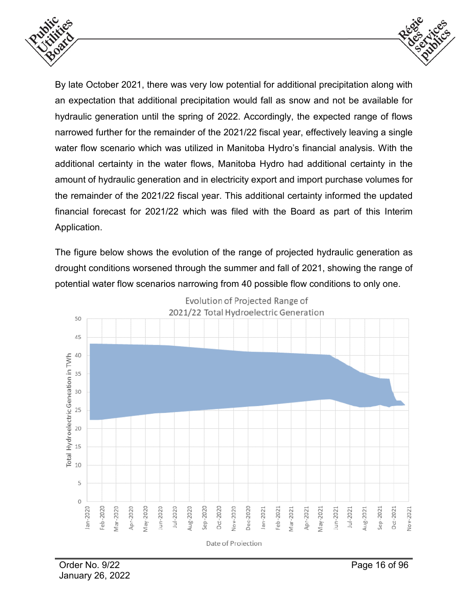



By late October 2021, there was very low potential for additional precipitation along with an expectation that additional precipitation would fall as snow and not be available for hydraulic generation until the spring of 2022. Accordingly, the expected range of flows narrowed further for the remainder of the 2021/22 fiscal year, effectively leaving a single water flow scenario which was utilized in Manitoba Hydro's financial analysis. With the additional certainty in the water flows, Manitoba Hydro had additional certainty in the amount of hydraulic generation and in electricity export and import purchase volumes for the remainder of the 2021/22 fiscal year. This additional certainty informed the updated financial forecast for 2021/22 which was filed with the Board as part of this Interim Application.

The figure below shows the evolution of the range of projected hydraulic generation as drought conditions worsened through the summer and fall of 2021, showing the range of potential water flow scenarios narrowing from 40 possible flow conditions to only one.

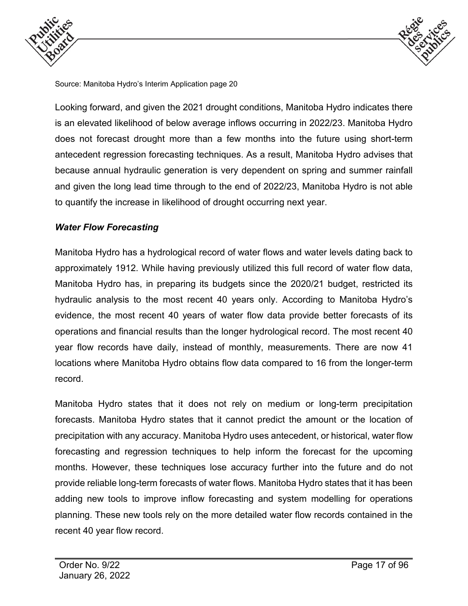



Source: Manitoba Hydro's Interim Application page 20

Looking forward, and given the 2021 drought conditions, Manitoba Hydro indicates there is an elevated likelihood of below average inflows occurring in 2022/23. Manitoba Hydro does not forecast drought more than a few months into the future using short-term antecedent regression forecasting techniques. As a result, Manitoba Hydro advises that because annual hydraulic generation is very dependent on spring and summer rainfall and given the long lead time through to the end of 2022/23, Manitoba Hydro is not able to quantify the increase in likelihood of drought occurring next year.

#### *Water Flow Forecasting*

Manitoba Hydro has a hydrological record of water flows and water levels dating back to approximately 1912. While having previously utilized this full record of water flow data, Manitoba Hydro has, in preparing its budgets since the 2020/21 budget, restricted its hydraulic analysis to the most recent 40 years only. According to Manitoba Hydro's evidence, the most recent 40 years of water flow data provide better forecasts of its operations and financial results than the longer hydrological record. The most recent 40 year flow records have daily, instead of monthly, measurements. There are now 41 locations where Manitoba Hydro obtains flow data compared to 16 from the longer-term record.

Manitoba Hydro states that it does not rely on medium or long-term precipitation forecasts. Manitoba Hydro states that it cannot predict the amount or the location of precipitation with any accuracy. Manitoba Hydro uses antecedent, or historical, water flow forecasting and regression techniques to help inform the forecast for the upcoming months. However, these techniques lose accuracy further into the future and do not provide reliable long-term forecasts of water flows. Manitoba Hydro states that it has been adding new tools to improve inflow forecasting and system modelling for operations planning. These new tools rely on the more detailed water flow records contained in the recent 40 year flow record.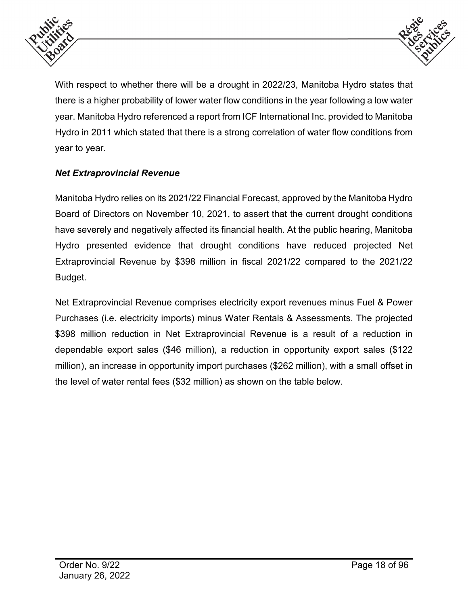



With respect to whether there will be a drought in 2022/23, Manitoba Hydro states that there is a higher probability of lower water flow conditions in the year following a low water year. Manitoba Hydro referenced a report from ICF International Inc. provided to Manitoba Hydro in 2011 which stated that there is a strong correlation of water flow conditions from year to year.

# *Net Extraprovincial Revenue*

Manitoba Hydro relies on its 2021/22 Financial Forecast, approved by the Manitoba Hydro Board of Directors on November 10, 2021, to assert that the current drought conditions have severely and negatively affected its financial health. At the public hearing, Manitoba Hydro presented evidence that drought conditions have reduced projected Net Extraprovincial Revenue by \$398 million in fiscal 2021/22 compared to the 2021/22 Budget.

Net Extraprovincial Revenue comprises electricity export revenues minus Fuel & Power Purchases (i.e. electricity imports) minus Water Rentals & Assessments. The projected \$398 million reduction in Net Extraprovincial Revenue is a result of a reduction in dependable export sales (\$46 million), a reduction in opportunity export sales (\$122 million), an increase in opportunity import purchases (\$262 million), with a small offset in the level of water rental fees (\$32 million) as shown on the table below.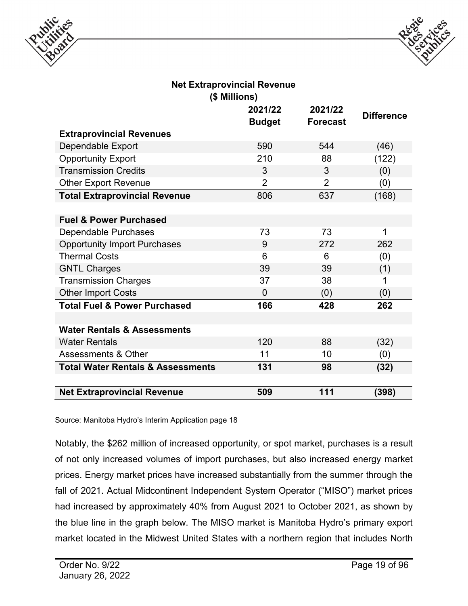



#### **Net Extraprovincial Revenue (\$ Millions)**

|                                              | 2021/22        | 2021/22         | <b>Difference</b> |
|----------------------------------------------|----------------|-----------------|-------------------|
|                                              | <b>Budget</b>  | <b>Forecast</b> |                   |
| <b>Extraprovincial Revenues</b>              |                |                 |                   |
| Dependable Export                            | 590            | 544             | (46)              |
| <b>Opportunity Export</b>                    | 210            | 88              | (122)             |
| <b>Transmission Credits</b>                  | 3              | 3               | (0)               |
| <b>Other Export Revenue</b>                  | $\overline{2}$ | $\overline{2}$  | (0)               |
| <b>Total Extraprovincial Revenue</b>         | 806            | 637             | (168)             |
|                                              |                |                 |                   |
| <b>Fuel &amp; Power Purchased</b>            |                |                 |                   |
| Dependable Purchases                         | 73             | 73              | 1                 |
| <b>Opportunity Import Purchases</b>          | 9              | 272             | 262               |
| <b>Thermal Costs</b>                         | 6              | 6               | (0)               |
| <b>GNTL Charges</b>                          | 39             | 39              | (1)               |
| <b>Transmission Charges</b>                  | 37             | 38              | 1                 |
| <b>Other Import Costs</b>                    | $\overline{0}$ | (0)             | (0)               |
| <b>Total Fuel &amp; Power Purchased</b>      | 166            | 428             | 262               |
|                                              |                |                 |                   |
| <b>Water Rentals &amp; Assessments</b>       |                |                 |                   |
| <b>Water Rentals</b>                         | 120            | 88              | (32)              |
| <b>Assessments &amp; Other</b>               | 11             | 10              | (0)               |
| <b>Total Water Rentals &amp; Assessments</b> | 131            | 98              | (32)              |
|                                              |                |                 |                   |
| <b>Net Extraprovincial Revenue</b>           | 509            | 111             | (398)             |

Source: Manitoba Hydro's Interim Application page 18

Notably, the \$262 million of increased opportunity, or spot market, purchases is a result of not only increased volumes of import purchases, but also increased energy market prices. Energy market prices have increased substantially from the summer through the fall of 2021. Actual Midcontinent Independent System Operator ("MISO") market prices had increased by approximately 40% from August 2021 to October 2021, as shown by the blue line in the graph below. The MISO market is Manitoba Hydro's primary export market located in the Midwest United States with a northern region that includes North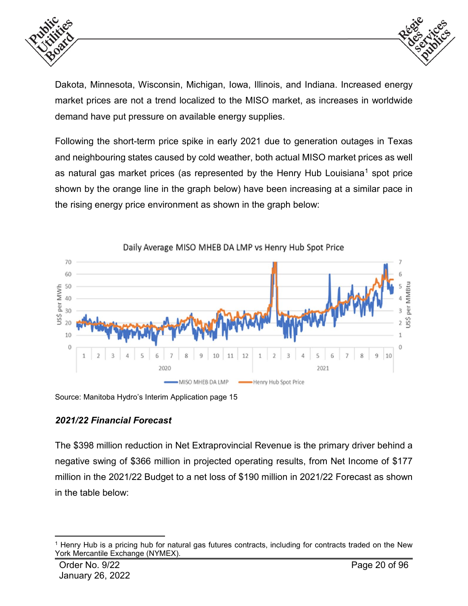



Dakota, Minnesota, Wisconsin, Michigan, Iowa, Illinois, and Indiana. Increased energy market prices are not a trend localized to the MISO market, as increases in worldwide demand have put pressure on available energy supplies.

Following the short-term price spike in early 2021 due to generation outages in Texas and neighbouring states caused by cold weather, both actual MISO market prices as well as natural gas market prices (as represented by the Henry Hub Louisiana<sup>1</sup> spot price shown by the orange line in the graph below) have been increasing at a similar pace in the rising energy price environment as shown in the graph below:



Source: Manitoba Hydro's Interim Application page 15

# *2021/22 Financial Forecast*

The \$398 million reduction in Net Extraprovincial Revenue is the primary driver behind a negative swing of \$366 million in projected operating results, from Net Income of \$177 million in the 2021/22 Budget to a net loss of \$190 million in 2021/22 Forecast as shown in the table below:

<span id="page-19-0"></span> <sup>1</sup> Henry Hub is a pricing hub for natural gas futures contracts, including for contracts traded on the New York Mercantile Exchange (NYMEX).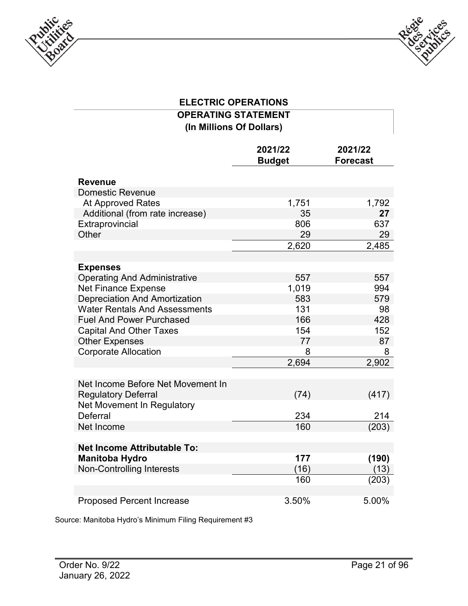



# **ELECTRIC OPERATIONS OPERATING STATEMENT (In Millions Of Dollars)**

|                                        | 2021/22<br><b>Budget</b> | 2021/22<br><b>Forecast</b> |
|----------------------------------------|--------------------------|----------------------------|
| <b>Revenue</b>                         |                          |                            |
| <b>Domestic Revenue</b>                |                          |                            |
| <b>At Approved Rates</b>               | 1,751                    | 1,792                      |
| Additional (from rate increase)        | 35                       | 27                         |
| Extraprovincial                        | 806                      | 637                        |
| Other                                  | 29                       | 29                         |
|                                        | 2,620                    | 2,485                      |
|                                        |                          |                            |
| <b>Expenses</b>                        |                          |                            |
| <b>Operating And Administrative</b>    | 557                      | 557                        |
| <b>Net Finance Expense</b>             | 1,019                    | 994                        |
| <b>Depreciation And Amortization</b>   | 583                      | 579                        |
| <b>Water Rentals And Assessments</b>   | 131                      | 98                         |
| <b>Fuel And Power Purchased</b>        | 166                      | 428                        |
| <b>Capital And Other Taxes</b>         | 154                      | 152                        |
| <b>Other Expenses</b>                  | 77                       | 87                         |
| <b>Corporate Allocation</b>            | 8                        | 8                          |
|                                        | 2,694                    | 2,902                      |
|                                        |                          |                            |
| Net Income Before Net Movement In      |                          |                            |
| <b>Regulatory Deferral</b>             | (74)                     | (417)                      |
| Net Movement In Regulatory<br>Deferral |                          |                            |
|                                        | 234<br>160               | 214                        |
| Net Income                             |                          | (203)                      |
| <b>Net Income Attributable To:</b>     |                          |                            |
| <b>Manitoba Hydro</b>                  | 177                      | (190)                      |
| <b>Non-Controlling Interests</b>       | (16)                     | (13)                       |
|                                        | 160                      | (203)                      |
|                                        |                          |                            |
| <b>Proposed Percent Increase</b>       | 3.50%                    | 5.00%                      |

Source: Manitoba Hydro's Minimum Filing Requirement #3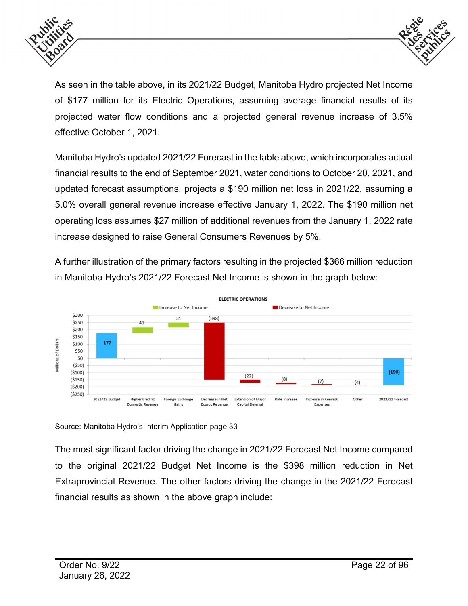



As seen in the table above, in its 2021/22 Budget, Manitoba Hydro projected Net Income of \$177 million for its Electric Operations, assuming average financial results of its projected water flow conditions and a projected general revenue increase of 3.5% effective October 1, 2021.

Manitoba Hydro's updated 2021/22 Forecast in the table above, which incorporates actual financial results to the end of September 2021, water conditions to October 20, 2021, and updated forecast assumptions, projects a \$190 million net loss in 2021/22, assuming a 5.0% overall general revenue increase effective January 1, 2022. The \$190 million net operating loss assumes \$27 million of additional revenues from the January 1, 2022 rate increase designed to raise General Consumers Revenues by 5%.

A further illustration of the primary factors resulting in the projected \$366 million reduction in Manitoba Hydro's 2021/22 Forecast Net Income is shown in the graph below:



Source: Manitoba Hydro's Interim Application page 33

The most significant factor driving the change in 2021/22 Forecast Net Income compared to the original 2021/22 Budget Net Income is the \$398 million reduction in Net Extraprovincial Revenue. The other factors driving the change in the 2021/22 Forecast financial results as shown in the above graph include: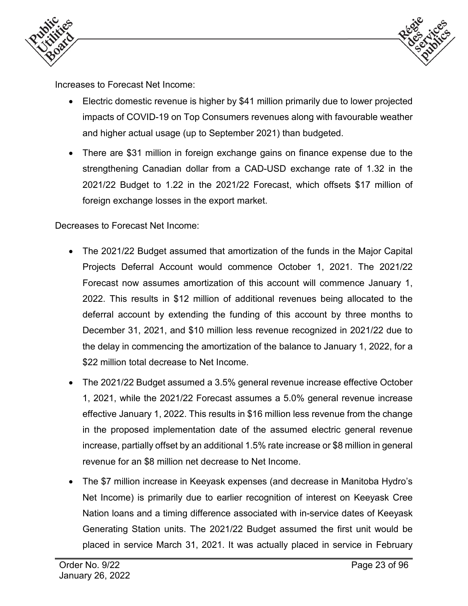



Increases to Forecast Net Income:

- Electric domestic revenue is higher by \$41 million primarily due to lower projected impacts of COVID-19 on Top Consumers revenues along with favourable weather and higher actual usage (up to September 2021) than budgeted.
- There are \$31 million in foreign exchange gains on finance expense due to the strengthening Canadian dollar from a CAD-USD exchange rate of 1.32 in the 2021/22 Budget to 1.22 in the 2021/22 Forecast, which offsets \$17 million of foreign exchange losses in the export market.

Decreases to Forecast Net Income:

- The 2021/22 Budget assumed that amortization of the funds in the Major Capital Projects Deferral Account would commence October 1, 2021. The 2021/22 Forecast now assumes amortization of this account will commence January 1, 2022. This results in \$12 million of additional revenues being allocated to the deferral account by extending the funding of this account by three months to December 31, 2021, and \$10 million less revenue recognized in 2021/22 due to the delay in commencing the amortization of the balance to January 1, 2022, for a \$22 million total decrease to Net Income.
- The 2021/22 Budget assumed a 3.5% general revenue increase effective October 1, 2021, while the 2021/22 Forecast assumes a 5.0% general revenue increase effective January 1, 2022. This results in \$16 million less revenue from the change in the proposed implementation date of the assumed electric general revenue increase, partially offset by an additional 1.5% rate increase or \$8 million in general revenue for an \$8 million net decrease to Net Income.
- The \$7 million increase in Keeyask expenses (and decrease in Manitoba Hydro's Net Income) is primarily due to earlier recognition of interest on Keeyask Cree Nation loans and a timing difference associated with in-service dates of Keeyask Generating Station units. The 2021/22 Budget assumed the first unit would be placed in service March 31, 2021. It was actually placed in service in February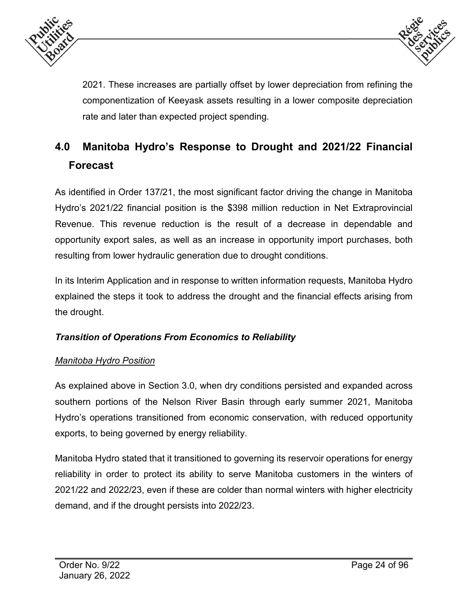



2021. These increases are partially offset by lower depreciation from refining the componentization of Keeyask assets resulting in a lower composite depreciation rate and later than expected project spending.

# <span id="page-23-0"></span>**4.0 Manitoba Hydro's Response to Drought and 2021/22 Financial Forecast**

As identified in Order 137/21, the most significant factor driving the change in Manitoba Hydro's 2021/22 financial position is the \$398 million reduction in Net Extraprovincial Revenue. This revenue reduction is the result of a decrease in dependable and opportunity export sales, as well as an increase in opportunity import purchases, both resulting from lower hydraulic generation due to drought conditions.

In its Interim Application and in response to written information requests, Manitoba Hydro explained the steps it took to address the drought and the financial effects arising from the drought.

# *Transition of Operations From Economics to Reliability*

# *Manitoba Hydro Position*

As explained above in Section 3.0, when dry conditions persisted and expanded across southern portions of the Nelson River Basin through early summer 2021, Manitoba Hydro's operations transitioned from economic conservation, with reduced opportunity exports, to being governed by energy reliability.

Manitoba Hydro stated that it transitioned to governing its reservoir operations for energy reliability in order to protect its ability to serve Manitoba customers in the winters of 2021/22 and 2022/23, even if these are colder than normal winters with higher electricity demand, and if the drought persists into 2022/23.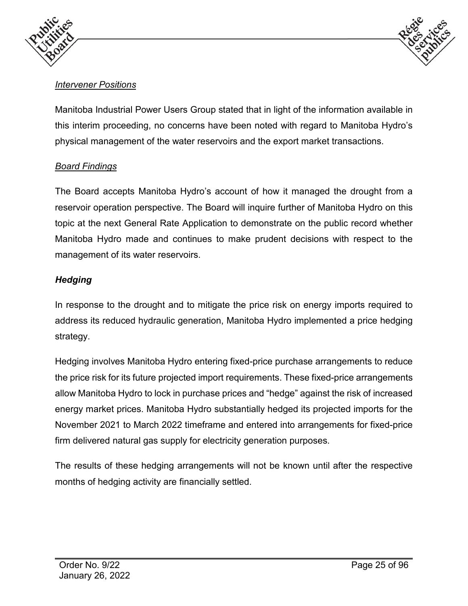



# *Intervener Positions*

Manitoba Industrial Power Users Group stated that in light of the information available in this interim proceeding, no concerns have been noted with regard to Manitoba Hydro's physical management of the water reservoirs and the export market transactions.

#### *Board Findings*

The Board accepts Manitoba Hydro's account of how it managed the drought from a reservoir operation perspective. The Board will inquire further of Manitoba Hydro on this topic at the next General Rate Application to demonstrate on the public record whether Manitoba Hydro made and continues to make prudent decisions with respect to the management of its water reservoirs.

# *Hedging*

In response to the drought and to mitigate the price risk on energy imports required to address its reduced hydraulic generation, Manitoba Hydro implemented a price hedging strategy.

Hedging involves Manitoba Hydro entering fixed-price purchase arrangements to reduce the price risk for its future projected import requirements. These fixed-price arrangements allow Manitoba Hydro to lock in purchase prices and "hedge" against the risk of increased energy market prices. Manitoba Hydro substantially hedged its projected imports for the November 2021 to March 2022 timeframe and entered into arrangements for fixed-price firm delivered natural gas supply for electricity generation purposes.

The results of these hedging arrangements will not be known until after the respective months of hedging activity are financially settled.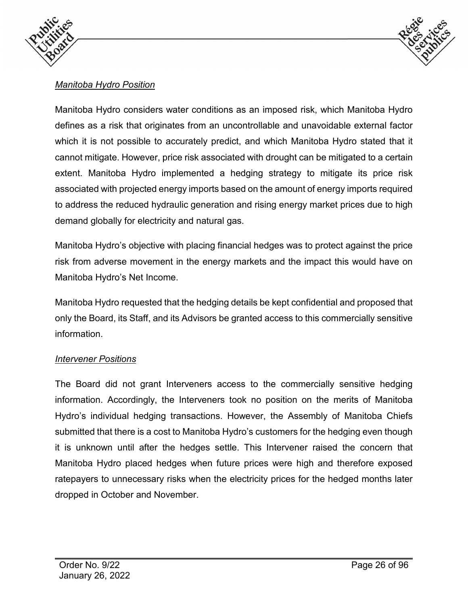



# *Manitoba Hydro Position*

Manitoba Hydro considers water conditions as an imposed risk, which Manitoba Hydro defines as a risk that originates from an uncontrollable and unavoidable external factor which it is not possible to accurately predict, and which Manitoba Hydro stated that it cannot mitigate. However, price risk associated with drought can be mitigated to a certain extent. Manitoba Hydro implemented a hedging strategy to mitigate its price risk associated with projected energy imports based on the amount of energy imports required to address the reduced hydraulic generation and rising energy market prices due to high demand globally for electricity and natural gas.

Manitoba Hydro's objective with placing financial hedges was to protect against the price risk from adverse movement in the energy markets and the impact this would have on Manitoba Hydro's Net Income.

Manitoba Hydro requested that the hedging details be kept confidential and proposed that only the Board, its Staff, and its Advisors be granted access to this commercially sensitive information.

#### *Intervener Positions*

The Board did not grant Interveners access to the commercially sensitive hedging information. Accordingly, the Interveners took no position on the merits of Manitoba Hydro's individual hedging transactions. However, the Assembly of Manitoba Chiefs submitted that there is a cost to Manitoba Hydro's customers for the hedging even though it is unknown until after the hedges settle. This Intervener raised the concern that Manitoba Hydro placed hedges when future prices were high and therefore exposed ratepayers to unnecessary risks when the electricity prices for the hedged months later dropped in October and November.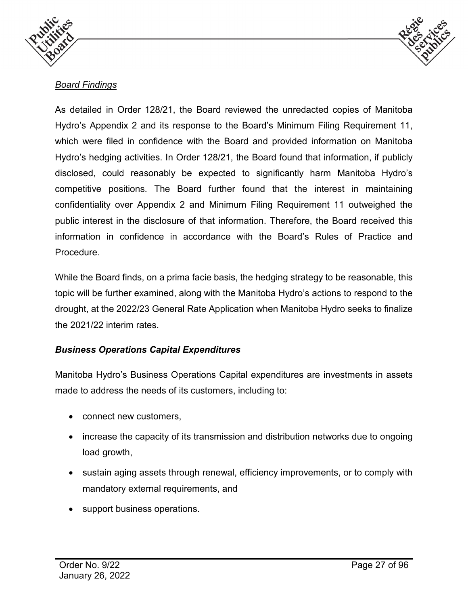



#### *Board Findings*

As detailed in Order 128/21, the Board reviewed the unredacted copies of Manitoba Hydro's Appendix 2 and its response to the Board's Minimum Filing Requirement 11, which were filed in confidence with the Board and provided information on Manitoba Hydro's hedging activities. In Order 128/21, the Board found that information, if publicly disclosed, could reasonably be expected to significantly harm Manitoba Hydro's competitive positions. The Board further found that the interest in maintaining confidentiality over Appendix 2 and Minimum Filing Requirement 11 outweighed the public interest in the disclosure of that information. Therefore, the Board received this information in confidence in accordance with the Board's Rules of Practice and Procedure.

While the Board finds, on a prima facie basis, the hedging strategy to be reasonable, this topic will be further examined, along with the Manitoba Hydro's actions to respond to the drought, at the 2022/23 General Rate Application when Manitoba Hydro seeks to finalize the 2021/22 interim rates.

# *Business Operations Capital Expenditures*

Manitoba Hydro's Business Operations Capital expenditures are investments in assets made to address the needs of its customers, including to:

- connect new customers,
- increase the capacity of its transmission and distribution networks due to ongoing load growth,
- sustain aging assets through renewal, efficiency improvements, or to comply with mandatory external requirements, and
- support business operations.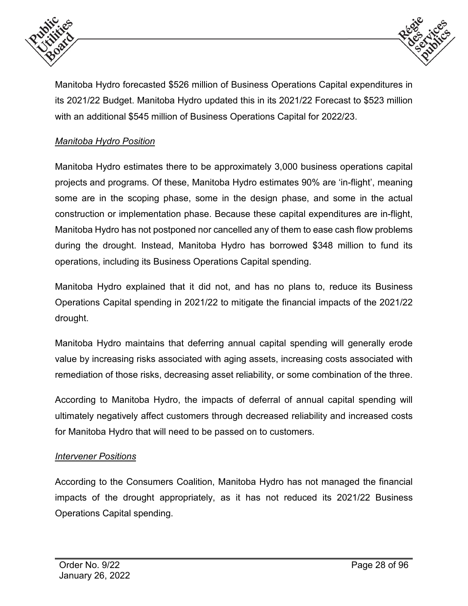



Manitoba Hydro forecasted \$526 million of Business Operations Capital expenditures in its 2021/22 Budget. Manitoba Hydro updated this in its 2021/22 Forecast to \$523 million with an additional \$545 million of Business Operations Capital for 2022/23.

#### *Manitoba Hydro Position*

Manitoba Hydro estimates there to be approximately 3,000 business operations capital projects and programs. Of these, Manitoba Hydro estimates 90% are 'in-flight', meaning some are in the scoping phase, some in the design phase, and some in the actual construction or implementation phase. Because these capital expenditures are in-flight, Manitoba Hydro has not postponed nor cancelled any of them to ease cash flow problems during the drought. Instead, Manitoba Hydro has borrowed \$348 million to fund its operations, including its Business Operations Capital spending.

Manitoba Hydro explained that it did not, and has no plans to, reduce its Business Operations Capital spending in 2021/22 to mitigate the financial impacts of the 2021/22 drought.

Manitoba Hydro maintains that deferring annual capital spending will generally erode value by increasing risks associated with aging assets, increasing costs associated with remediation of those risks, decreasing asset reliability, or some combination of the three.

According to Manitoba Hydro, the impacts of deferral of annual capital spending will ultimately negatively affect customers through decreased reliability and increased costs for Manitoba Hydro that will need to be passed on to customers.

#### *Intervener Positions*

According to the Consumers Coalition, Manitoba Hydro has not managed the financial impacts of the drought appropriately, as it has not reduced its 2021/22 Business Operations Capital spending.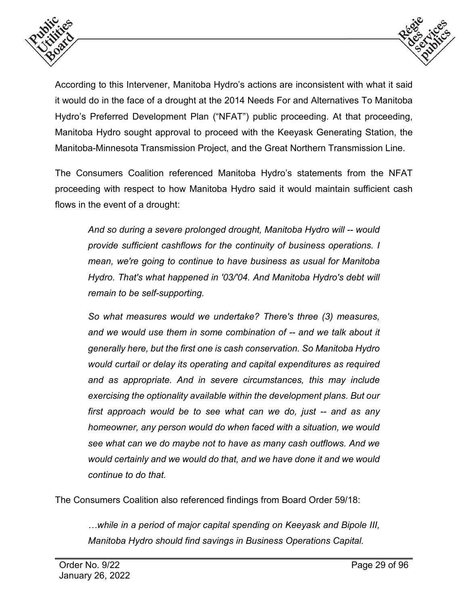



According to this Intervener, Manitoba Hydro's actions are inconsistent with what it said it would do in the face of a drought at the 2014 Needs For and Alternatives To Manitoba Hydro's Preferred Development Plan ("NFAT") public proceeding. At that proceeding, Manitoba Hydro sought approval to proceed with the Keeyask Generating Station, the Manitoba-Minnesota Transmission Project, and the Great Northern Transmission Line.

The Consumers Coalition referenced Manitoba Hydro's statements from the NFAT proceeding with respect to how Manitoba Hydro said it would maintain sufficient cash flows in the event of a drought:

*And so during a severe prolonged drought, Manitoba Hydro will -- would provide sufficient cashflows for the continuity of business operations. I mean, we're going to continue to have business as usual for Manitoba Hydro. That's what happened in '03/'04. And Manitoba Hydro's debt will remain to be self-supporting.*

*So what measures would we undertake? There's three (3) measures, and we would use them in some combination of -- and we talk about it generally here, but the first one is cash conservation. So Manitoba Hydro would curtail or delay its operating and capital expenditures as required and as appropriate. And in severe circumstances, this may include exercising the optionality available within the development plans. But our first approach would be to see what can we do, just -- and as any homeowner, any person would do when faced with a situation, we would see what can we do maybe not to have as many cash outflows. And we would certainly and we would do that, and we have done it and we would continue to do that.*

The Consumers Coalition also referenced findings from Board Order 59/18:

*…while in a period of major capital spending on Keeyask and Bipole III, Manitoba Hydro should find savings in Business Operations Capital.*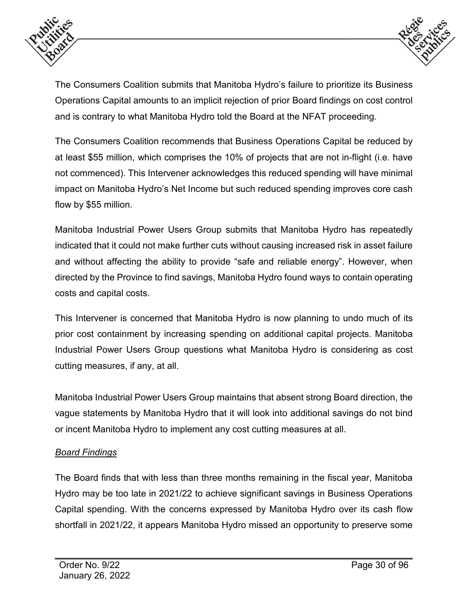



The Consumers Coalition submits that Manitoba Hydro's failure to prioritize its Business Operations Capital amounts to an implicit rejection of prior Board findings on cost control and is contrary to what Manitoba Hydro told the Board at the NFAT proceeding.

The Consumers Coalition recommends that Business Operations Capital be reduced by at least \$55 million, which comprises the 10% of projects that are not in-flight (i.e. have not commenced). This Intervener acknowledges this reduced spending will have minimal impact on Manitoba Hydro's Net Income but such reduced spending improves core cash flow by \$55 million.

Manitoba Industrial Power Users Group submits that Manitoba Hydro has repeatedly indicated that it could not make further cuts without causing increased risk in asset failure and without affecting the ability to provide "safe and reliable energy". However, when directed by the Province to find savings, Manitoba Hydro found ways to contain operating costs and capital costs.

This Intervener is concerned that Manitoba Hydro is now planning to undo much of its prior cost containment by increasing spending on additional capital projects. Manitoba Industrial Power Users Group questions what Manitoba Hydro is considering as cost cutting measures, if any, at all.

Manitoba Industrial Power Users Group maintains that absent strong Board direction, the vague statements by Manitoba Hydro that it will look into additional savings do not bind or incent Manitoba Hydro to implement any cost cutting measures at all.

# *Board Findings*

The Board finds that with less than three months remaining in the fiscal year, Manitoba Hydro may be too late in 2021/22 to achieve significant savings in Business Operations Capital spending. With the concerns expressed by Manitoba Hydro over its cash flow shortfall in 2021/22, it appears Manitoba Hydro missed an opportunity to preserve some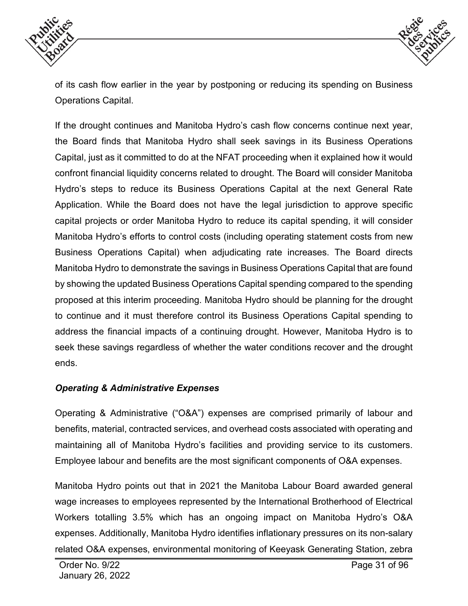



of its cash flow earlier in the year by postponing or reducing its spending on Business Operations Capital.

If the drought continues and Manitoba Hydro's cash flow concerns continue next year, the Board finds that Manitoba Hydro shall seek savings in its Business Operations Capital, just as it committed to do at the NFAT proceeding when it explained how it would confront financial liquidity concerns related to drought. The Board will consider Manitoba Hydro's steps to reduce its Business Operations Capital at the next General Rate Application. While the Board does not have the legal jurisdiction to approve specific capital projects or order Manitoba Hydro to reduce its capital spending, it will consider Manitoba Hydro's efforts to control costs (including operating statement costs from new Business Operations Capital) when adjudicating rate increases. The Board directs Manitoba Hydro to demonstrate the savings in Business Operations Capital that are found by showing the updated Business Operations Capital spending compared to the spending proposed at this interim proceeding. Manitoba Hydro should be planning for the drought to continue and it must therefore control its Business Operations Capital spending to address the financial impacts of a continuing drought. However, Manitoba Hydro is to seek these savings regardless of whether the water conditions recover and the drought ends.

#### *Operating & Administrative Expenses*

Operating & Administrative ("O&A") expenses are comprised primarily of labour and benefits, material, contracted services, and overhead costs associated with operating and maintaining all of Manitoba Hydro's facilities and providing service to its customers. Employee labour and benefits are the most significant components of O&A expenses.

Manitoba Hydro points out that in 2021 the Manitoba Labour Board awarded general wage increases to employees represented by the International Brotherhood of Electrical Workers totalling 3.5% which has an ongoing impact on Manitoba Hydro's O&A expenses. Additionally, Manitoba Hydro identifies inflationary pressures on its non-salary related O&A expenses, environmental monitoring of Keeyask Generating Station, zebra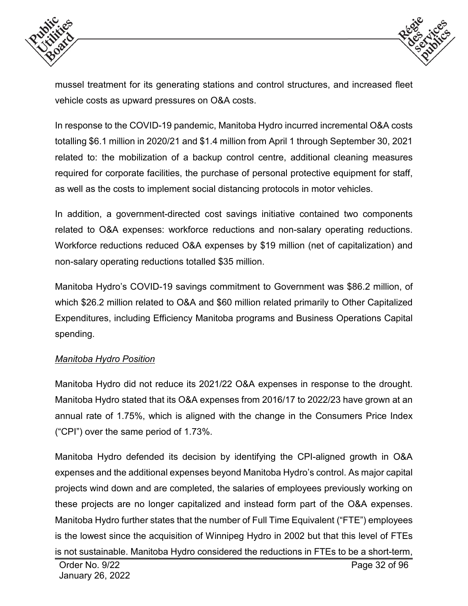



mussel treatment for its generating stations and control structures, and increased fleet vehicle costs as upward pressures on O&A costs.

In response to the COVID-19 pandemic, Manitoba Hydro incurred incremental O&A costs totalling \$6.1 million in 2020/21 and \$1.4 million from April 1 through September 30, 2021 related to: the mobilization of a backup control centre, additional cleaning measures required for corporate facilities, the purchase of personal protective equipment for staff, as well as the costs to implement social distancing protocols in motor vehicles.

In addition, a government-directed cost savings initiative contained two components related to O&A expenses: workforce reductions and non-salary operating reductions. Workforce reductions reduced O&A expenses by \$19 million (net of capitalization) and non-salary operating reductions totalled \$35 million.

Manitoba Hydro's COVID-19 savings commitment to Government was \$86.2 million, of which \$26.2 million related to O&A and \$60 million related primarily to Other Capitalized Expenditures, including Efficiency Manitoba programs and Business Operations Capital spending.

#### *Manitoba Hydro Position*

Manitoba Hydro did not reduce its 2021/22 O&A expenses in response to the drought. Manitoba Hydro stated that its O&A expenses from 2016/17 to 2022/23 have grown at an annual rate of 1.75%, which is aligned with the change in the Consumers Price Index ("CPI") over the same period of 1.73%.

Manitoba Hydro defended its decision by identifying the CPI-aligned growth in O&A expenses and the additional expenses beyond Manitoba Hydro's control. As major capital projects wind down and are completed, the salaries of employees previously working on these projects are no longer capitalized and instead form part of the O&A expenses. Manitoba Hydro further states that the number of Full Time Equivalent ("FTE") employees is the lowest since the acquisition of Winnipeg Hydro in 2002 but that this level of FTEs is not sustainable. Manitoba Hydro considered the reductions in FTEs to be a short-term,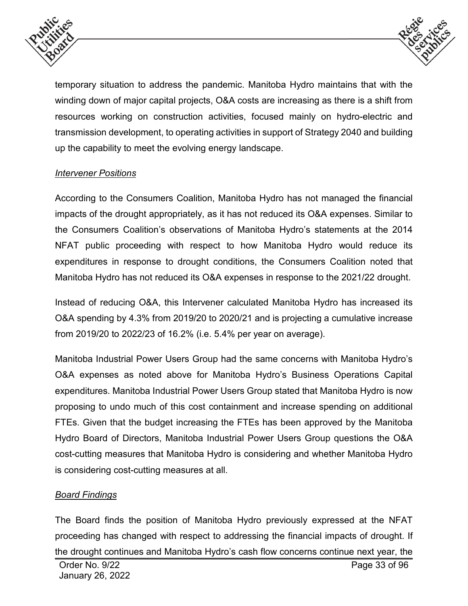



temporary situation to address the pandemic. Manitoba Hydro maintains that with the winding down of major capital projects, O&A costs are increasing as there is a shift from resources working on construction activities, focused mainly on hydro-electric and transmission development, to operating activities in support of Strategy 2040 and building up the capability to meet the evolving energy landscape.

# *Intervener Positions*

According to the Consumers Coalition, Manitoba Hydro has not managed the financial impacts of the drought appropriately, as it has not reduced its O&A expenses. Similar to the Consumers Coalition's observations of Manitoba Hydro's statements at the 2014 NFAT public proceeding with respect to how Manitoba Hydro would reduce its expenditures in response to drought conditions, the Consumers Coalition noted that Manitoba Hydro has not reduced its O&A expenses in response to the 2021/22 drought.

Instead of reducing O&A, this Intervener calculated Manitoba Hydro has increased its O&A spending by 4.3% from 2019/20 to 2020/21 and is projecting a cumulative increase from 2019/20 to 2022/23 of 16.2% (i.e. 5.4% per year on average).

Manitoba Industrial Power Users Group had the same concerns with Manitoba Hydro's O&A expenses as noted above for Manitoba Hydro's Business Operations Capital expenditures. Manitoba Industrial Power Users Group stated that Manitoba Hydro is now proposing to undo much of this cost containment and increase spending on additional FTEs. Given that the budget increasing the FTEs has been approved by the Manitoba Hydro Board of Directors, Manitoba Industrial Power Users Group questions the O&A cost-cutting measures that Manitoba Hydro is considering and whether Manitoba Hydro is considering cost-cutting measures at all.

#### *Board Findings*

The Board finds the position of Manitoba Hydro previously expressed at the NFAT proceeding has changed with respect to addressing the financial impacts of drought. If the drought continues and Manitoba Hydro's cash flow concerns continue next year, the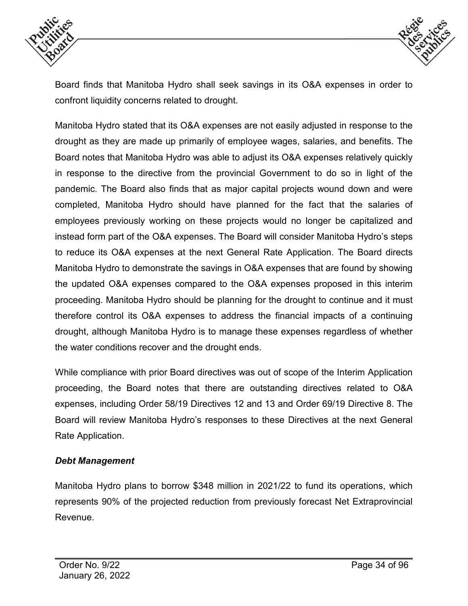



Board finds that Manitoba Hydro shall seek savings in its O&A expenses in order to confront liquidity concerns related to drought.

Manitoba Hydro stated that its O&A expenses are not easily adjusted in response to the drought as they are made up primarily of employee wages, salaries, and benefits. The Board notes that Manitoba Hydro was able to adjust its O&A expenses relatively quickly in response to the directive from the provincial Government to do so in light of the pandemic. The Board also finds that as major capital projects wound down and were completed, Manitoba Hydro should have planned for the fact that the salaries of employees previously working on these projects would no longer be capitalized and instead form part of the O&A expenses. The Board will consider Manitoba Hydro's steps to reduce its O&A expenses at the next General Rate Application. The Board directs Manitoba Hydro to demonstrate the savings in O&A expenses that are found by showing the updated O&A expenses compared to the O&A expenses proposed in this interim proceeding. Manitoba Hydro should be planning for the drought to continue and it must therefore control its O&A expenses to address the financial impacts of a continuing drought, although Manitoba Hydro is to manage these expenses regardless of whether the water conditions recover and the drought ends.

While compliance with prior Board directives was out of scope of the Interim Application proceeding, the Board notes that there are outstanding directives related to O&A expenses, including Order 58/19 Directives 12 and 13 and Order 69/19 Directive 8. The Board will review Manitoba Hydro's responses to these Directives at the next General Rate Application.

#### *Debt Management*

Manitoba Hydro plans to borrow \$348 million in 2021/22 to fund its operations, which represents 90% of the projected reduction from previously forecast Net Extraprovincial Revenue.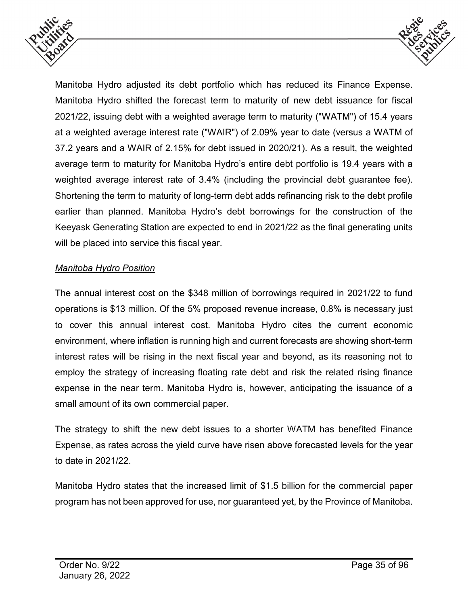



Manitoba Hydro adjusted its debt portfolio which has reduced its Finance Expense. Manitoba Hydro shifted the forecast term to maturity of new debt issuance for fiscal 2021/22, issuing debt with a weighted average term to maturity ("WATM") of 15.4 years at a weighted average interest rate ("WAIR") of 2.09% year to date (versus a WATM of 37.2 years and a WAIR of 2.15% for debt issued in 2020/21). As a result, the weighted average term to maturity for Manitoba Hydro's entire debt portfolio is 19.4 years with a weighted average interest rate of 3.4% (including the provincial debt guarantee fee). Shortening the term to maturity of long-term debt adds refinancing risk to the debt profile earlier than planned. Manitoba Hydro's debt borrowings for the construction of the Keeyask Generating Station are expected to end in 2021/22 as the final generating units will be placed into service this fiscal year.

#### *Manitoba Hydro Position*

The annual interest cost on the \$348 million of borrowings required in 2021/22 to fund operations is \$13 million. Of the 5% proposed revenue increase, 0.8% is necessary just to cover this annual interest cost. Manitoba Hydro cites the current economic environment, where inflation is running high and current forecasts are showing short-term interest rates will be rising in the next fiscal year and beyond, as its reasoning not to employ the strategy of increasing floating rate debt and risk the related rising finance expense in the near term. Manitoba Hydro is, however, anticipating the issuance of a small amount of its own commercial paper.

The strategy to shift the new debt issues to a shorter WATM has benefited Finance Expense, as rates across the yield curve have risen above forecasted levels for the year to date in 2021/22.

Manitoba Hydro states that the increased limit of \$1.5 billion for the commercial paper program has not been approved for use, nor guaranteed yet, by the Province of Manitoba.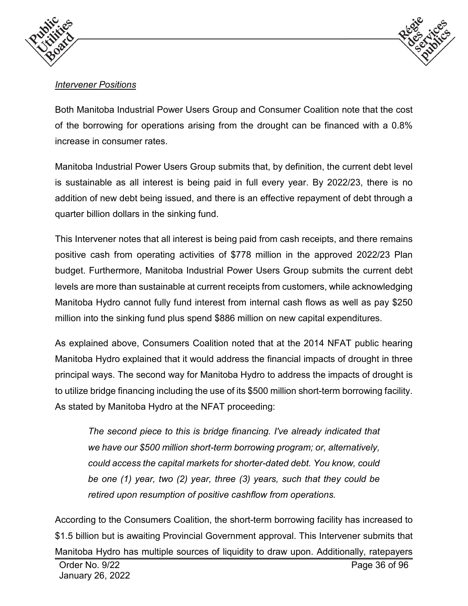



# *Intervener Positions*

Both Manitoba Industrial Power Users Group and Consumer Coalition note that the cost of the borrowing for operations arising from the drought can be financed with a 0.8% increase in consumer rates.

Manitoba Industrial Power Users Group submits that, by definition, the current debt level is sustainable as all interest is being paid in full every year. By 2022/23, there is no addition of new debt being issued, and there is an effective repayment of debt through a quarter billion dollars in the sinking fund.

This Intervener notes that all interest is being paid from cash receipts, and there remains positive cash from operating activities of \$778 million in the approved 2022/23 Plan budget. Furthermore, Manitoba Industrial Power Users Group submits the current debt levels are more than sustainable at current receipts from customers, while acknowledging Manitoba Hydro cannot fully fund interest from internal cash flows as well as pay \$250 million into the sinking fund plus spend \$886 million on new capital expenditures.

As explained above, Consumers Coalition noted that at the 2014 NFAT public hearing Manitoba Hydro explained that it would address the financial impacts of drought in three principal ways. The second way for Manitoba Hydro to address the impacts of drought is to utilize bridge financing including the use of its \$500 million short-term borrowing facility. As stated by Manitoba Hydro at the NFAT proceeding:

*The second piece to this is bridge financing. I've already indicated that we have our \$500 million short-term borrowing program; or, alternatively, could access the capital markets for shorter-dated debt. You know, could be one (1) year, two (2) year, three (3) years, such that they could be retired upon resumption of positive cashflow from operations.*

According to the Consumers Coalition, the short-term borrowing facility has increased to \$1.5 billion but is awaiting Provincial Government approval. This Intervener submits that Manitoba Hydro has multiple sources of liquidity to draw upon. Additionally, ratepayers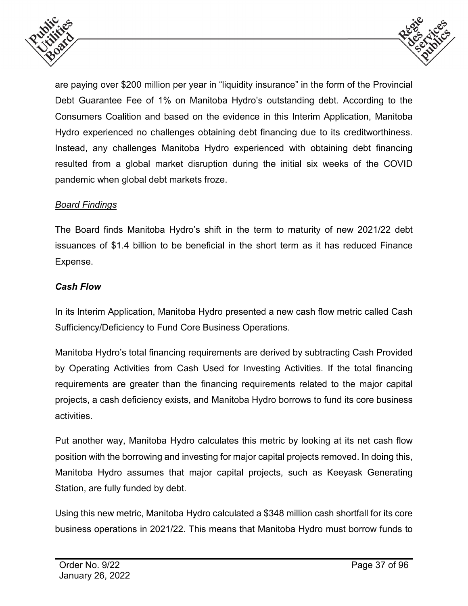



are paying over \$200 million per year in "liquidity insurance" in the form of the Provincial Debt Guarantee Fee of 1% on Manitoba Hydro's outstanding debt. According to the Consumers Coalition and based on the evidence in this Interim Application, Manitoba Hydro experienced no challenges obtaining debt financing due to its creditworthiness. Instead, any challenges Manitoba Hydro experienced with obtaining debt financing resulted from a global market disruption during the initial six weeks of the COVID pandemic when global debt markets froze.

## *Board Findings*

The Board finds Manitoba Hydro's shift in the term to maturity of new 2021/22 debt issuances of \$1.4 billion to be beneficial in the short term as it has reduced Finance Expense.

#### *Cash Flow*

In its Interim Application, Manitoba Hydro presented a new cash flow metric called Cash Sufficiency/Deficiency to Fund Core Business Operations.

Manitoba Hydro's total financing requirements are derived by subtracting Cash Provided by Operating Activities from Cash Used for Investing Activities. If the total financing requirements are greater than the financing requirements related to the major capital projects, a cash deficiency exists, and Manitoba Hydro borrows to fund its core business activities.

Put another way, Manitoba Hydro calculates this metric by looking at its net cash flow position with the borrowing and investing for major capital projects removed. In doing this, Manitoba Hydro assumes that major capital projects, such as Keeyask Generating Station, are fully funded by debt.

Using this new metric, Manitoba Hydro calculated a \$348 million cash shortfall for its core business operations in 2021/22. This means that Manitoba Hydro must borrow funds to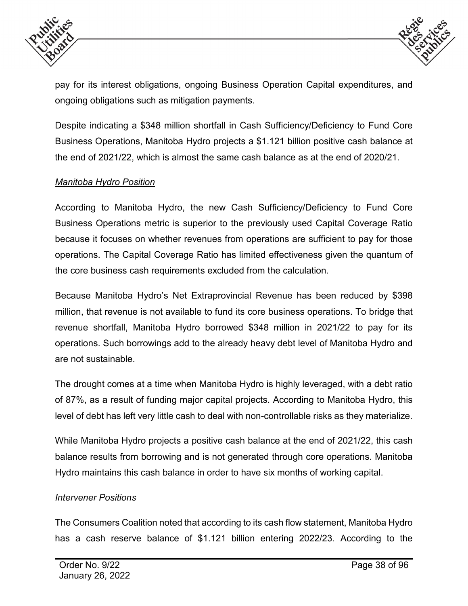



pay for its interest obligations, ongoing Business Operation Capital expenditures, and ongoing obligations such as mitigation payments.

Despite indicating a \$348 million shortfall in Cash Sufficiency/Deficiency to Fund Core Business Operations, Manitoba Hydro projects a \$1.121 billion positive cash balance at the end of 2021/22, which is almost the same cash balance as at the end of 2020/21.

#### *Manitoba Hydro Position*

According to Manitoba Hydro, the new Cash Sufficiency/Deficiency to Fund Core Business Operations metric is superior to the previously used Capital Coverage Ratio because it focuses on whether revenues from operations are sufficient to pay for those operations. The Capital Coverage Ratio has limited effectiveness given the quantum of the core business cash requirements excluded from the calculation.

Because Manitoba Hydro's Net Extraprovincial Revenue has been reduced by \$398 million, that revenue is not available to fund its core business operations. To bridge that revenue shortfall, Manitoba Hydro borrowed \$348 million in 2021/22 to pay for its operations. Such borrowings add to the already heavy debt level of Manitoba Hydro and are not sustainable.

The drought comes at a time when Manitoba Hydro is highly leveraged, with a debt ratio of 87%, as a result of funding major capital projects. According to Manitoba Hydro, this level of debt has left very little cash to deal with non-controllable risks as they materialize.

While Manitoba Hydro projects a positive cash balance at the end of 2021/22, this cash balance results from borrowing and is not generated through core operations. Manitoba Hydro maintains this cash balance in order to have six months of working capital.

#### *Intervener Positions*

The Consumers Coalition noted that according to its cash flow statement, Manitoba Hydro has a cash reserve balance of \$1.121 billion entering 2022/23. According to the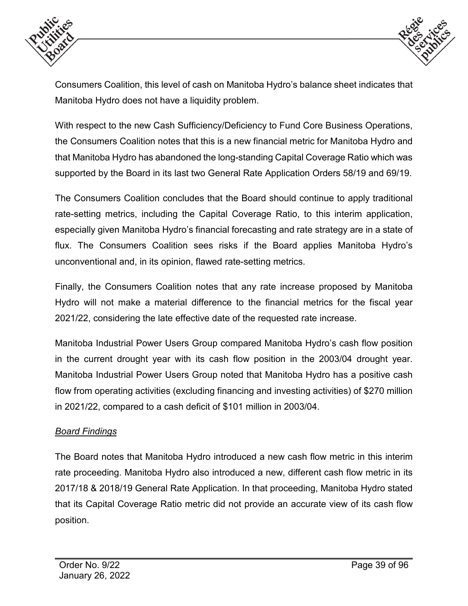



Consumers Coalition, this level of cash on Manitoba Hydro's balance sheet indicates that Manitoba Hydro does not have a liquidity problem.

With respect to the new Cash Sufficiency/Deficiency to Fund Core Business Operations, the Consumers Coalition notes that this is a new financial metric for Manitoba Hydro and that Manitoba Hydro has abandoned the long-standing Capital Coverage Ratio which was supported by the Board in its last two General Rate Application Orders 58/19 and 69/19.

The Consumers Coalition concludes that the Board should continue to apply traditional rate-setting metrics, including the Capital Coverage Ratio, to this interim application, especially given Manitoba Hydro's financial forecasting and rate strategy are in a state of flux. The Consumers Coalition sees risks if the Board applies Manitoba Hydro's unconventional and, in its opinion, flawed rate-setting metrics.

Finally, the Consumers Coalition notes that any rate increase proposed by Manitoba Hydro will not make a material difference to the financial metrics for the fiscal year 2021/22, considering the late effective date of the requested rate increase.

Manitoba Industrial Power Users Group compared Manitoba Hydro's cash flow position in the current drought year with its cash flow position in the 2003/04 drought year. Manitoba Industrial Power Users Group noted that Manitoba Hydro has a positive cash flow from operating activities (excluding financing and investing activities) of \$270 million in 2021/22, compared to a cash deficit of \$101 million in 2003/04.

# *Board Findings*

The Board notes that Manitoba Hydro introduced a new cash flow metric in this interim rate proceeding. Manitoba Hydro also introduced a new, different cash flow metric in its 2017/18 & 2018/19 General Rate Application. In that proceeding, Manitoba Hydro stated that its Capital Coverage Ratio metric did not provide an accurate view of its cash flow position.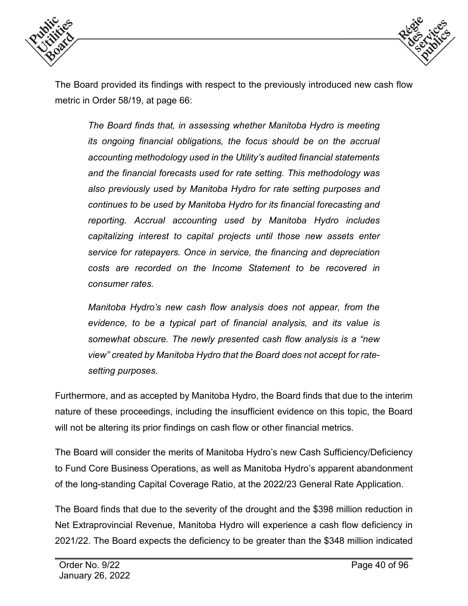



The Board provided its findings with respect to the previously introduced new cash flow metric in Order 58/19, at page 66:

*The Board finds that, in assessing whether Manitoba Hydro is meeting its ongoing financial obligations, the focus should be on the accrual accounting methodology used in the Utility's audited financial statements and the financial forecasts used for rate setting. This methodology was also previously used by Manitoba Hydro for rate setting purposes and continues to be used by Manitoba Hydro for its financial forecasting and reporting. Accrual accounting used by Manitoba Hydro includes capitalizing interest to capital projects until those new assets enter service for ratepayers. Once in service, the financing and depreciation costs are recorded on the Income Statement to be recovered in consumer rates.* 

*Manitoba Hydro's new cash flow analysis does not appear, from the evidence, to be a typical part of financial analysis, and its value is somewhat obscure. The newly presented cash flow analysis is a "new view" created by Manitoba Hydro that the Board does not accept for ratesetting purposes.* 

Furthermore, and as accepted by Manitoba Hydro, the Board finds that due to the interim nature of these proceedings, including the insufficient evidence on this topic, the Board will not be altering its prior findings on cash flow or other financial metrics.

The Board will consider the merits of Manitoba Hydro's new Cash Sufficiency/Deficiency to Fund Core Business Operations, as well as Manitoba Hydro's apparent abandonment of the long-standing Capital Coverage Ratio, at the 2022/23 General Rate Application.

The Board finds that due to the severity of the drought and the \$398 million reduction in Net Extraprovincial Revenue, Manitoba Hydro will experience a cash flow deficiency in 2021/22. The Board expects the deficiency to be greater than the \$348 million indicated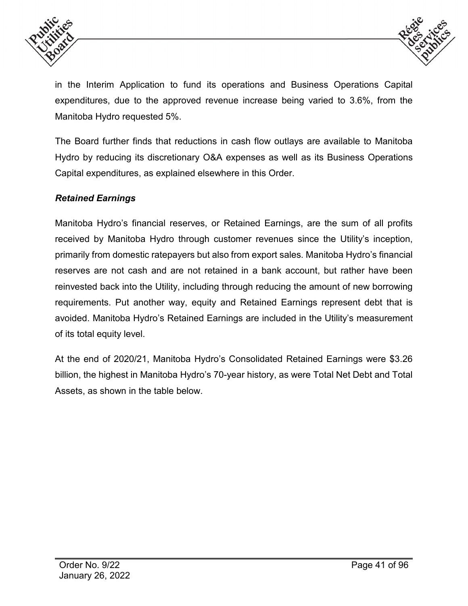



in the Interim Application to fund its operations and Business Operations Capital expenditures, due to the approved revenue increase being varied to 3.6%, from the Manitoba Hydro requested 5%.

The Board further finds that reductions in cash flow outlays are available to Manitoba Hydro by reducing its discretionary O&A expenses as well as its Business Operations Capital expenditures, as explained elsewhere in this Order.

## *Retained Earnings*

Manitoba Hydro's financial reserves, or Retained Earnings, are the sum of all profits received by Manitoba Hydro through customer revenues since the Utility's inception, primarily from domestic ratepayers but also from export sales. Manitoba Hydro's financial reserves are not cash and are not retained in a bank account, but rather have been reinvested back into the Utility, including through reducing the amount of new borrowing requirements. Put another way, equity and Retained Earnings represent debt that is avoided. Manitoba Hydro's Retained Earnings are included in the Utility's measurement of its total equity level.

At the end of 2020/21, Manitoba Hydro's Consolidated Retained Earnings were \$3.26 billion, the highest in Manitoba Hydro's 70-year history, as were Total Net Debt and Total Assets, as shown in the table below.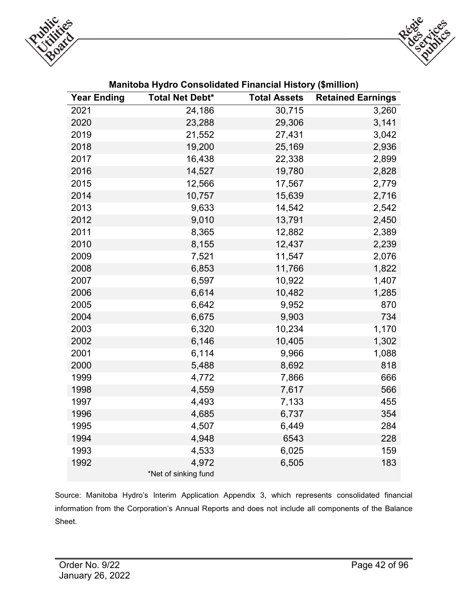



| <b>Year Ending</b> | <b>Total Net Debt*</b>        | <b>Total Assets</b> | <b>Retained Earnings</b> |
|--------------------|-------------------------------|---------------------|--------------------------|
| 2021               | 24,186                        | 30,715              | 3,260                    |
| 2020               | 23,288                        | 29,306              | 3,141                    |
| 2019               | 21,552                        | 27,431              | 3,042                    |
| 2018               | 19,200                        | 25,169              | 2,936                    |
| 2017               | 16,438                        | 22,338              | 2,899                    |
| 2016               | 14,527                        | 19,780              | 2,828                    |
| 2015               | 12,566                        | 17,567              | 2,779                    |
| 2014               | 10,757                        | 15,639              | 2,716                    |
| 2013               | 9,633                         | 14,542              | 2,542                    |
| 2012               | 9,010                         | 13,791              | 2,450                    |
| 2011               | 8,365                         | 12,882              | 2,389                    |
| 2010               | 8,155                         | 12,437              | 2,239                    |
| 2009               | 7,521                         | 11,547              | 2,076                    |
| 2008               | 6,853                         | 11,766              | 1,822                    |
| 2007               | 6,597                         | 10,922              | 1,407                    |
| 2006               | 6,614                         | 10,482              | 1,285                    |
| 2005               | 6,642                         | 9,952               | 870                      |
| 2004               | 6,675                         | 9,903               | 734                      |
| 2003               | 6,320                         | 10,234              | 1,170                    |
| 2002               | 6,146                         | 10,405              | 1,302                    |
| 2001               | 6,114                         | 9,966               | 1,088                    |
| 2000               | 5,488                         | 8,692               | 818                      |
| 1999               | 4,772                         | 7,866               | 666                      |
| 1998               | 4,559                         | 7,617               | 566                      |
| 1997               | 4,493                         | 7,133               | 455                      |
| 1996               | 4,685                         | 6,737               | 354                      |
| 1995               | 4,507                         | 6,449               | 284                      |
| 1994               | 4,948                         | 6543                | 228                      |
| 1993               | 4,533                         | 6,025               | 159                      |
| 1992               | 4,972<br>*Net of sinking fund | 6,505               | 183                      |

#### **Manitoba Hydro Consolidated Financial History (\$million)**

Source: Manitoba Hydro's Interim Application Appendix 3, which represents consolidated financial information from the Corporation's Annual Reports and does not include all components of the Balance Sheet.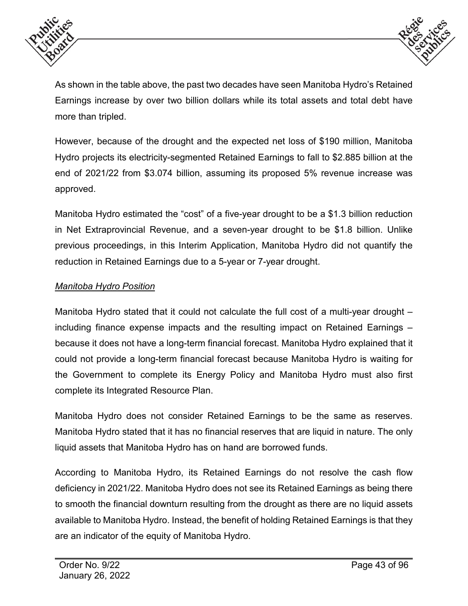



As shown in the table above, the past two decades have seen Manitoba Hydro's Retained Earnings increase by over two billion dollars while its total assets and total debt have more than tripled.

However, because of the drought and the expected net loss of \$190 million, Manitoba Hydro projects its electricity-segmented Retained Earnings to fall to \$2.885 billion at the end of 2021/22 from \$3.074 billion, assuming its proposed 5% revenue increase was approved.

Manitoba Hydro estimated the "cost" of a five-year drought to be a \$1.3 billion reduction in Net Extraprovincial Revenue, and a seven-year drought to be \$1.8 billion. Unlike previous proceedings, in this Interim Application, Manitoba Hydro did not quantify the reduction in Retained Earnings due to a 5-year or 7-year drought.

## *Manitoba Hydro Position*

Manitoba Hydro stated that it could not calculate the full cost of a multi-year drought – including finance expense impacts and the resulting impact on Retained Earnings – because it does not have a long-term financial forecast. Manitoba Hydro explained that it could not provide a long-term financial forecast because Manitoba Hydro is waiting for the Government to complete its Energy Policy and Manitoba Hydro must also first complete its Integrated Resource Plan.

Manitoba Hydro does not consider Retained Earnings to be the same as reserves. Manitoba Hydro stated that it has no financial reserves that are liquid in nature. The only liquid assets that Manitoba Hydro has on hand are borrowed funds.

According to Manitoba Hydro, its Retained Earnings do not resolve the cash flow deficiency in 2021/22. Manitoba Hydro does not see its Retained Earnings as being there to smooth the financial downturn resulting from the drought as there are no liquid assets available to Manitoba Hydro. Instead, the benefit of holding Retained Earnings is that they are an indicator of the equity of Manitoba Hydro.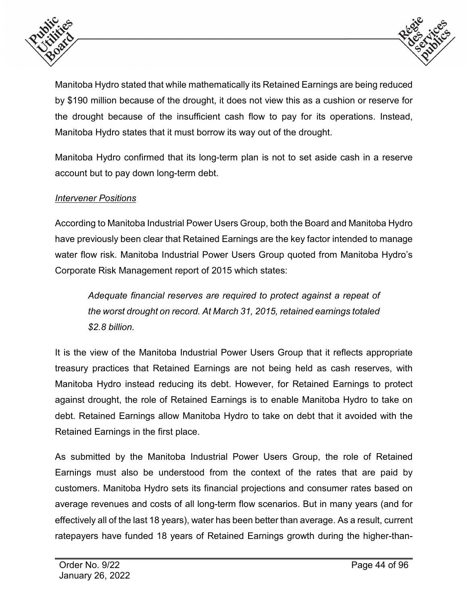



Manitoba Hydro stated that while mathematically its Retained Earnings are being reduced by \$190 million because of the drought, it does not view this as a cushion or reserve for the drought because of the insufficient cash flow to pay for its operations. Instead, Manitoba Hydro states that it must borrow its way out of the drought.

Manitoba Hydro confirmed that its long-term plan is not to set aside cash in a reserve account but to pay down long-term debt.

## *Intervener Positions*

According to Manitoba Industrial Power Users Group, both the Board and Manitoba Hydro have previously been clear that Retained Earnings are the key factor intended to manage water flow risk. Manitoba Industrial Power Users Group quoted from Manitoba Hydro's Corporate Risk Management report of 2015 which states:

*Adequate financial reserves are required to protect against a repeat of the worst drought on record. At March 31, 2015, retained earnings totaled \$2.8 billion.*

It is the view of the Manitoba Industrial Power Users Group that it reflects appropriate treasury practices that Retained Earnings are not being held as cash reserves, with Manitoba Hydro instead reducing its debt. However, for Retained Earnings to protect against drought, the role of Retained Earnings is to enable Manitoba Hydro to take on debt. Retained Earnings allow Manitoba Hydro to take on debt that it avoided with the Retained Earnings in the first place.

As submitted by the Manitoba Industrial Power Users Group, the role of Retained Earnings must also be understood from the context of the rates that are paid by customers. Manitoba Hydro sets its financial projections and consumer rates based on average revenues and costs of all long-term flow scenarios. But in many years (and for effectively all of the last 18 years), water has been better than average. As a result, current ratepayers have funded 18 years of Retained Earnings growth during the higher-than-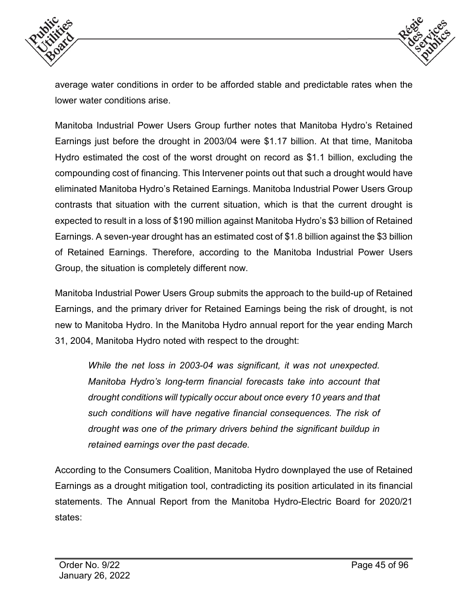



average water conditions in order to be afforded stable and predictable rates when the lower water conditions arise.

Manitoba Industrial Power Users Group further notes that Manitoba Hydro's Retained Earnings just before the drought in 2003/04 were \$1.17 billion. At that time, Manitoba Hydro estimated the cost of the worst drought on record as \$1.1 billion, excluding the compounding cost of financing. This Intervener points out that such a drought would have eliminated Manitoba Hydro's Retained Earnings. Manitoba Industrial Power Users Group contrasts that situation with the current situation, which is that the current drought is expected to result in a loss of \$190 million against Manitoba Hydro's \$3 billion of Retained Earnings. A seven-year drought has an estimated cost of \$1.8 billion against the \$3 billion of Retained Earnings. Therefore, according to the Manitoba Industrial Power Users Group, the situation is completely different now.

Manitoba Industrial Power Users Group submits the approach to the build-up of Retained Earnings, and the primary driver for Retained Earnings being the risk of drought, is not new to Manitoba Hydro. In the Manitoba Hydro annual report for the year ending March 31, 2004, Manitoba Hydro noted with respect to the drought:

*While the net loss in 2003-04 was significant, it was not unexpected. Manitoba Hydro's long-term financial forecasts take into account that drought conditions will typically occur about once every 10 years and that such conditions will have negative financial consequences. The risk of drought was one of the primary drivers behind the significant buildup in retained earnings over the past decade.* 

According to the Consumers Coalition, Manitoba Hydro downplayed the use of Retained Earnings as a drought mitigation tool, contradicting its position articulated in its financial statements. The Annual Report from the Manitoba Hydro-Electric Board for 2020/21 states: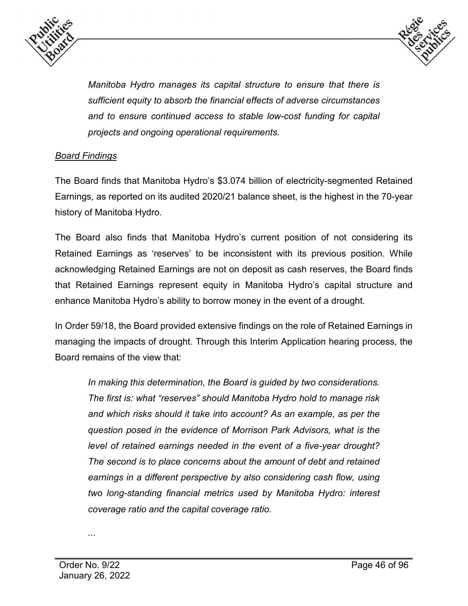



*Manitoba Hydro manages its capital structure to ensure that there is sufficient equity to absorb the financial effects of adverse circumstances and to ensure continued access to stable low-cost funding for capital projects and ongoing operational requirements.* 

## *Board Findings*

The Board finds that Manitoba Hydro's \$3.074 billion of electricity-segmented Retained Earnings, as reported on its audited 2020/21 balance sheet, is the highest in the 70-year history of Manitoba Hydro.

The Board also finds that Manitoba Hydro's current position of not considering its Retained Earnings as 'reserves' to be inconsistent with its previous position. While acknowledging Retained Earnings are not on deposit as cash reserves, the Board finds that Retained Earnings represent equity in Manitoba Hydro's capital structure and enhance Manitoba Hydro's ability to borrow money in the event of a drought.

In Order 59/18, the Board provided extensive findings on the role of Retained Earnings in managing the impacts of drought. Through this Interim Application hearing process, the Board remains of the view that:

*In making this determination, the Board is guided by two considerations. The first is: what "reserves" should Manitoba Hydro hold to manage risk and which risks should it take into account? As an example, as per the question posed in the evidence of Morrison Park Advisors, what is the level of retained earnings needed in the event of a five-year drought? The second is to place concerns about the amount of debt and retained earnings in a different perspective by also considering cash flow, using two long-standing financial metrics used by Manitoba Hydro: interest coverage ratio and the capital coverage ratio.*

*...*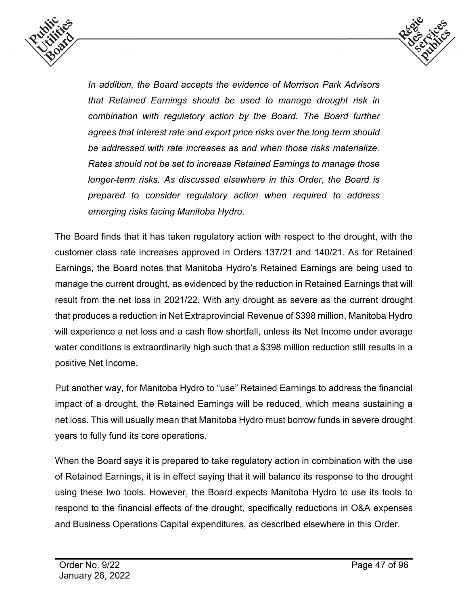



*In addition, the Board accepts the evidence of Morrison Park Advisors that Retained Earnings should be used to manage drought risk in combination with regulatory action by the Board. The Board further agrees that interest rate and export price risks over the long term should be addressed with rate increases as and when those risks materialize. Rates should not be set to increase Retained Earnings to manage those longer-term risks. As discussed elsewhere in this Order, the Board is prepared to consider regulatory action when required to address emerging risks facing Manitoba Hydro.*

The Board finds that it has taken regulatory action with respect to the drought, with the customer class rate increases approved in Orders 137/21 and 140/21. As for Retained Earnings, the Board notes that Manitoba Hydro's Retained Earnings are being used to manage the current drought, as evidenced by the reduction in Retained Earnings that will result from the net loss in 2021/22. With any drought as severe as the current drought that produces a reduction in Net Extraprovincial Revenue of \$398 million, Manitoba Hydro will experience a net loss and a cash flow shortfall, unless its Net Income under average water conditions is extraordinarily high such that a \$398 million reduction still results in a positive Net Income.

Put another way, for Manitoba Hydro to "use" Retained Earnings to address the financial impact of a drought, the Retained Earnings will be reduced, which means sustaining a net loss. This will usually mean that Manitoba Hydro must borrow funds in severe drought years to fully fund its core operations.

When the Board says it is prepared to take regulatory action in combination with the use of Retained Earnings, it is in effect saying that it will balance its response to the drought using these two tools. However, the Board expects Manitoba Hydro to use its tools to respond to the financial effects of the drought, specifically reductions in O&A expenses and Business Operations Capital expenditures, as described elsewhere in this Order.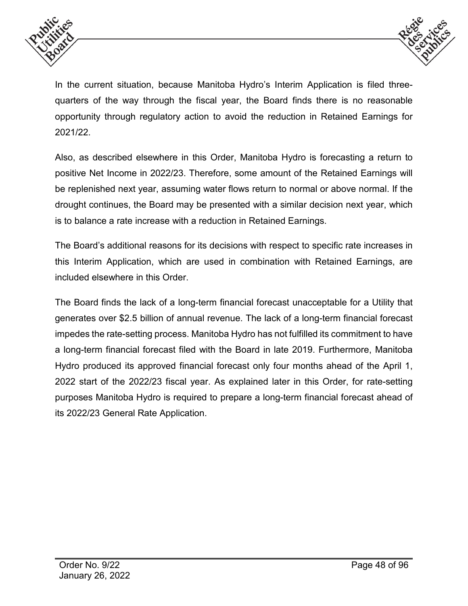



In the current situation, because Manitoba Hydro's Interim Application is filed threequarters of the way through the fiscal year, the Board finds there is no reasonable opportunity through regulatory action to avoid the reduction in Retained Earnings for 2021/22.

Also, as described elsewhere in this Order, Manitoba Hydro is forecasting a return to positive Net Income in 2022/23. Therefore, some amount of the Retained Earnings will be replenished next year, assuming water flows return to normal or above normal. If the drought continues, the Board may be presented with a similar decision next year, which is to balance a rate increase with a reduction in Retained Earnings.

The Board's additional reasons for its decisions with respect to specific rate increases in this Interim Application, which are used in combination with Retained Earnings, are included elsewhere in this Order.

The Board finds the lack of a long-term financial forecast unacceptable for a Utility that generates over \$2.5 billion of annual revenue. The lack of a long-term financial forecast impedes the rate-setting process. Manitoba Hydro has not fulfilled its commitment to have a long-term financial forecast filed with the Board in late 2019. Furthermore, Manitoba Hydro produced its approved financial forecast only four months ahead of the April 1, 2022 start of the 2022/23 fiscal year. As explained later in this Order, for rate-setting purposes Manitoba Hydro is required to prepare a long-term financial forecast ahead of its 2022/23 General Rate Application.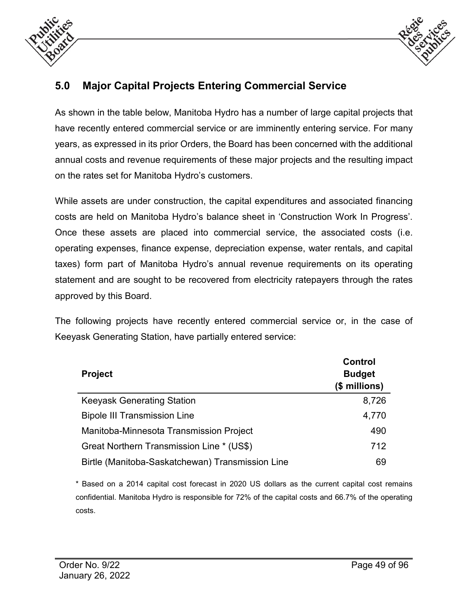



# **5.0 Major Capital Projects Entering Commercial Service**

As shown in the table below, Manitoba Hydro has a number of large capital projects that have recently entered commercial service or are imminently entering service. For many years, as expressed in its prior Orders, the Board has been concerned with the additional annual costs and revenue requirements of these major projects and the resulting impact on the rates set for Manitoba Hydro's customers.

While assets are under construction, the capital expenditures and associated financing costs are held on Manitoba Hydro's balance sheet in 'Construction Work In Progress'. Once these assets are placed into commercial service, the associated costs (i.e. operating expenses, finance expense, depreciation expense, water rentals, and capital taxes) form part of Manitoba Hydro's annual revenue requirements on its operating statement and are sought to be recovered from electricity ratepayers through the rates approved by this Board.

The following projects have recently entered commercial service or, in the case of Keeyask Generating Station, have partially entered service:

| <b>Project</b>                                   | <b>Control</b><br><b>Budget</b><br>(\$ millions) |
|--------------------------------------------------|--------------------------------------------------|
| <b>Keeyask Generating Station</b>                | 8,726                                            |
| <b>Bipole III Transmission Line</b>              | 4,770                                            |
| Manitoba-Minnesota Transmission Project          | 490                                              |
| Great Northern Transmission Line * (US\$)        | 712                                              |
| Birtle (Manitoba-Saskatchewan) Transmission Line | 69                                               |

\* Based on a 2014 capital cost forecast in 2020 US dollars as the current capital cost remains confidential. Manitoba Hydro is responsible for 72% of the capital costs and 66.7% of the operating costs.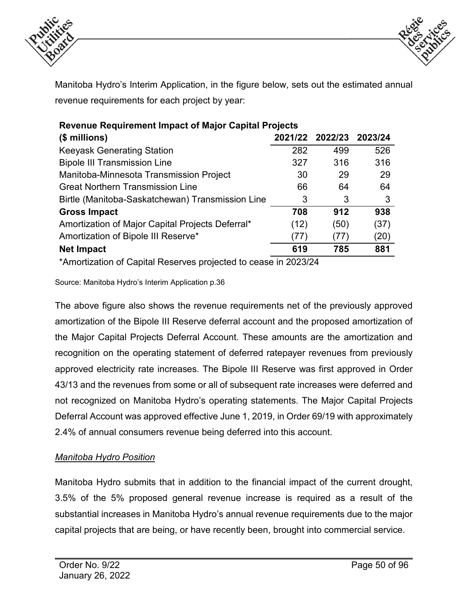



Manitoba Hydro's Interim Application, in the figure below, sets out the estimated annual revenue requirements for each project by year:

| <b>Revenue Requirement Impact of Major Capital Projects</b> |      |                 |         |  |  |  |  |
|-------------------------------------------------------------|------|-----------------|---------|--|--|--|--|
| $$$ millions)                                               |      | 2021/22 2022/23 | 2023/24 |  |  |  |  |
| <b>Keeyask Generating Station</b>                           | 282  | 499             | 526     |  |  |  |  |
| <b>Bipole III Transmission Line</b>                         | 327  | 316             | 316     |  |  |  |  |
| Manitoba-Minnesota Transmission Project                     | 30   | 29              | 29      |  |  |  |  |
| <b>Great Northern Transmission Line</b>                     | 66   | 64              | 64      |  |  |  |  |
| Birtle (Manitoba-Saskatchewan) Transmission Line            | 3    | 3               | 3       |  |  |  |  |
| <b>Gross Impact</b>                                         | 708  | 912             | 938     |  |  |  |  |
| Amortization of Major Capital Projects Deferral*            | (12) | (50)            | (37)    |  |  |  |  |
| Amortization of Bipole III Reserve*                         | (77) | (77)            | (20)    |  |  |  |  |
| <b>Net Impact</b>                                           | 619  | 785             | 881     |  |  |  |  |
|                                                             |      |                 |         |  |  |  |  |

\*Amortization of Capital Reserves projected to cease in 2023/24

Source: Manitoba Hydro's Interim Application p.36

The above figure also shows the revenue requirements net of the previously approved amortization of the Bipole III Reserve deferral account and the proposed amortization of the Major Capital Projects Deferral Account. These amounts are the amortization and recognition on the operating statement of deferred ratepayer revenues from previously approved electricity rate increases. The Bipole III Reserve was first approved in Order 43/13 and the revenues from some or all of subsequent rate increases were deferred and not recognized on Manitoba Hydro's operating statements. The Major Capital Projects Deferral Account was approved effective June 1, 2019, in Order 69/19 with approximately 2.4% of annual consumers revenue being deferred into this account.

#### *Manitoba Hydro Position*

Manitoba Hydro submits that in addition to the financial impact of the current drought, 3.5% of the 5% proposed general revenue increase is required as a result of the substantial increases in Manitoba Hydro's annual revenue requirements due to the major capital projects that are being, or have recently been, brought into commercial service.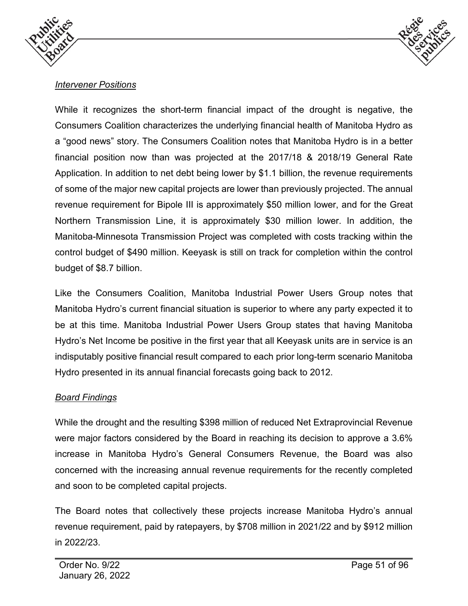



# *Intervener Positions*

While it recognizes the short-term financial impact of the drought is negative, the Consumers Coalition characterizes the underlying financial health of Manitoba Hydro as a "good news" story. The Consumers Coalition notes that Manitoba Hydro is in a better financial position now than was projected at the 2017/18 & 2018/19 General Rate Application. In addition to net debt being lower by \$1.1 billion, the revenue requirements of some of the major new capital projects are lower than previously projected. The annual revenue requirement for Bipole III is approximately \$50 million lower, and for the Great Northern Transmission Line, it is approximately \$30 million lower. In addition, the Manitoba-Minnesota Transmission Project was completed with costs tracking within the control budget of \$490 million. Keeyask is still on track for completion within the control budget of \$8.7 billion.

Like the Consumers Coalition, Manitoba Industrial Power Users Group notes that Manitoba Hydro's current financial situation is superior to where any party expected it to be at this time. Manitoba Industrial Power Users Group states that having Manitoba Hydro's Net Income be positive in the first year that all Keeyask units are in service is an indisputably positive financial result compared to each prior long-term scenario Manitoba Hydro presented in its annual financial forecasts going back to 2012.

# *Board Findings*

While the drought and the resulting \$398 million of reduced Net Extraprovincial Revenue were major factors considered by the Board in reaching its decision to approve a 3.6% increase in Manitoba Hydro's General Consumers Revenue, the Board was also concerned with the increasing annual revenue requirements for the recently completed and soon to be completed capital projects.

The Board notes that collectively these projects increase Manitoba Hydro's annual revenue requirement, paid by ratepayers, by \$708 million in 2021/22 and by \$912 million in 2022/23.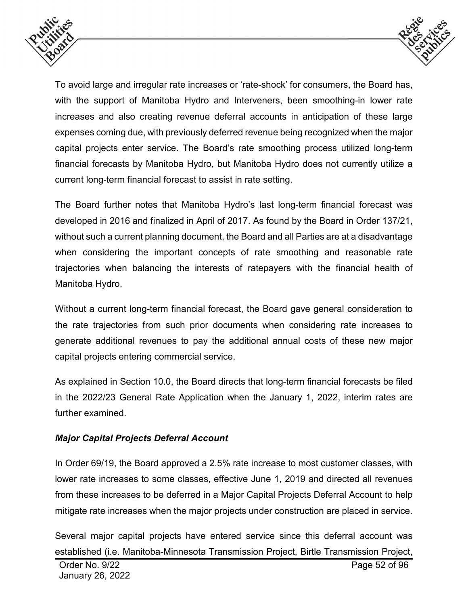



To avoid large and irregular rate increases or 'rate-shock' for consumers, the Board has, with the support of Manitoba Hydro and Interveners, been smoothing-in lower rate increases and also creating revenue deferral accounts in anticipation of these large expenses coming due, with previously deferred revenue being recognized when the major capital projects enter service. The Board's rate smoothing process utilized long-term financial forecasts by Manitoba Hydro, but Manitoba Hydro does not currently utilize a current long-term financial forecast to assist in rate setting.

The Board further notes that Manitoba Hydro's last long-term financial forecast was developed in 2016 and finalized in April of 2017. As found by the Board in Order 137/21, without such a current planning document, the Board and all Parties are at a disadvantage when considering the important concepts of rate smoothing and reasonable rate trajectories when balancing the interests of ratepayers with the financial health of Manitoba Hydro.

Without a current long-term financial forecast, the Board gave general consideration to the rate trajectories from such prior documents when considering rate increases to generate additional revenues to pay the additional annual costs of these new major capital projects entering commercial service.

As explained in Section 10.0, the Board directs that long-term financial forecasts be filed in the 2022/23 General Rate Application when the January 1, 2022, interim rates are further examined.

# *Major Capital Projects Deferral Account*

In Order 69/19, the Board approved a 2.5% rate increase to most customer classes, with lower rate increases to some classes, effective June 1, 2019 and directed all revenues from these increases to be deferred in a Major Capital Projects Deferral Account to help mitigate rate increases when the major projects under construction are placed in service.

Several major capital projects have entered service since this deferral account was established (i.e. Manitoba-Minnesota Transmission Project, Birtle Transmission Project,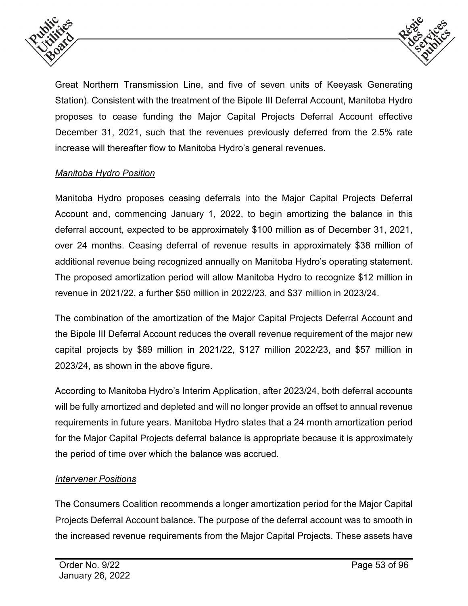



Great Northern Transmission Line, and five of seven units of Keeyask Generating Station). Consistent with the treatment of the Bipole III Deferral Account, Manitoba Hydro proposes to cease funding the Major Capital Projects Deferral Account effective December 31, 2021, such that the revenues previously deferred from the 2.5% rate increase will thereafter flow to Manitoba Hydro's general revenues.

# *Manitoba Hydro Position*

Manitoba Hydro proposes ceasing deferrals into the Major Capital Projects Deferral Account and, commencing January 1, 2022, to begin amortizing the balance in this deferral account, expected to be approximately \$100 million as of December 31, 2021, over 24 months. Ceasing deferral of revenue results in approximately \$38 million of additional revenue being recognized annually on Manitoba Hydro's operating statement. The proposed amortization period will allow Manitoba Hydro to recognize \$12 million in revenue in 2021/22, a further \$50 million in 2022/23, and \$37 million in 2023/24.

The combination of the amortization of the Major Capital Projects Deferral Account and the Bipole III Deferral Account reduces the overall revenue requirement of the major new capital projects by \$89 million in 2021/22, \$127 million 2022/23, and \$57 million in 2023/24, as shown in the above figure.

According to Manitoba Hydro's Interim Application, after 2023/24, both deferral accounts will be fully amortized and depleted and will no longer provide an offset to annual revenue requirements in future years. Manitoba Hydro states that a 24 month amortization period for the Major Capital Projects deferral balance is appropriate because it is approximately the period of time over which the balance was accrued.

# *Intervener Positions*

The Consumers Coalition recommends a longer amortization period for the Major Capital Projects Deferral Account balance. The purpose of the deferral account was to smooth in the increased revenue requirements from the Major Capital Projects. These assets have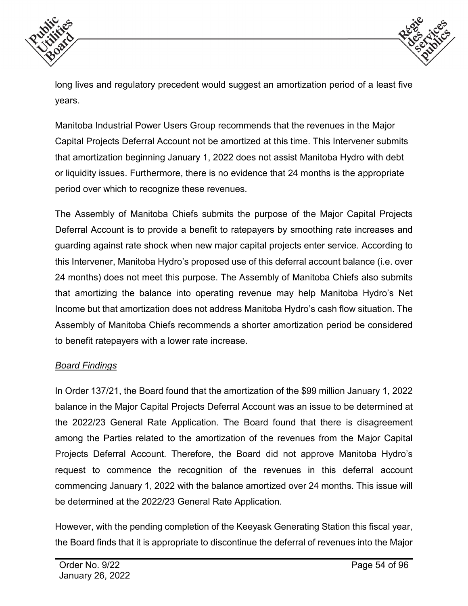



long lives and regulatory precedent would suggest an amortization period of a least five years.

Manitoba Industrial Power Users Group recommends that the revenues in the Major Capital Projects Deferral Account not be amortized at this time. This Intervener submits that amortization beginning January 1, 2022 does not assist Manitoba Hydro with debt or liquidity issues. Furthermore, there is no evidence that 24 months is the appropriate period over which to recognize these revenues.

The Assembly of Manitoba Chiefs submits the purpose of the Major Capital Projects Deferral Account is to provide a benefit to ratepayers by smoothing rate increases and guarding against rate shock when new major capital projects enter service. According to this Intervener, Manitoba Hydro's proposed use of this deferral account balance (i.e. over 24 months) does not meet this purpose. The Assembly of Manitoba Chiefs also submits that amortizing the balance into operating revenue may help Manitoba Hydro's Net Income but that amortization does not address Manitoba Hydro's cash flow situation. The Assembly of Manitoba Chiefs recommends a shorter amortization period be considered to benefit ratepayers with a lower rate increase.

#### *Board Findings*

In Order 137/21, the Board found that the amortization of the \$99 million January 1, 2022 balance in the Major Capital Projects Deferral Account was an issue to be determined at the 2022/23 General Rate Application. The Board found that there is disagreement among the Parties related to the amortization of the revenues from the Major Capital Projects Deferral Account. Therefore, the Board did not approve Manitoba Hydro's request to commence the recognition of the revenues in this deferral account commencing January 1, 2022 with the balance amortized over 24 months. This issue will be determined at the 2022/23 General Rate Application.

However, with the pending completion of the Keeyask Generating Station this fiscal year, the Board finds that it is appropriate to discontinue the deferral of revenues into the Major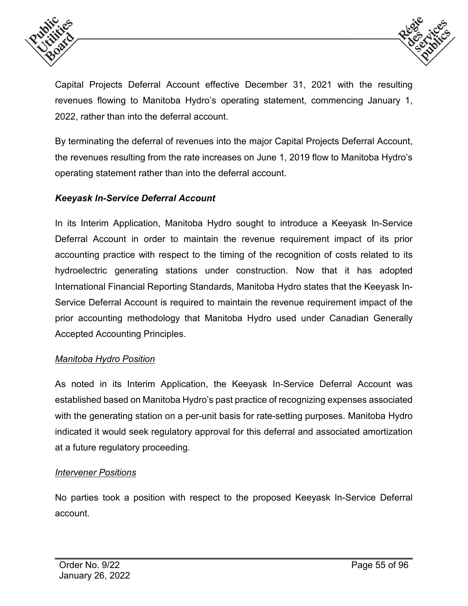



Capital Projects Deferral Account effective December 31, 2021 with the resulting revenues flowing to Manitoba Hydro's operating statement, commencing January 1, 2022, rather than into the deferral account.

By terminating the deferral of revenues into the major Capital Projects Deferral Account, the revenues resulting from the rate increases on June 1, 2019 flow to Manitoba Hydro's operating statement rather than into the deferral account.

## *Keeyask In-Service Deferral Account*

In its Interim Application, Manitoba Hydro sought to introduce a Keeyask In-Service Deferral Account in order to maintain the revenue requirement impact of its prior accounting practice with respect to the timing of the recognition of costs related to its hydroelectric generating stations under construction. Now that it has adopted International Financial Reporting Standards, Manitoba Hydro states that the Keeyask In-Service Deferral Account is required to maintain the revenue requirement impact of the prior accounting methodology that Manitoba Hydro used under Canadian Generally Accepted Accounting Principles.

#### *Manitoba Hydro Position*

As noted in its Interim Application, the Keeyask In-Service Deferral Account was established based on Manitoba Hydro's past practice of recognizing expenses associated with the generating station on a per-unit basis for rate-setting purposes. Manitoba Hydro indicated it would seek regulatory approval for this deferral and associated amortization at a future regulatory proceeding.

#### *Intervener Positions*

No parties took a position with respect to the proposed Keeyask In-Service Deferral account.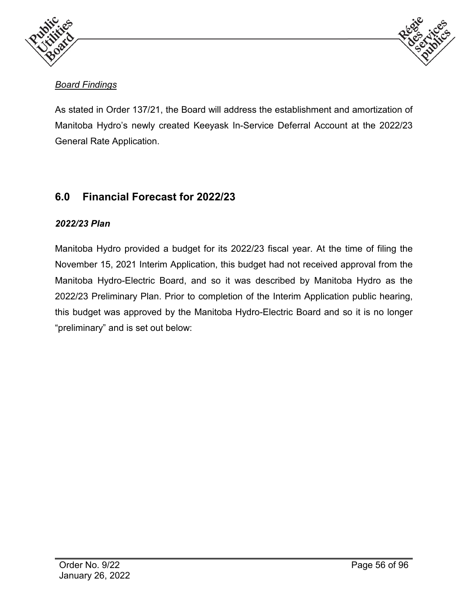



# *Board Findings*

As stated in Order 137/21, the Board will address the establishment and amortization of Manitoba Hydro's newly created Keeyask In-Service Deferral Account at the 2022/23 General Rate Application.

# **6.0 Financial Forecast for 2022/23**

# *2022/23 Plan*

Manitoba Hydro provided a budget for its 2022/23 fiscal year. At the time of filing the November 15, 2021 Interim Application, this budget had not received approval from the Manitoba Hydro-Electric Board, and so it was described by Manitoba Hydro as the 2022/23 Preliminary Plan. Prior to completion of the Interim Application public hearing, this budget was approved by the Manitoba Hydro-Electric Board and so it is no longer "preliminary" and is set out below: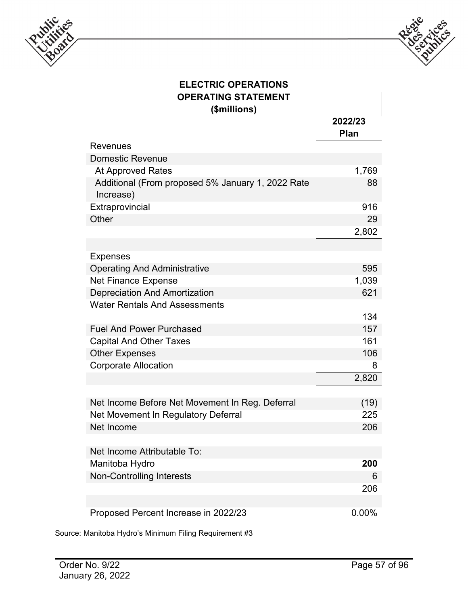



| <b>ELECTRIC OPERATIONS</b>                                     |                 |  |  |  |  |
|----------------------------------------------------------------|-----------------|--|--|--|--|
| <b>OPERATING STATEMENT</b>                                     |                 |  |  |  |  |
| (\$millions)                                                   | 2022/23<br>Plan |  |  |  |  |
| <b>Revenues</b>                                                |                 |  |  |  |  |
| <b>Domestic Revenue</b>                                        |                 |  |  |  |  |
| <b>At Approved Rates</b>                                       | 1,769           |  |  |  |  |
| Additional (From proposed 5% January 1, 2022 Rate<br>Increase) | 88              |  |  |  |  |
| Extraprovincial                                                | 916             |  |  |  |  |
| Other                                                          | 29              |  |  |  |  |
|                                                                | 2,802           |  |  |  |  |
|                                                                |                 |  |  |  |  |
| <b>Expenses</b>                                                |                 |  |  |  |  |
| <b>Operating And Administrative</b>                            | 595             |  |  |  |  |
| Net Finance Expense                                            | 1,039           |  |  |  |  |
| <b>Depreciation And Amortization</b>                           | 621             |  |  |  |  |
| <b>Water Rentals And Assessments</b>                           | 134             |  |  |  |  |
| <b>Fuel And Power Purchased</b>                                | 157             |  |  |  |  |
| <b>Capital And Other Taxes</b>                                 | 161             |  |  |  |  |
| <b>Other Expenses</b>                                          | 106             |  |  |  |  |
| <b>Corporate Allocation</b>                                    | 8               |  |  |  |  |
|                                                                | 2,820           |  |  |  |  |
| Net Income Before Net Movement In Reg. Deferral                | (19)            |  |  |  |  |
| Net Movement In Regulatory Deferral                            | 225             |  |  |  |  |
| Net Income                                                     | 206             |  |  |  |  |
|                                                                |                 |  |  |  |  |
| Net Income Attributable To:                                    |                 |  |  |  |  |
| Manitoba Hydro                                                 | 200             |  |  |  |  |
| <b>Non-Controlling Interests</b>                               | 6               |  |  |  |  |
|                                                                | 206             |  |  |  |  |
|                                                                |                 |  |  |  |  |
| Proposed Percent Increase in 2022/23                           | $0.00\%$        |  |  |  |  |

Source: Manitoba Hydro's Minimum Filing Requirement #3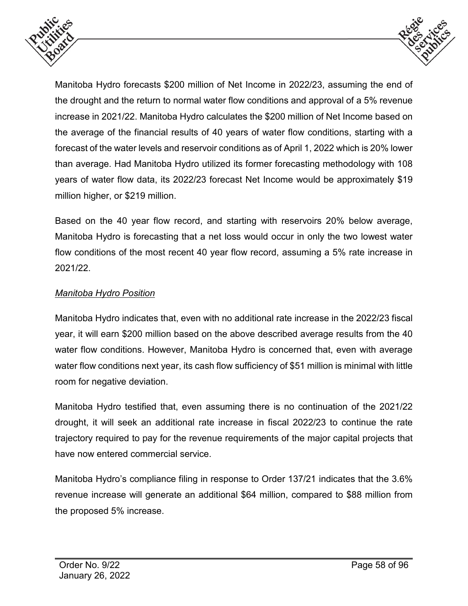



Manitoba Hydro forecasts \$200 million of Net Income in 2022/23, assuming the end of the drought and the return to normal water flow conditions and approval of a 5% revenue increase in 2021/22. Manitoba Hydro calculates the \$200 million of Net Income based on the average of the financial results of 40 years of water flow conditions, starting with a forecast of the water levels and reservoir conditions as of April 1, 2022 which is 20% lower than average. Had Manitoba Hydro utilized its former forecasting methodology with 108 years of water flow data, its 2022/23 forecast Net Income would be approximately \$19 million higher, or \$219 million.

Based on the 40 year flow record, and starting with reservoirs 20% below average, Manitoba Hydro is forecasting that a net loss would occur in only the two lowest water flow conditions of the most recent 40 year flow record, assuming a 5% rate increase in 2021/22.

## *Manitoba Hydro Position*

Manitoba Hydro indicates that, even with no additional rate increase in the 2022/23 fiscal year, it will earn \$200 million based on the above described average results from the 40 water flow conditions. However, Manitoba Hydro is concerned that, even with average water flow conditions next year, its cash flow sufficiency of \$51 million is minimal with little room for negative deviation.

Manitoba Hydro testified that, even assuming there is no continuation of the 2021/22 drought, it will seek an additional rate increase in fiscal 2022/23 to continue the rate trajectory required to pay for the revenue requirements of the major capital projects that have now entered commercial service.

Manitoba Hydro's compliance filing in response to Order 137/21 indicates that the 3.6% revenue increase will generate an additional \$64 million, compared to \$88 million from the proposed 5% increase.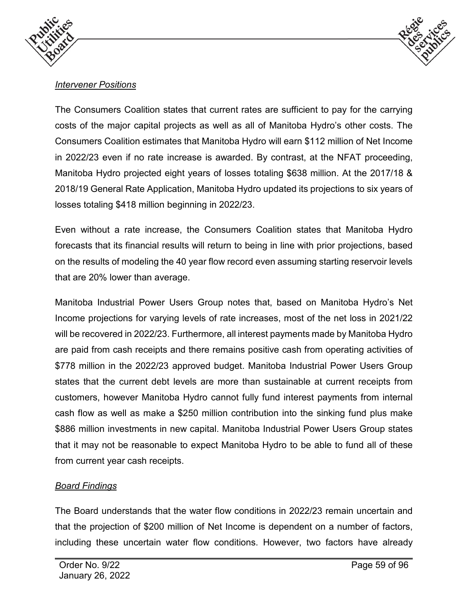



# *Intervener Positions*

The Consumers Coalition states that current rates are sufficient to pay for the carrying costs of the major capital projects as well as all of Manitoba Hydro's other costs. The Consumers Coalition estimates that Manitoba Hydro will earn \$112 million of Net Income in 2022/23 even if no rate increase is awarded. By contrast, at the NFAT proceeding, Manitoba Hydro projected eight years of losses totaling \$638 million. At the 2017/18 & 2018/19 General Rate Application, Manitoba Hydro updated its projections to six years of losses totaling \$418 million beginning in 2022/23.

Even without a rate increase, the Consumers Coalition states that Manitoba Hydro forecasts that its financial results will return to being in line with prior projections, based on the results of modeling the 40 year flow record even assuming starting reservoir levels that are 20% lower than average.

Manitoba Industrial Power Users Group notes that, based on Manitoba Hydro's Net Income projections for varying levels of rate increases, most of the net loss in 2021/22 will be recovered in 2022/23. Furthermore, all interest payments made by Manitoba Hydro are paid from cash receipts and there remains positive cash from operating activities of \$778 million in the 2022/23 approved budget. Manitoba Industrial Power Users Group states that the current debt levels are more than sustainable at current receipts from customers, however Manitoba Hydro cannot fully fund interest payments from internal cash flow as well as make a \$250 million contribution into the sinking fund plus make \$886 million investments in new capital. Manitoba Industrial Power Users Group states that it may not be reasonable to expect Manitoba Hydro to be able to fund all of these from current year cash receipts.

#### *Board Findings*

The Board understands that the water flow conditions in 2022/23 remain uncertain and that the projection of \$200 million of Net Income is dependent on a number of factors, including these uncertain water flow conditions. However, two factors have already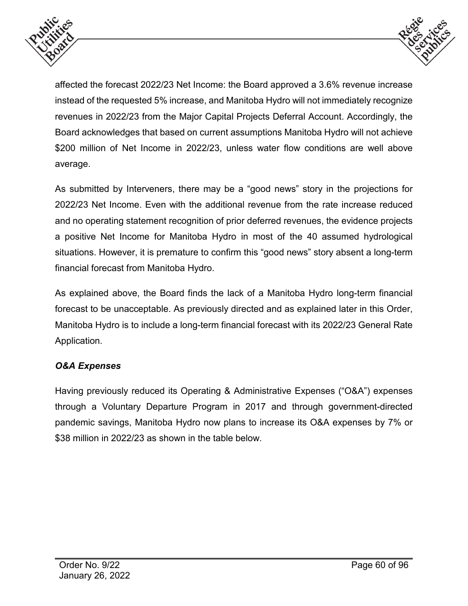



affected the forecast 2022/23 Net Income: the Board approved a 3.6% revenue increase instead of the requested 5% increase, and Manitoba Hydro will not immediately recognize revenues in 2022/23 from the Major Capital Projects Deferral Account. Accordingly, the Board acknowledges that based on current assumptions Manitoba Hydro will not achieve \$200 million of Net Income in 2022/23, unless water flow conditions are well above average.

As submitted by Interveners, there may be a "good news" story in the projections for 2022/23 Net Income. Even with the additional revenue from the rate increase reduced and no operating statement recognition of prior deferred revenues, the evidence projects a positive Net Income for Manitoba Hydro in most of the 40 assumed hydrological situations. However, it is premature to confirm this "good news" story absent a long-term financial forecast from Manitoba Hydro.

As explained above, the Board finds the lack of a Manitoba Hydro long-term financial forecast to be unacceptable. As previously directed and as explained later in this Order, Manitoba Hydro is to include a long-term financial forecast with its 2022/23 General Rate Application.

# *O&A Expenses*

Having previously reduced its Operating & Administrative Expenses ("O&A") expenses through a Voluntary Departure Program in 2017 and through government-directed pandemic savings, Manitoba Hydro now plans to increase its O&A expenses by 7% or \$38 million in 2022/23 as shown in the table below.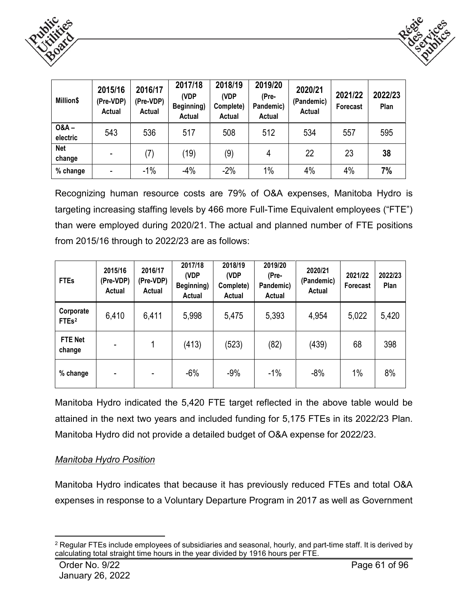



| Million\$           | 2015/16<br>(Pre-VDP)<br>Actual | 2016/17<br>(Pre-VDP)<br>Actual | 2017/18<br>(VDP<br>Beginning)<br>Actual | 2018/19<br>(VDP<br>Complete)<br>Actual | 2019/20<br>(Pre-<br>Pandemic)<br>Actual | 2020/21<br>(Pandemic)<br><b>Actual</b> | 2021/22<br>Forecast | 2022/23<br>Plan |
|---------------------|--------------------------------|--------------------------------|-----------------------------------------|----------------------------------------|-----------------------------------------|----------------------------------------|---------------------|-----------------|
| $0&A -$<br>electric | 543                            | 536                            | 517                                     | 508                                    | 512                                     | 534                                    | 557                 | 595             |
| Net<br>change       | ۰                              | (7)                            | (19)                                    | (9)                                    | 4                                       | 22                                     | 23                  | 38              |
| % change            | ۰                              | $-1%$                          | $-4%$                                   | $-2%$                                  | $1\%$                                   | 4%                                     | 4%                  | 7%              |

Recognizing human resource costs are 79% of O&A expenses, Manitoba Hydro is targeting increasing staffing levels by 466 more Full-Time Equivalent employees ("FTE") than were employed during 2020/21. The actual and planned number of FTE positions from 2015/16 through to 2022/23 are as follows:

| <b>FTEs</b>                               | 2015/16<br>(Pre-VDP)<br>Actual | 2016/17<br>(Pre-VDP)<br>Actual | 2017/18<br>(VDP<br>Beginning)<br>Actual | 2018/19<br>(VDP<br>Complete)<br>Actual | 2019/20<br>(Pre-<br>Pandemic)<br>Actual | 2020/21<br>(Pandemic)<br>Actual | 2021/22<br>Forecast | 2022/23<br>Plan |
|-------------------------------------------|--------------------------------|--------------------------------|-----------------------------------------|----------------------------------------|-----------------------------------------|---------------------------------|---------------------|-----------------|
| Corporate<br>FTE <sub>s<sup>2</sup></sub> | 6,410                          | 6,411                          | 5,998                                   | 5,475                                  | 5,393                                   | 4,954                           | 5,022               | 5,420           |
| <b>FTE Net</b><br>change                  | $\overline{\phantom{0}}$       | 1                              | (413)                                   | (523)                                  | (82)                                    | (439)                           | 68                  | 398             |
| % change                                  | -                              |                                | $-6%$                                   | $-9%$                                  | $-1%$                                   | $-8%$                           | 1%                  | 8%              |

Manitoba Hydro indicated the 5,420 FTE target reflected in the above table would be attained in the next two years and included funding for 5,175 FTEs in its 2022/23 Plan. Manitoba Hydro did not provide a detailed budget of O&A expense for 2022/23.

#### *Manitoba Hydro Position*

Manitoba Hydro indicates that because it has previously reduced FTEs and total O&A expenses in response to a Voluntary Departure Program in 2017 as well as Government

<span id="page-60-0"></span> <sup>2</sup> Regular FTEs include employees of subsidiaries and seasonal, hourly, and part-time staff. It is derived by calculating total straight time hours in the year divided by 1916 hours per FTE.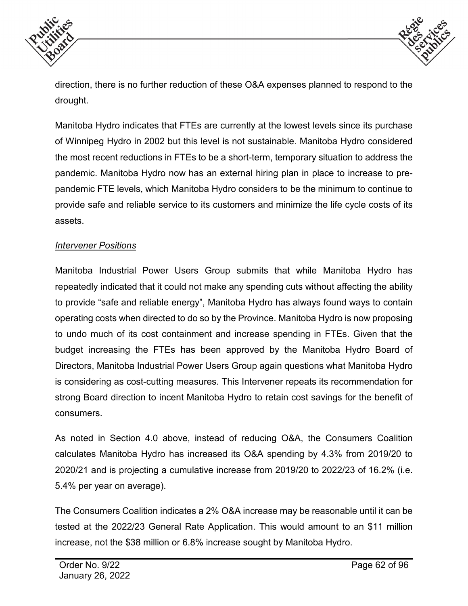



direction, there is no further reduction of these O&A expenses planned to respond to the drought.

Manitoba Hydro indicates that FTEs are currently at the lowest levels since its purchase of Winnipeg Hydro in 2002 but this level is not sustainable. Manitoba Hydro considered the most recent reductions in FTEs to be a short-term, temporary situation to address the pandemic. Manitoba Hydro now has an external hiring plan in place to increase to prepandemic FTE levels, which Manitoba Hydro considers to be the minimum to continue to provide safe and reliable service to its customers and minimize the life cycle costs of its assets.

#### *Intervener Positions*

Manitoba Industrial Power Users Group submits that while Manitoba Hydro has repeatedly indicated that it could not make any spending cuts without affecting the ability to provide "safe and reliable energy", Manitoba Hydro has always found ways to contain operating costs when directed to do so by the Province. Manitoba Hydro is now proposing to undo much of its cost containment and increase spending in FTEs. Given that the budget increasing the FTEs has been approved by the Manitoba Hydro Board of Directors, Manitoba Industrial Power Users Group again questions what Manitoba Hydro is considering as cost-cutting measures. This Intervener repeats its recommendation for strong Board direction to incent Manitoba Hydro to retain cost savings for the benefit of consumers.

As noted in Section 4.0 above, instead of reducing O&A, the Consumers Coalition calculates Manitoba Hydro has increased its O&A spending by 4.3% from 2019/20 to 2020/21 and is projecting a cumulative increase from 2019/20 to 2022/23 of 16.2% (i.e. 5.4% per year on average).

The Consumers Coalition indicates a 2% O&A increase may be reasonable until it can be tested at the 2022/23 General Rate Application. This would amount to an \$11 million increase, not the \$38 million or 6.8% increase sought by Manitoba Hydro.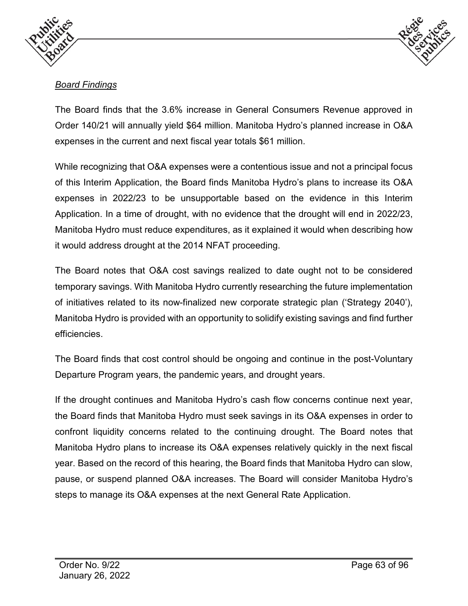



# *Board Findings*

The Board finds that the 3.6% increase in General Consumers Revenue approved in Order 140/21 will annually yield \$64 million. Manitoba Hydro's planned increase in O&A expenses in the current and next fiscal year totals \$61 million.

While recognizing that O&A expenses were a contentious issue and not a principal focus of this Interim Application, the Board finds Manitoba Hydro's plans to increase its O&A expenses in 2022/23 to be unsupportable based on the evidence in this Interim Application. In a time of drought, with no evidence that the drought will end in 2022/23, Manitoba Hydro must reduce expenditures, as it explained it would when describing how it would address drought at the 2014 NFAT proceeding.

The Board notes that O&A cost savings realized to date ought not to be considered temporary savings. With Manitoba Hydro currently researching the future implementation of initiatives related to its now-finalized new corporate strategic plan ('Strategy 2040'), Manitoba Hydro is provided with an opportunity to solidify existing savings and find further efficiencies.

The Board finds that cost control should be ongoing and continue in the post-Voluntary Departure Program years, the pandemic years, and drought years.

If the drought continues and Manitoba Hydro's cash flow concerns continue next year, the Board finds that Manitoba Hydro must seek savings in its O&A expenses in order to confront liquidity concerns related to the continuing drought. The Board notes that Manitoba Hydro plans to increase its O&A expenses relatively quickly in the next fiscal year. Based on the record of this hearing, the Board finds that Manitoba Hydro can slow, pause, or suspend planned O&A increases. The Board will consider Manitoba Hydro's steps to manage its O&A expenses at the next General Rate Application.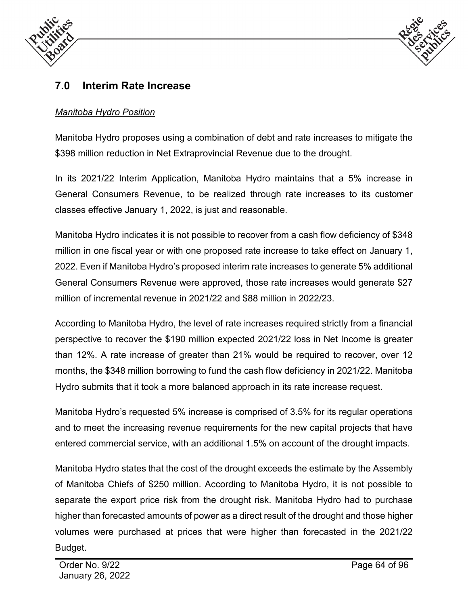



# **7.0 Interim Rate Increase**

# *Manitoba Hydro Position*

Manitoba Hydro proposes using a combination of debt and rate increases to mitigate the \$398 million reduction in Net Extraprovincial Revenue due to the drought.

In its 2021/22 Interim Application, Manitoba Hydro maintains that a 5% increase in General Consumers Revenue, to be realized through rate increases to its customer classes effective January 1, 2022, is just and reasonable.

Manitoba Hydro indicates it is not possible to recover from a cash flow deficiency of \$348 million in one fiscal year or with one proposed rate increase to take effect on January 1, 2022. Even if Manitoba Hydro's proposed interim rate increases to generate 5% additional General Consumers Revenue were approved, those rate increases would generate \$27 million of incremental revenue in 2021/22 and \$88 million in 2022/23.

According to Manitoba Hydro, the level of rate increases required strictly from a financial perspective to recover the \$190 million expected 2021/22 loss in Net Income is greater than 12%. A rate increase of greater than 21% would be required to recover, over 12 months, the \$348 million borrowing to fund the cash flow deficiency in 2021/22. Manitoba Hydro submits that it took a more balanced approach in its rate increase request.

Manitoba Hydro's requested 5% increase is comprised of 3.5% for its regular operations and to meet the increasing revenue requirements for the new capital projects that have entered commercial service, with an additional 1.5% on account of the drought impacts.

Manitoba Hydro states that the cost of the drought exceeds the estimate by the Assembly of Manitoba Chiefs of \$250 million. According to Manitoba Hydro, it is not possible to separate the export price risk from the drought risk. Manitoba Hydro had to purchase higher than forecasted amounts of power as a direct result of the drought and those higher volumes were purchased at prices that were higher than forecasted in the 2021/22 Budget.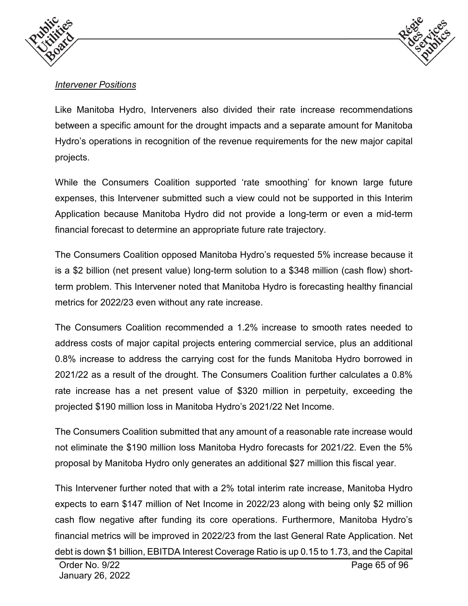



# *Intervener Positions*

Like Manitoba Hydro, Interveners also divided their rate increase recommendations between a specific amount for the drought impacts and a separate amount for Manitoba Hydro's operations in recognition of the revenue requirements for the new major capital projects.

While the Consumers Coalition supported 'rate smoothing' for known large future expenses, this Intervener submitted such a view could not be supported in this Interim Application because Manitoba Hydro did not provide a long-term or even a mid-term financial forecast to determine an appropriate future rate trajectory.

The Consumers Coalition opposed Manitoba Hydro's requested 5% increase because it is a \$2 billion (net present value) long-term solution to a \$348 million (cash flow) shortterm problem. This Intervener noted that Manitoba Hydro is forecasting healthy financial metrics for 2022/23 even without any rate increase.

The Consumers Coalition recommended a 1.2% increase to smooth rates needed to address costs of major capital projects entering commercial service, plus an additional 0.8% increase to address the carrying cost for the funds Manitoba Hydro borrowed in 2021/22 as a result of the drought. The Consumers Coalition further calculates a 0.8% rate increase has a net present value of \$320 million in perpetuity, exceeding the projected \$190 million loss in Manitoba Hydro's 2021/22 Net Income.

The Consumers Coalition submitted that any amount of a reasonable rate increase would not eliminate the \$190 million loss Manitoba Hydro forecasts for 2021/22. Even the 5% proposal by Manitoba Hydro only generates an additional \$27 million this fiscal year.

This Intervener further noted that with a 2% total interim rate increase, Manitoba Hydro expects to earn \$147 million of Net Income in 2022/23 along with being only \$2 million cash flow negative after funding its core operations. Furthermore, Manitoba Hydro's financial metrics will be improved in 2022/23 from the last General Rate Application. Net debt is down \$1 billion, EBITDA Interest Coverage Ratio is up 0.15 to 1.73, and the Capital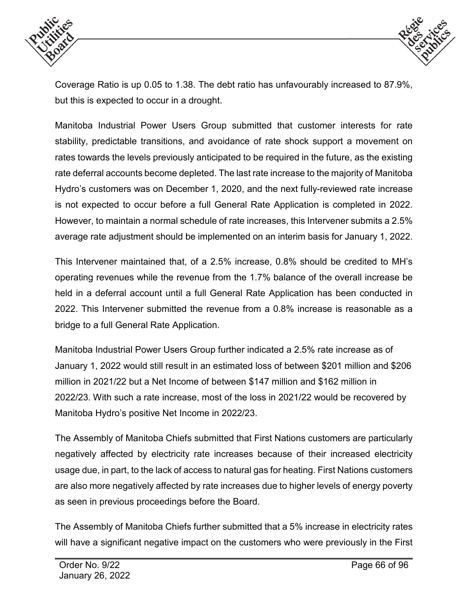



Coverage Ratio is up 0.05 to 1.38. The debt ratio has unfavourably increased to 87.9%, but this is expected to occur in a drought.

Manitoba Industrial Power Users Group submitted that customer interests for rate stability, predictable transitions, and avoidance of rate shock support a movement on rates towards the levels previously anticipated to be required in the future, as the existing rate deferral accounts become depleted. The last rate increase to the majority of Manitoba Hydro's customers was on December 1, 2020, and the next fully-reviewed rate increase is not expected to occur before a full General Rate Application is completed in 2022. However, to maintain a normal schedule of rate increases, this Intervener submits a 2.5% average rate adjustment should be implemented on an interim basis for January 1, 2022.

This Intervener maintained that, of a 2.5% increase, 0.8% should be credited to MH's operating revenues while the revenue from the 1.7% balance of the overall increase be held in a deferral account until a full General Rate Application has been conducted in 2022. This Intervener submitted the revenue from a 0.8% increase is reasonable as a bridge to a full General Rate Application.

Manitoba Industrial Power Users Group further indicated a 2.5% rate increase as of January 1, 2022 would still result in an estimated loss of between \$201 million and \$206 million in 2021/22 but a Net Income of between \$147 million and \$162 million in 2022/23. With such a rate increase, most of the loss in 2021/22 would be recovered by Manitoba Hydro's positive Net Income in 2022/23.

The Assembly of Manitoba Chiefs submitted that First Nations customers are particularly negatively affected by electricity rate increases because of their increased electricity usage due, in part, to the lack of access to natural gas for heating. First Nations customers are also more negatively affected by rate increases due to higher levels of energy poverty as seen in previous proceedings before the Board.

The Assembly of Manitoba Chiefs further submitted that a 5% increase in electricity rates will have a significant negative impact on the customers who were previously in the First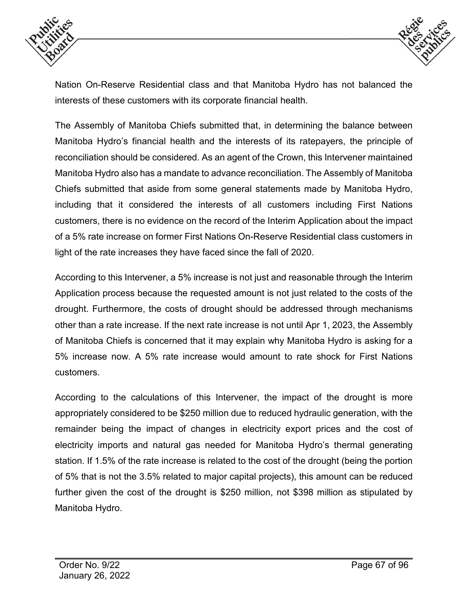



Nation On-Reserve Residential class and that Manitoba Hydro has not balanced the interests of these customers with its corporate financial health.

The Assembly of Manitoba Chiefs submitted that, in determining the balance between Manitoba Hydro's financial health and the interests of its ratepayers, the principle of reconciliation should be considered. As an agent of the Crown, this Intervener maintained Manitoba Hydro also has a mandate to advance reconciliation. The Assembly of Manitoba Chiefs submitted that aside from some general statements made by Manitoba Hydro, including that it considered the interests of all customers including First Nations customers, there is no evidence on the record of the Interim Application about the impact of a 5% rate increase on former First Nations On-Reserve Residential class customers in light of the rate increases they have faced since the fall of 2020.

According to this Intervener, a 5% increase is not just and reasonable through the Interim Application process because the requested amount is not just related to the costs of the drought. Furthermore, the costs of drought should be addressed through mechanisms other than a rate increase. If the next rate increase is not until Apr 1, 2023, the Assembly of Manitoba Chiefs is concerned that it may explain why Manitoba Hydro is asking for a 5% increase now. A 5% rate increase would amount to rate shock for First Nations customers.

According to the calculations of this Intervener, the impact of the drought is more appropriately considered to be \$250 million due to reduced hydraulic generation, with the remainder being the impact of changes in electricity export prices and the cost of electricity imports and natural gas needed for Manitoba Hydro's thermal generating station. If 1.5% of the rate increase is related to the cost of the drought (being the portion of 5% that is not the 3.5% related to major capital projects), this amount can be reduced further given the cost of the drought is \$250 million, not \$398 million as stipulated by Manitoba Hydro.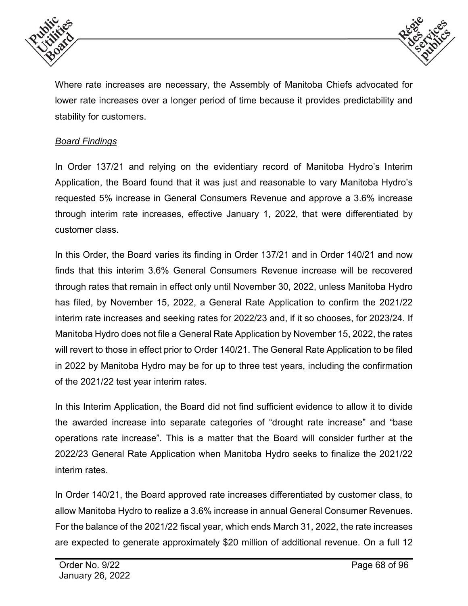



Where rate increases are necessary, the Assembly of Manitoba Chiefs advocated for lower rate increases over a longer period of time because it provides predictability and stability for customers.

### *Board Findings*

In Order 137/21 and relying on the evidentiary record of Manitoba Hydro's Interim Application, the Board found that it was just and reasonable to vary Manitoba Hydro's requested 5% increase in General Consumers Revenue and approve a 3.6% increase through interim rate increases, effective January 1, 2022, that were differentiated by customer class.

In this Order, the Board varies its finding in Order 137/21 and in Order 140/21 and now finds that this interim 3.6% General Consumers Revenue increase will be recovered through rates that remain in effect only until November 30, 2022, unless Manitoba Hydro has filed, by November 15, 2022, a General Rate Application to confirm the 2021/22 interim rate increases and seeking rates for 2022/23 and, if it so chooses, for 2023/24. If Manitoba Hydro does not file a General Rate Application by November 15, 2022, the rates will revert to those in effect prior to Order 140/21. The General Rate Application to be filed in 2022 by Manitoba Hydro may be for up to three test years, including the confirmation of the 2021/22 test year interim rates.

In this Interim Application, the Board did not find sufficient evidence to allow it to divide the awarded increase into separate categories of "drought rate increase" and "base operations rate increase". This is a matter that the Board will consider further at the 2022/23 General Rate Application when Manitoba Hydro seeks to finalize the 2021/22 interim rates.

In Order 140/21, the Board approved rate increases differentiated by customer class, to allow Manitoba Hydro to realize a 3.6% increase in annual General Consumer Revenues. For the balance of the 2021/22 fiscal year, which ends March 31, 2022, the rate increases are expected to generate approximately \$20 million of additional revenue. On a full 12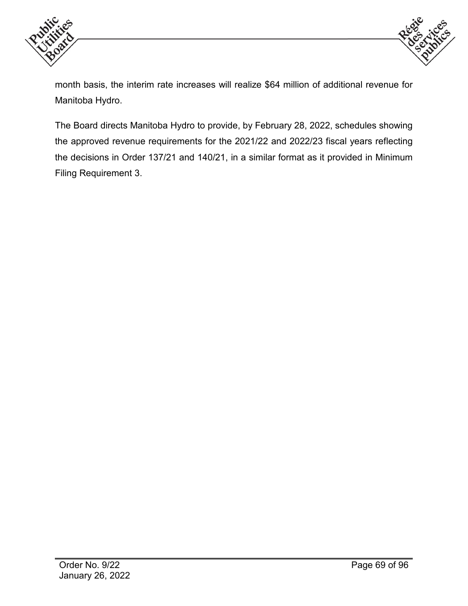



month basis, the interim rate increases will realize \$64 million of additional revenue for Manitoba Hydro.

The Board directs Manitoba Hydro to provide, by February 28, 2022, schedules showing the approved revenue requirements for the 2021/22 and 2022/23 fiscal years reflecting the decisions in Order 137/21 and 140/21, in a similar format as it provided in Minimum Filing Requirement 3.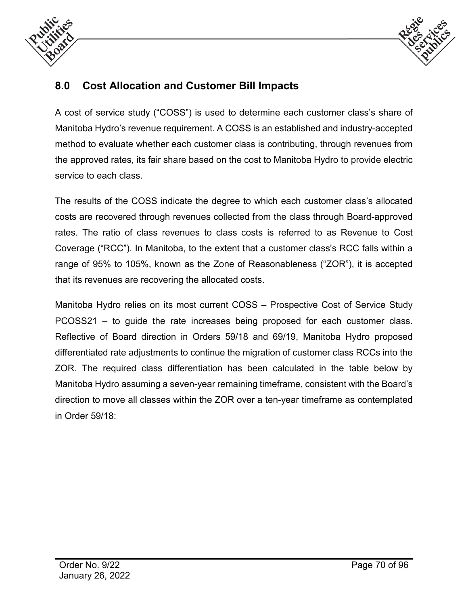



# **8.0 Cost Allocation and Customer Bill Impacts**

A cost of service study ("COSS") is used to determine each customer class's share of Manitoba Hydro's revenue requirement. A COSS is an established and industry-accepted method to evaluate whether each customer class is contributing, through revenues from the approved rates, its fair share based on the cost to Manitoba Hydro to provide electric service to each class.

The results of the COSS indicate the degree to which each customer class's allocated costs are recovered through revenues collected from the class through Board-approved rates. The ratio of class revenues to class costs is referred to as Revenue to Cost Coverage ("RCC"). In Manitoba, to the extent that a customer class's RCC falls within a range of 95% to 105%, known as the Zone of Reasonableness ("ZOR"), it is accepted that its revenues are recovering the allocated costs.

Manitoba Hydro relies on its most current COSS – Prospective Cost of Service Study PCOSS21 – to guide the rate increases being proposed for each customer class. Reflective of Board direction in Orders 59/18 and 69/19, Manitoba Hydro proposed differentiated rate adjustments to continue the migration of customer class RCCs into the ZOR. The required class differentiation has been calculated in the table below by Manitoba Hydro assuming a seven-year remaining timeframe, consistent with the Board's direction to move all classes within the ZOR over a ten-year timeframe as contemplated in Order 59/18: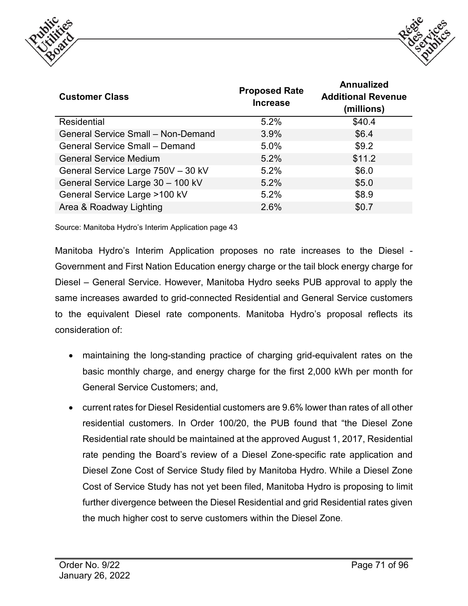



| <b>Customer Class</b>                     | <b>Proposed Rate</b><br><b>Increase</b> | <b>Annualized</b><br><b>Additional Revenue</b><br>(millions) |  |
|-------------------------------------------|-----------------------------------------|--------------------------------------------------------------|--|
| <b>Residential</b>                        | 5.2%                                    | \$40.4                                                       |  |
| <b>General Service Small - Non-Demand</b> | 3.9%                                    | \$6.4                                                        |  |
| <b>General Service Small - Demand</b>     | 5.0%                                    | \$9.2                                                        |  |
| <b>General Service Medium</b>             | 5.2%                                    | \$11.2                                                       |  |
| General Service Large 750V - 30 kV        | 5.2%                                    | \$6.0                                                        |  |
| General Service Large 30 - 100 kV         | 5.2%                                    | \$5.0                                                        |  |
| General Service Large >100 kV             | 5.2%                                    | \$8.9                                                        |  |
| Area & Roadway Lighting                   | 2.6%                                    | \$0.7                                                        |  |

Source: Manitoba Hydro's Interim Application page 43

Manitoba Hydro's Interim Application proposes no rate increases to the Diesel - Government and First Nation Education energy charge or the tail block energy charge for Diesel – General Service. However, Manitoba Hydro seeks PUB approval to apply the same increases awarded to grid-connected Residential and General Service customers to the equivalent Diesel rate components. Manitoba Hydro's proposal reflects its consideration of:

- maintaining the long-standing practice of charging grid-equivalent rates on the basic monthly charge, and energy charge for the first 2,000 kWh per month for General Service Customers; and,
- current rates for Diesel Residential customers are 9.6% lower than rates of all other residential customers. In Order 100/20, the PUB found that "the Diesel Zone Residential rate should be maintained at the approved August 1, 2017, Residential rate pending the Board's review of a Diesel Zone-specific rate application and Diesel Zone Cost of Service Study filed by Manitoba Hydro. While a Diesel Zone Cost of Service Study has not yet been filed, Manitoba Hydro is proposing to limit further divergence between the Diesel Residential and grid Residential rates given the much higher cost to serve customers within the Diesel Zone.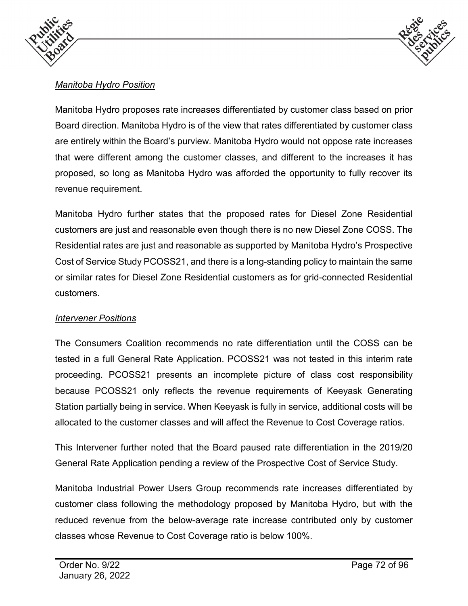



# *Manitoba Hydro Position*

Manitoba Hydro proposes rate increases differentiated by customer class based on prior Board direction. Manitoba Hydro is of the view that rates differentiated by customer class are entirely within the Board's purview. Manitoba Hydro would not oppose rate increases that were different among the customer classes, and different to the increases it has proposed, so long as Manitoba Hydro was afforded the opportunity to fully recover its revenue requirement.

Manitoba Hydro further states that the proposed rates for Diesel Zone Residential customers are just and reasonable even though there is no new Diesel Zone COSS. The Residential rates are just and reasonable as supported by Manitoba Hydro's Prospective Cost of Service Study PCOSS21, and there is a long-standing policy to maintain the same or similar rates for Diesel Zone Residential customers as for grid-connected Residential customers.

#### *Intervener Positions*

The Consumers Coalition recommends no rate differentiation until the COSS can be tested in a full General Rate Application. PCOSS21 was not tested in this interim rate proceeding. PCOSS21 presents an incomplete picture of class cost responsibility because PCOSS21 only reflects the revenue requirements of Keeyask Generating Station partially being in service. When Keeyask is fully in service, additional costs will be allocated to the customer classes and will affect the Revenue to Cost Coverage ratios.

This Intervener further noted that the Board paused rate differentiation in the 2019/20 General Rate Application pending a review of the Prospective Cost of Service Study.

Manitoba Industrial Power Users Group recommends rate increases differentiated by customer class following the methodology proposed by Manitoba Hydro, but with the reduced revenue from the below-average rate increase contributed only by customer classes whose Revenue to Cost Coverage ratio is below 100%.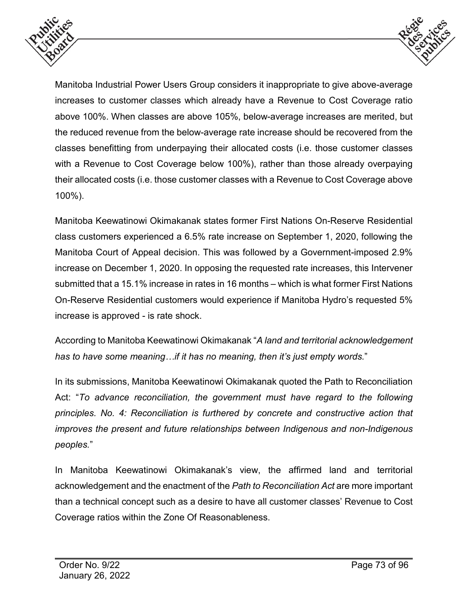



Manitoba Industrial Power Users Group considers it inappropriate to give above-average increases to customer classes which already have a Revenue to Cost Coverage ratio above 100%. When classes are above 105%, below-average increases are merited, but the reduced revenue from the below-average rate increase should be recovered from the classes benefitting from underpaying their allocated costs (i.e. those customer classes with a Revenue to Cost Coverage below 100%), rather than those already overpaying their allocated costs (i.e. those customer classes with a Revenue to Cost Coverage above 100%).

Manitoba Keewatinowi Okimakanak states former First Nations On-Reserve Residential class customers experienced a 6.5% rate increase on September 1, 2020, following the Manitoba Court of Appeal decision. This was followed by a Government-imposed 2.9% increase on December 1, 2020. In opposing the requested rate increases, this Intervener submitted that a 15.1% increase in rates in 16 months – which is what former First Nations On-Reserve Residential customers would experience if Manitoba Hydro's requested 5% increase is approved - is rate shock.

According to Manitoba Keewatinowi Okimakanak "*A land and territorial acknowledgement has to have some meaning…if it has no meaning, then it's just empty words.*"

In its submissions, Manitoba Keewatinowi Okimakanak quoted the Path to Reconciliation Act: "*To advance reconciliation, the government must have regard to the following principles. No. 4: Reconciliation is furthered by concrete and constructive action that improves the present and future relationships between Indigenous and non-Indigenous peoples.*"

In Manitoba Keewatinowi Okimakanak's view, the affirmed land and territorial acknowledgement and the enactment of the *Path to Reconciliation Act* are more important than a technical concept such as a desire to have all customer classes' Revenue to Cost Coverage ratios within the Zone Of Reasonableness.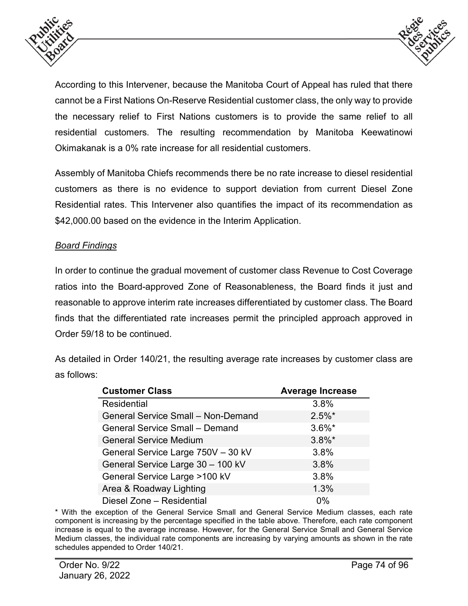



According to this Intervener, because the Manitoba Court of Appeal has ruled that there cannot be a First Nations On-Reserve Residential customer class, the only way to provide the necessary relief to First Nations customers is to provide the same relief to all residential customers. The resulting recommendation by Manitoba Keewatinowi Okimakanak is a 0% rate increase for all residential customers.

Assembly of Manitoba Chiefs recommends there be no rate increase to diesel residential customers as there is no evidence to support deviation from current Diesel Zone Residential rates. This Intervener also quantifies the impact of its recommendation as \$42,000.00 based on the evidence in the Interim Application.

#### *Board Findings*

In order to continue the gradual movement of customer class Revenue to Cost Coverage ratios into the Board-approved Zone of Reasonableness, the Board finds it just and reasonable to approve interim rate increases differentiated by customer class. The Board finds that the differentiated rate increases permit the principled approach approved in Order 59/18 to be continued.

As detailed in Order 140/21, the resulting average rate increases by customer class are as follows:

| <b>Customer Class</b>                     | <b>Average Increase</b> |
|-------------------------------------------|-------------------------|
| <b>Residential</b>                        | 3.8%                    |
| <b>General Service Small - Non-Demand</b> | $2.5\%$ *               |
| <b>General Service Small - Demand</b>     | $3.6\%$ *               |
| <b>General Service Medium</b>             | $3.8\%$ *               |
| General Service Large 750V - 30 kV        | 3.8%                    |
| General Service Large 30 - 100 kV         | 3.8%                    |
| General Service Large >100 kV             | 3.8%                    |
| Area & Roadway Lighting                   | 1.3%                    |
| Diesel Zone - Residential                 | $0\%$                   |

\* With the exception of the General Service Small and General Service Medium classes, each rate component is increasing by the percentage specified in the table above. Therefore, each rate component increase is equal to the average increase. However, for the General Service Small and General Service Medium classes, the individual rate components are increasing by varying amounts as shown in the rate schedules appended to Order 140/21.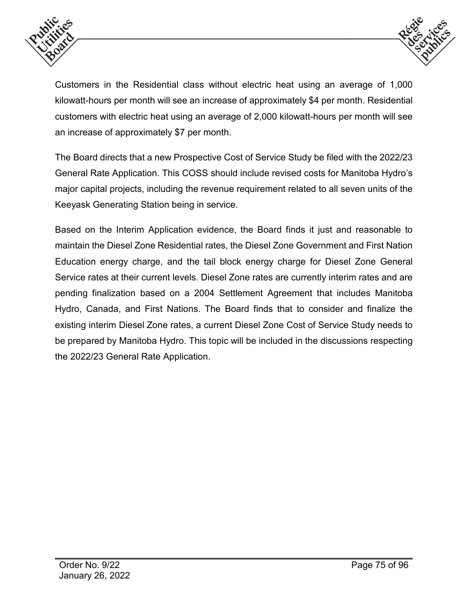



Customers in the Residential class without electric heat using an average of 1,000 kilowatt-hours per month will see an increase of approximately \$4 per month. Residential customers with electric heat using an average of 2,000 kilowatt-hours per month will see an increase of approximately \$7 per month.

The Board directs that a new Prospective Cost of Service Study be filed with the 2022/23 General Rate Application. This COSS should include revised costs for Manitoba Hydro's major capital projects, including the revenue requirement related to all seven units of the Keeyask Generating Station being in service.

Based on the Interim Application evidence, the Board finds it just and reasonable to maintain the Diesel Zone Residential rates, the Diesel Zone Government and First Nation Education energy charge, and the tail block energy charge for Diesel Zone General Service rates at their current levels. Diesel Zone rates are currently interim rates and are pending finalization based on a 2004 Settlement Agreement that includes Manitoba Hydro, Canada, and First Nations. The Board finds that to consider and finalize the existing interim Diesel Zone rates, a current Diesel Zone Cost of Service Study needs to be prepared by Manitoba Hydro. This topic will be included in the discussions respecting the 2022/23 General Rate Application.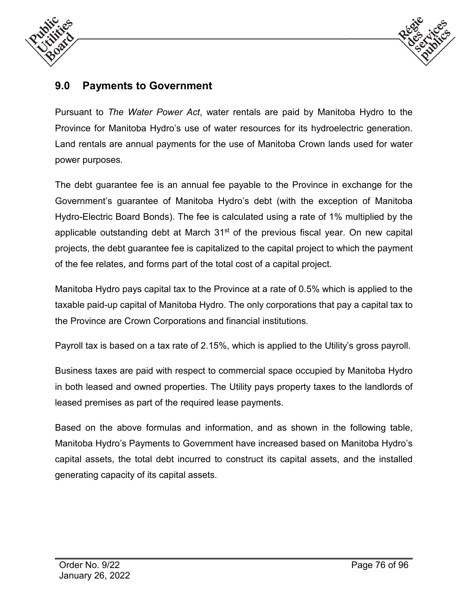



# **9.0 Payments to Government**

Pursuant to *The Water Power Act*, water rentals are paid by Manitoba Hydro to the Province for Manitoba Hydro's use of water resources for its hydroelectric generation. Land rentals are annual payments for the use of Manitoba Crown lands used for water power purposes.

The debt guarantee fee is an annual fee payable to the Province in exchange for the Government's guarantee of Manitoba Hydro's debt (with the exception of Manitoba Hydro-Electric Board Bonds). The fee is calculated using a rate of 1% multiplied by the applicable outstanding debt at March  $31<sup>st</sup>$  of the previous fiscal year. On new capital projects, the debt guarantee fee is capitalized to the capital project to which the payment of the fee relates, and forms part of the total cost of a capital project.

Manitoba Hydro pays capital tax to the Province at a rate of 0.5% which is applied to the taxable paid-up capital of Manitoba Hydro. The only corporations that pay a capital tax to the Province are Crown Corporations and financial institutions.

Payroll tax is based on a tax rate of 2.15%, which is applied to the Utility's gross payroll.

Business taxes are paid with respect to commercial space occupied by Manitoba Hydro in both leased and owned properties. The Utility pays property taxes to the landlords of leased premises as part of the required lease payments.

Based on the above formulas and information, and as shown in the following table, Manitoba Hydro's Payments to Government have increased based on Manitoba Hydro's capital assets, the total debt incurred to construct its capital assets, and the installed generating capacity of its capital assets.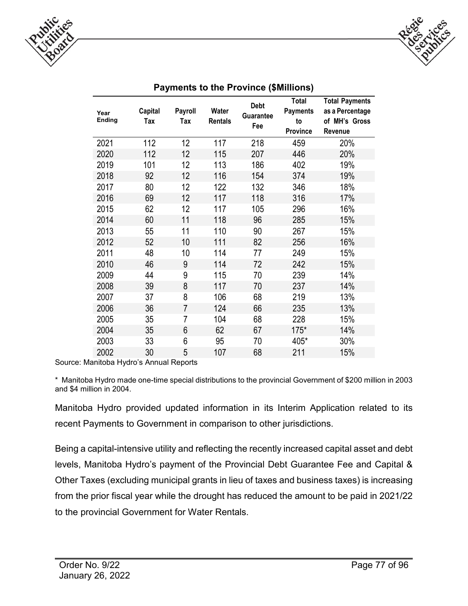



| Year<br>Ending | Capital<br>Tax | Payroll<br>Tax | Water<br><b>Rentals</b> | <b>Debt</b><br><b>Guarantee</b><br>Fee | <b>Total</b><br><b>Payments</b><br>to<br>Province | <b>Total Payments</b><br>as a Percentage<br>of MH's Gross<br>Revenue |
|----------------|----------------|----------------|-------------------------|----------------------------------------|---------------------------------------------------|----------------------------------------------------------------------|
| 2021           | 112            | 12             | 117                     | 218                                    | 459                                               | 20%                                                                  |
| 2020           | 112            | 12             | 115                     | 207                                    | 446                                               | 20%                                                                  |
| 2019           | 101            | 12             | 113                     | 186                                    | 402                                               | 19%                                                                  |
| 2018           | 92             | 12             | 116                     | 154                                    | 374                                               | 19%                                                                  |
| 2017           | 80             | 12             | 122                     | 132                                    | 346                                               | 18%                                                                  |
| 2016           | 69             | 12             | 117                     | 118                                    | 316                                               | 17%                                                                  |
| 2015           | 62             | 12             | 117                     | 105                                    | 296                                               | 16%                                                                  |
| 2014           | 60             | 11             | 118                     | 96                                     | 285                                               | 15%                                                                  |
| 2013           | 55             | 11             | 110                     | 90                                     | 267                                               | 15%                                                                  |
| 2012           | 52             | 10             | 111                     | 82                                     | 256                                               | 16%                                                                  |
| 2011           | 48             | 10             | 114                     | 77                                     | 249                                               | 15%                                                                  |
| 2010           | 46             | 9              | 114                     | 72                                     | 242                                               | 15%                                                                  |
| 2009           | 44             | 9              | 115                     | 70                                     | 239                                               | 14%                                                                  |
| 2008           | 39             | 8              | 117                     | 70                                     | 237                                               | 14%                                                                  |
| 2007           | 37             | 8              | 106                     | 68                                     | 219                                               | 13%                                                                  |
| 2006           | 36             | $\overline{7}$ | 124                     | 66                                     | 235                                               | 13%                                                                  |
| 2005           | 35             | $\overline{7}$ | 104                     | 68                                     | 228                                               | 15%                                                                  |
| 2004           | 35             | 6              | 62                      | 67                                     | $175*$                                            | 14%                                                                  |
| 2003           | 33             | 6              | 95                      | 70                                     | 405*                                              | 30%                                                                  |
| 2002           | 30             | 5              | 107                     | 68                                     | 211                                               | 15%                                                                  |

## **Payments to the Province (\$Millions)**

Source: Manitoba Hydro's Annual Reports

\* Manitoba Hydro made one-time special distributions to the provincial Government of \$200 million in 2003 and \$4 million in 2004.

Manitoba Hydro provided updated information in its Interim Application related to its recent Payments to Government in comparison to other jurisdictions.

Being a capital-intensive utility and reflecting the recently increased capital asset and debt levels, Manitoba Hydro's payment of the Provincial Debt Guarantee Fee and Capital & Other Taxes (excluding municipal grants in lieu of taxes and business taxes) is increasing from the prior fiscal year while the drought has reduced the amount to be paid in 2021/22 to the provincial Government for Water Rentals.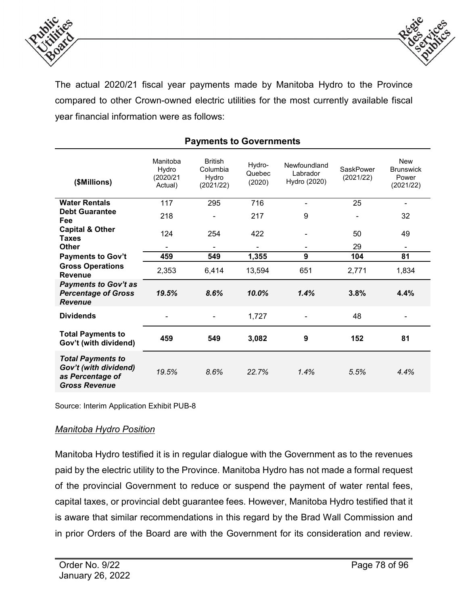



The actual 2020/21 fiscal year payments made by Manitoba Hydro to the Province compared to other Crown-owned electric utilities for the most currently available fiscal year financial information were as follows:

| (\$Millions)                                                                                  | Manitoba<br>Hydro<br>(2020/21<br>Actual) | <b>British</b><br>Columbia<br>Hydro<br>(2021/22) | Hydro-<br>Quebec<br>(2020) | Newfoundland<br>Labrador<br>Hydro (2020) | SaskPower<br>(2021/22) | <b>New</b><br><b>Brunswick</b><br>Power<br>(2021/22) |
|-----------------------------------------------------------------------------------------------|------------------------------------------|--------------------------------------------------|----------------------------|------------------------------------------|------------------------|------------------------------------------------------|
| <b>Water Rentals</b>                                                                          | 117                                      | 295                                              | 716                        | ۰                                        | 25                     | ۰                                                    |
| <b>Debt Guarantee</b><br>Fee                                                                  | 218                                      |                                                  | 217                        | 9                                        |                        | 32                                                   |
| <b>Capital &amp; Other</b><br><b>Taxes</b>                                                    | 124                                      | 254                                              | 422                        |                                          | 50                     | 49                                                   |
| <b>Other</b>                                                                                  | -                                        | ٠                                                | ۰                          | ۰                                        | 29                     | ۰                                                    |
| <b>Payments to Gov't</b>                                                                      | 459                                      | 549                                              | 1,355                      | 9                                        | 104                    | 81                                                   |
| <b>Gross Operations</b><br><b>Revenue</b>                                                     | 2,353                                    | 6,414                                            | 13,594                     | 651                                      | 2,771                  | 1,834                                                |
| <b>Payments to Gov't as</b><br><b>Percentage of Gross</b><br><b>Revenue</b>                   | 19.5%                                    | 8.6%                                             | 10.0%                      | 1.4%                                     | 3.8%                   | 4.4%                                                 |
| <b>Dividends</b>                                                                              |                                          |                                                  | 1,727                      |                                          | 48                     |                                                      |
| <b>Total Payments to</b><br>Gov't (with dividend)                                             | 459                                      | 549                                              | 3,082                      | 9                                        | 152                    | 81                                                   |
| <b>Total Payments to</b><br>Gov't (with dividend)<br>as Percentage of<br><b>Gross Revenue</b> | 19.5%                                    | 8.6%                                             | 22.7%                      | 1.4%                                     | 5.5%                   | 4.4%                                                 |

## **Payments to Governments**

Source: Interim Application Exhibit PUB-8

#### *Manitoba Hydro Position*

Manitoba Hydro testified it is in regular dialogue with the Government as to the revenues paid by the electric utility to the Province. Manitoba Hydro has not made a formal request of the provincial Government to reduce or suspend the payment of water rental fees, capital taxes, or provincial debt guarantee fees. However, Manitoba Hydro testified that it is aware that similar recommendations in this regard by the Brad Wall Commission and in prior Orders of the Board are with the Government for its consideration and review.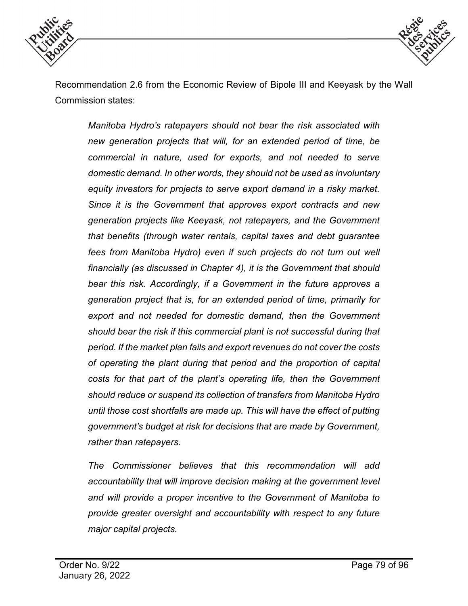



Recommendation 2.6 from the Economic Review of Bipole III and Keeyask by the Wall Commission states:

*Manitoba Hydro's ratepayers should not bear the risk associated with new generation projects that will, for an extended period of time, be commercial in nature, used for exports, and not needed to serve domestic demand. In other words, they should not be used as involuntary equity investors for projects to serve export demand in a risky market. Since it is the Government that approves export contracts and new generation projects like Keeyask, not ratepayers, and the Government that benefits (through water rentals, capital taxes and debt guarantee fees from Manitoba Hydro) even if such projects do not turn out well financially (as discussed in Chapter 4), it is the Government that should bear this risk. Accordingly, if a Government in the future approves a generation project that is, for an extended period of time, primarily for export and not needed for domestic demand, then the Government should bear the risk if this commercial plant is not successful during that period. If the market plan fails and export revenues do not cover the costs of operating the plant during that period and the proportion of capital costs for that part of the plant's operating life, then the Government should reduce or suspend its collection of transfers from Manitoba Hydro until those cost shortfalls are made up. This will have the effect of putting government's budget at risk for decisions that are made by Government, rather than ratepayers.*

*The Commissioner believes that this recommendation will add accountability that will improve decision making at the government level and will provide a proper incentive to the Government of Manitoba to provide greater oversight and accountability with respect to any future major capital projects.*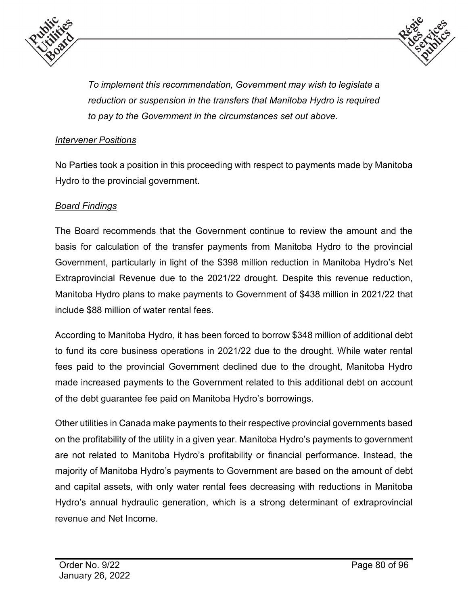



*To implement this recommendation, Government may wish to legislate a reduction or suspension in the transfers that Manitoba Hydro is required to pay to the Government in the circumstances set out above.*

#### *Intervener Positions*

No Parties took a position in this proceeding with respect to payments made by Manitoba Hydro to the provincial government.

### *Board Findings*

The Board recommends that the Government continue to review the amount and the basis for calculation of the transfer payments from Manitoba Hydro to the provincial Government, particularly in light of the \$398 million reduction in Manitoba Hydro's Net Extraprovincial Revenue due to the 2021/22 drought. Despite this revenue reduction, Manitoba Hydro plans to make payments to Government of \$438 million in 2021/22 that include \$88 million of water rental fees.

According to Manitoba Hydro, it has been forced to borrow \$348 million of additional debt to fund its core business operations in 2021/22 due to the drought. While water rental fees paid to the provincial Government declined due to the drought, Manitoba Hydro made increased payments to the Government related to this additional debt on account of the debt guarantee fee paid on Manitoba Hydro's borrowings.

Other utilities in Canada make payments to their respective provincial governments based on the profitability of the utility in a given year. Manitoba Hydro's payments to government are not related to Manitoba Hydro's profitability or financial performance. Instead, the majority of Manitoba Hydro's payments to Government are based on the amount of debt and capital assets, with only water rental fees decreasing with reductions in Manitoba Hydro's annual hydraulic generation, which is a strong determinant of extraprovincial revenue and Net Income.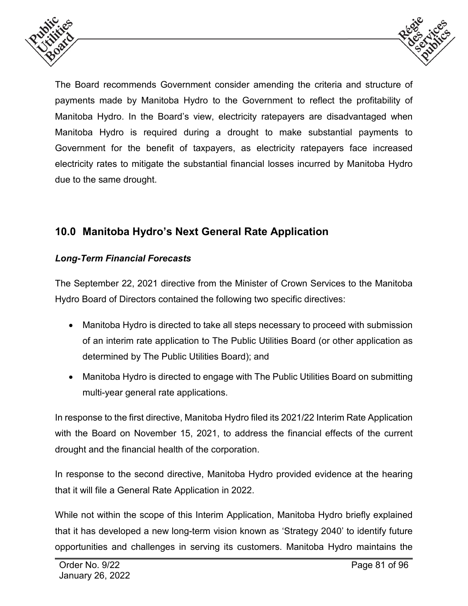



The Board recommends Government consider amending the criteria and structure of payments made by Manitoba Hydro to the Government to reflect the profitability of Manitoba Hydro. In the Board's view, electricity ratepayers are disadvantaged when Manitoba Hydro is required during a drought to make substantial payments to Government for the benefit of taxpayers, as electricity ratepayers face increased electricity rates to mitigate the substantial financial losses incurred by Manitoba Hydro due to the same drought.

# **10.0 Manitoba Hydro's Next General Rate Application**

## *Long-Term Financial Forecasts*

The September 22, 2021 directive from the Minister of Crown Services to the Manitoba Hydro Board of Directors contained the following two specific directives:

- Manitoba Hydro is directed to take all steps necessary to proceed with submission of an interim rate application to The Public Utilities Board (or other application as determined by The Public Utilities Board); and
- Manitoba Hydro is directed to engage with The Public Utilities Board on submitting multi-year general rate applications.

In response to the first directive, Manitoba Hydro filed its 2021/22 Interim Rate Application with the Board on November 15, 2021, to address the financial effects of the current drought and the financial health of the corporation.

In response to the second directive, Manitoba Hydro provided evidence at the hearing that it will file a General Rate Application in 2022.

While not within the scope of this Interim Application, Manitoba Hydro briefly explained that it has developed a new long-term vision known as 'Strategy 2040' to identify future opportunities and challenges in serving its customers. Manitoba Hydro maintains the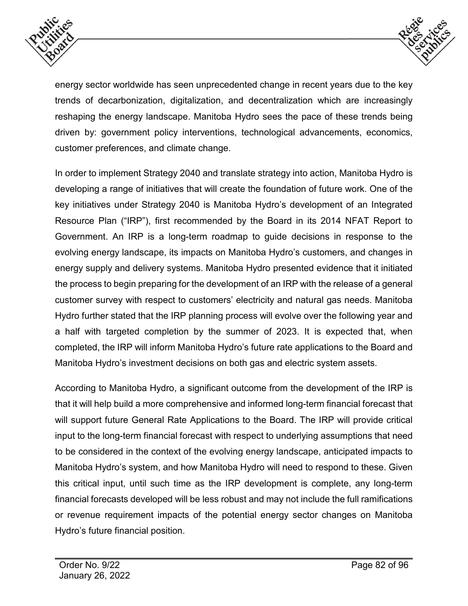



energy sector worldwide has seen unprecedented change in recent years due to the key trends of decarbonization, digitalization, and decentralization which are increasingly reshaping the energy landscape. Manitoba Hydro sees the pace of these trends being driven by: government policy interventions, technological advancements, economics, customer preferences, and climate change.

In order to implement Strategy 2040 and translate strategy into action, Manitoba Hydro is developing a range of initiatives that will create the foundation of future work. One of the key initiatives under Strategy 2040 is Manitoba Hydro's development of an Integrated Resource Plan ("IRP"), first recommended by the Board in its 2014 NFAT Report to Government. An IRP is a long-term roadmap to guide decisions in response to the evolving energy landscape, its impacts on Manitoba Hydro's customers, and changes in energy supply and delivery systems. Manitoba Hydro presented evidence that it initiated the process to begin preparing for the development of an IRP with the release of a general customer survey with respect to customers' electricity and natural gas needs. Manitoba Hydro further stated that the IRP planning process will evolve over the following year and a half with targeted completion by the summer of 2023. It is expected that, when completed, the IRP will inform Manitoba Hydro's future rate applications to the Board and Manitoba Hydro's investment decisions on both gas and electric system assets.

According to Manitoba Hydro, a significant outcome from the development of the IRP is that it will help build a more comprehensive and informed long-term financial forecast that will support future General Rate Applications to the Board. The IRP will provide critical input to the long-term financial forecast with respect to underlying assumptions that need to be considered in the context of the evolving energy landscape, anticipated impacts to Manitoba Hydro's system, and how Manitoba Hydro will need to respond to these. Given this critical input, until such time as the IRP development is complete, any long-term financial forecasts developed will be less robust and may not include the full ramifications or revenue requirement impacts of the potential energy sector changes on Manitoba Hydro's future financial position.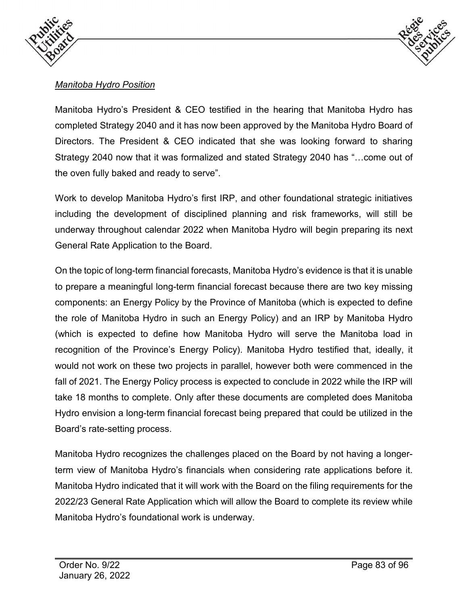



## *Manitoba Hydro Position*

Manitoba Hydro's President & CEO testified in the hearing that Manitoba Hydro has completed Strategy 2040 and it has now been approved by the Manitoba Hydro Board of Directors. The President & CEO indicated that she was looking forward to sharing Strategy 2040 now that it was formalized and stated Strategy 2040 has "…come out of the oven fully baked and ready to serve".

Work to develop Manitoba Hydro's first IRP, and other foundational strategic initiatives including the development of disciplined planning and risk frameworks, will still be underway throughout calendar 2022 when Manitoba Hydro will begin preparing its next General Rate Application to the Board.

On the topic of long-term financial forecasts, Manitoba Hydro's evidence is that it is unable to prepare a meaningful long-term financial forecast because there are two key missing components: an Energy Policy by the Province of Manitoba (which is expected to define the role of Manitoba Hydro in such an Energy Policy) and an IRP by Manitoba Hydro (which is expected to define how Manitoba Hydro will serve the Manitoba load in recognition of the Province's Energy Policy). Manitoba Hydro testified that, ideally, it would not work on these two projects in parallel, however both were commenced in the fall of 2021. The Energy Policy process is expected to conclude in 2022 while the IRP will take 18 months to complete. Only after these documents are completed does Manitoba Hydro envision a long-term financial forecast being prepared that could be utilized in the Board's rate-setting process.

Manitoba Hydro recognizes the challenges placed on the Board by not having a longerterm view of Manitoba Hydro's financials when considering rate applications before it. Manitoba Hydro indicated that it will work with the Board on the filing requirements for the 2022/23 General Rate Application which will allow the Board to complete its review while Manitoba Hydro's foundational work is underway.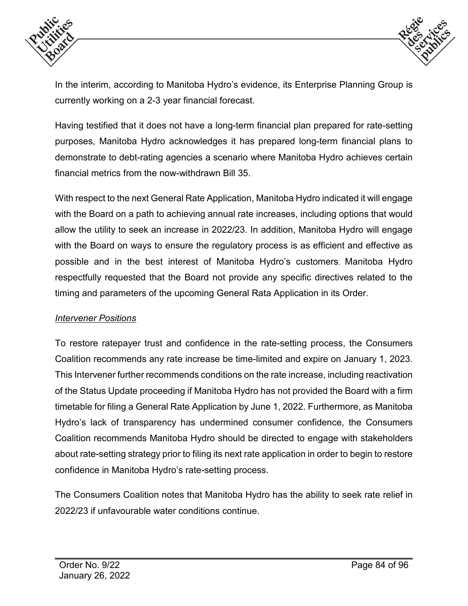



In the interim, according to Manitoba Hydro's evidence, its Enterprise Planning Group is currently working on a 2-3 year financial forecast.

Having testified that it does not have a long-term financial plan prepared for rate-setting purposes, Manitoba Hydro acknowledges it has prepared long-term financial plans to demonstrate to debt-rating agencies a scenario where Manitoba Hydro achieves certain financial metrics from the now-withdrawn Bill 35.

With respect to the next General Rate Application, Manitoba Hydro indicated it will engage with the Board on a path to achieving annual rate increases, including options that would allow the utility to seek an increase in 2022/23. In addition, Manitoba Hydro will engage with the Board on ways to ensure the regulatory process is as efficient and effective as possible and in the best interest of Manitoba Hydro's customers. Manitoba Hydro respectfully requested that the Board not provide any specific directives related to the timing and parameters of the upcoming General Rata Application in its Order.

#### *Intervener Positions*

To restore ratepayer trust and confidence in the rate-setting process, the Consumers Coalition recommends any rate increase be time-limited and expire on January 1, 2023. This Intervener further recommends conditions on the rate increase, including reactivation of the Status Update proceeding if Manitoba Hydro has not provided the Board with a firm timetable for filing a General Rate Application by June 1, 2022. Furthermore, as Manitoba Hydro's lack of transparency has undermined consumer confidence, the Consumers Coalition recommends Manitoba Hydro should be directed to engage with stakeholders about rate-setting strategy prior to filing its next rate application in order to begin to restore confidence in Manitoba Hydro's rate-setting process.

The Consumers Coalition notes that Manitoba Hydro has the ability to seek rate relief in 2022/23 if unfavourable water conditions continue.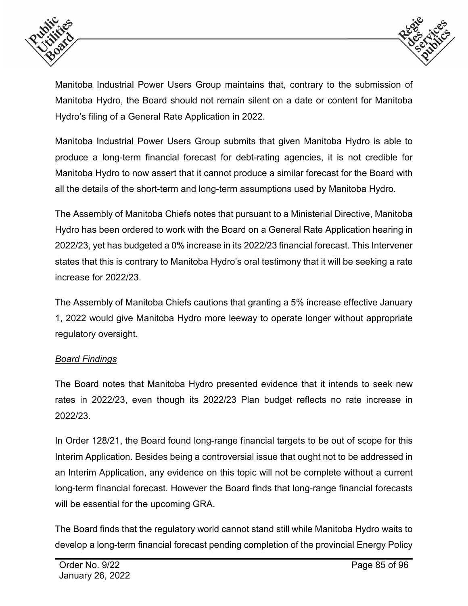



Manitoba Industrial Power Users Group maintains that, contrary to the submission of Manitoba Hydro, the Board should not remain silent on a date or content for Manitoba Hydro's filing of a General Rate Application in 2022.

Manitoba Industrial Power Users Group submits that given Manitoba Hydro is able to produce a long-term financial forecast for debt-rating agencies, it is not credible for Manitoba Hydro to now assert that it cannot produce a similar forecast for the Board with all the details of the short-term and long-term assumptions used by Manitoba Hydro.

The Assembly of Manitoba Chiefs notes that pursuant to a Ministerial Directive, Manitoba Hydro has been ordered to work with the Board on a General Rate Application hearing in 2022/23, yet has budgeted a 0% increase in its 2022/23 financial forecast. This Intervener states that this is contrary to Manitoba Hydro's oral testimony that it will be seeking a rate increase for 2022/23.

The Assembly of Manitoba Chiefs cautions that granting a 5% increase effective January 1, 2022 would give Manitoba Hydro more leeway to operate longer without appropriate regulatory oversight.

## *Board Findings*

The Board notes that Manitoba Hydro presented evidence that it intends to seek new rates in 2022/23, even though its 2022/23 Plan budget reflects no rate increase in 2022/23.

In Order 128/21, the Board found long-range financial targets to be out of scope for this Interim Application. Besides being a controversial issue that ought not to be addressed in an Interim Application, any evidence on this topic will not be complete without a current long-term financial forecast. However the Board finds that long-range financial forecasts will be essential for the upcoming GRA.

The Board finds that the regulatory world cannot stand still while Manitoba Hydro waits to develop a long-term financial forecast pending completion of the provincial Energy Policy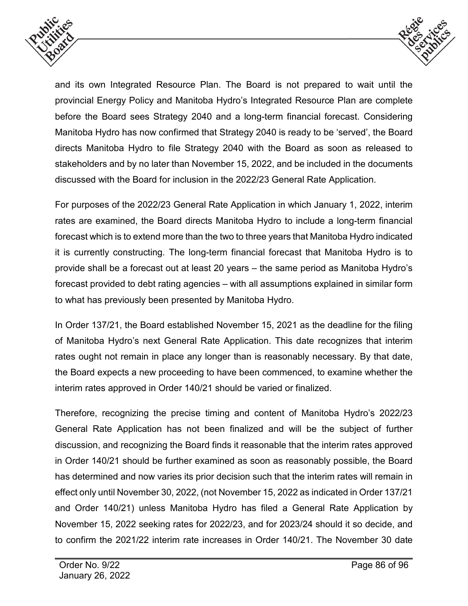



and its own Integrated Resource Plan. The Board is not prepared to wait until the provincial Energy Policy and Manitoba Hydro's Integrated Resource Plan are complete before the Board sees Strategy 2040 and a long-term financial forecast. Considering Manitoba Hydro has now confirmed that Strategy 2040 is ready to be 'served', the Board directs Manitoba Hydro to file Strategy 2040 with the Board as soon as released to stakeholders and by no later than November 15, 2022, and be included in the documents discussed with the Board for inclusion in the 2022/23 General Rate Application.

For purposes of the 2022/23 General Rate Application in which January 1, 2022, interim rates are examined, the Board directs Manitoba Hydro to include a long-term financial forecast which is to extend more than the two to three years that Manitoba Hydro indicated it is currently constructing. The long-term financial forecast that Manitoba Hydro is to provide shall be a forecast out at least 20 years – the same period as Manitoba Hydro's forecast provided to debt rating agencies – with all assumptions explained in similar form to what has previously been presented by Manitoba Hydro.

In Order 137/21, the Board established November 15, 2021 as the deadline for the filing of Manitoba Hydro's next General Rate Application. This date recognizes that interim rates ought not remain in place any longer than is reasonably necessary. By that date, the Board expects a new proceeding to have been commenced, to examine whether the interim rates approved in Order 140/21 should be varied or finalized.

Therefore, recognizing the precise timing and content of Manitoba Hydro's 2022/23 General Rate Application has not been finalized and will be the subject of further discussion, and recognizing the Board finds it reasonable that the interim rates approved in Order 140/21 should be further examined as soon as reasonably possible, the Board has determined and now varies its prior decision such that the interim rates will remain in effect only until November 30, 2022, (not November 15, 2022 as indicated in Order 137/21 and Order 140/21) unless Manitoba Hydro has filed a General Rate Application by November 15, 2022 seeking rates for 2022/23, and for 2023/24 should it so decide, and to confirm the 2021/22 interim rate increases in Order 140/21. The November 30 date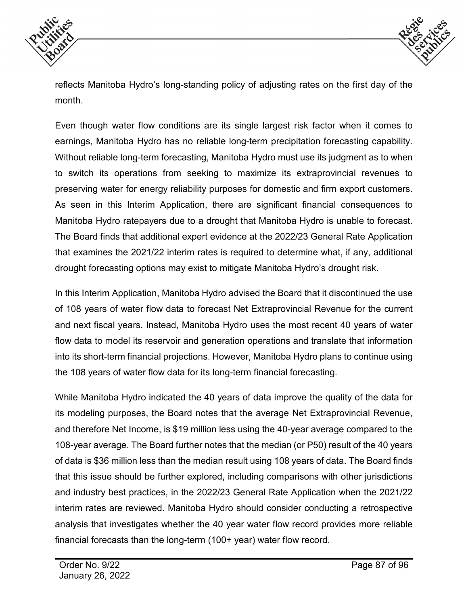



reflects Manitoba Hydro's long-standing policy of adjusting rates on the first day of the month.

Even though water flow conditions are its single largest risk factor when it comes to earnings, Manitoba Hydro has no reliable long-term precipitation forecasting capability. Without reliable long-term forecasting, Manitoba Hydro must use its judgment as to when to switch its operations from seeking to maximize its extraprovincial revenues to preserving water for energy reliability purposes for domestic and firm export customers. As seen in this Interim Application, there are significant financial consequences to Manitoba Hydro ratepayers due to a drought that Manitoba Hydro is unable to forecast. The Board finds that additional expert evidence at the 2022/23 General Rate Application that examines the 2021/22 interim rates is required to determine what, if any, additional drought forecasting options may exist to mitigate Manitoba Hydro's drought risk.

In this Interim Application, Manitoba Hydro advised the Board that it discontinued the use of 108 years of water flow data to forecast Net Extraprovincial Revenue for the current and next fiscal years. Instead, Manitoba Hydro uses the most recent 40 years of water flow data to model its reservoir and generation operations and translate that information into its short-term financial projections. However, Manitoba Hydro plans to continue using the 108 years of water flow data for its long-term financial forecasting.

While Manitoba Hydro indicated the 40 years of data improve the quality of the data for its modeling purposes, the Board notes that the average Net Extraprovincial Revenue, and therefore Net Income, is \$19 million less using the 40-year average compared to the 108-year average. The Board further notes that the median (or P50) result of the 40 years of data is \$36 million less than the median result using 108 years of data. The Board finds that this issue should be further explored, including comparisons with other jurisdictions and industry best practices, in the 2022/23 General Rate Application when the 2021/22 interim rates are reviewed. Manitoba Hydro should consider conducting a retrospective analysis that investigates whether the 40 year water flow record provides more reliable financial forecasts than the long-term (100+ year) water flow record.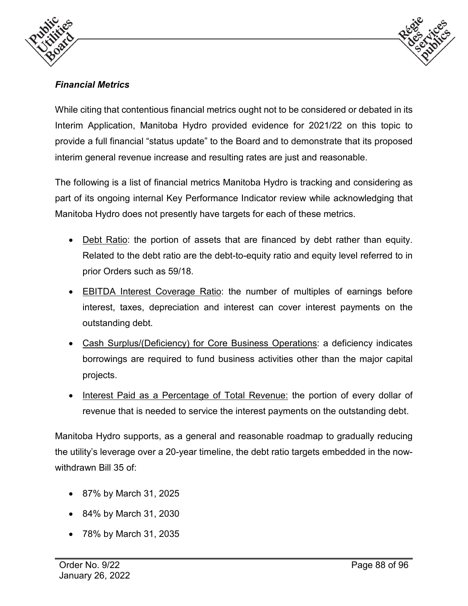



# *Financial Metrics*

While citing that contentious financial metrics ought not to be considered or debated in its Interim Application, Manitoba Hydro provided evidence for 2021/22 on this topic to provide a full financial "status update" to the Board and to demonstrate that its proposed interim general revenue increase and resulting rates are just and reasonable.

The following is a list of financial metrics Manitoba Hydro is tracking and considering as part of its ongoing internal Key Performance Indicator review while acknowledging that Manitoba Hydro does not presently have targets for each of these metrics.

- Debt Ratio: the portion of assets that are financed by debt rather than equity. Related to the debt ratio are the debt-to-equity ratio and equity level referred to in prior Orders such as 59/18.
- EBITDA Interest Coverage Ratio: the number of multiples of earnings before interest, taxes, depreciation and interest can cover interest payments on the outstanding debt.
- Cash Surplus/(Deficiency) for Core Business Operations: a deficiency indicates borrowings are required to fund business activities other than the major capital projects.
- Interest Paid as a Percentage of Total Revenue: the portion of every dollar of revenue that is needed to service the interest payments on the outstanding debt.

Manitoba Hydro supports, as a general and reasonable roadmap to gradually reducing the utility's leverage over a 20-year timeline, the debt ratio targets embedded in the nowwithdrawn Bill 35 of

- 87% by March 31, 2025
- 84% by March 31, 2030
- 78% by March 31, 2035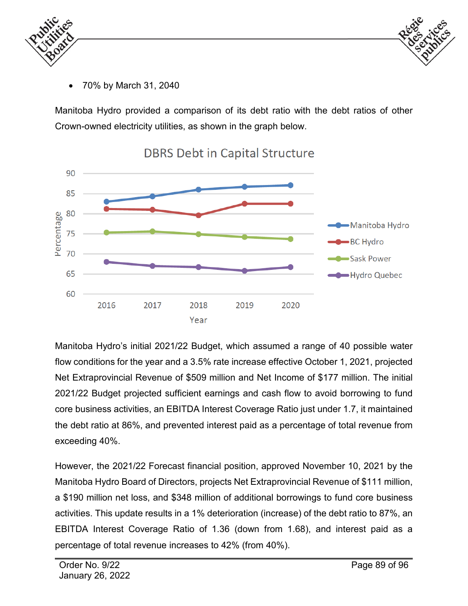



• 70% by March 31, 2040

Manitoba Hydro provided a comparison of its debt ratio with the debt ratios of other Crown-owned electricity utilities, as shown in the graph below.



**DBRS Debt in Capital Structure** 

Manitoba Hydro's initial 2021/22 Budget, which assumed a range of 40 possible water flow conditions for the year and a 3.5% rate increase effective October 1, 2021, projected Net Extraprovincial Revenue of \$509 million and Net Income of \$177 million. The initial 2021/22 Budget projected sufficient earnings and cash flow to avoid borrowing to fund core business activities, an EBITDA Interest Coverage Ratio just under 1.7, it maintained the debt ratio at 86%, and prevented interest paid as a percentage of total revenue from exceeding 40%.

However, the 2021/22 Forecast financial position, approved November 10, 2021 by the Manitoba Hydro Board of Directors, projects Net Extraprovincial Revenue of \$111 million, a \$190 million net loss, and \$348 million of additional borrowings to fund core business activities. This update results in a 1% deterioration (increase) of the debt ratio to 87%, an EBITDA Interest Coverage Ratio of 1.36 (down from 1.68), and interest paid as a percentage of total revenue increases to 42% (from 40%).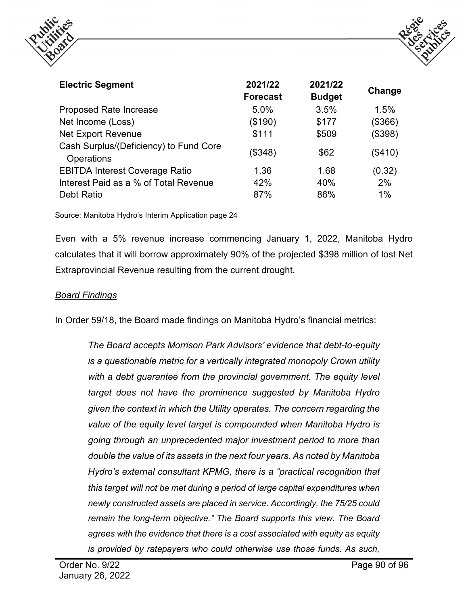



| <b>Electric Segment</b>                              | 2021/22<br><b>Forecast</b> | 2021/22<br><b>Budget</b> | Change  |
|------------------------------------------------------|----------------------------|--------------------------|---------|
| <b>Proposed Rate Increase</b>                        | 5.0%                       | 3.5%                     | 1.5%    |
| Net Income (Loss)                                    | (\$190)                    | \$177                    | (\$366) |
| <b>Net Export Revenue</b>                            | \$111                      | \$509                    | (\$398) |
| Cash Surplus/(Deficiency) to Fund Core<br>Operations | (\$348)                    | \$62                     | (\$410) |
| <b>EBITDA Interest Coverage Ratio</b>                | 1.36                       | 1.68                     | (0.32)  |
| Interest Paid as a % of Total Revenue                | 42%                        | 40%                      | 2%      |
| Debt Ratio                                           | 87%                        | 86%                      | 1%      |

Source: Manitoba Hydro's Interim Application page 24

Even with a 5% revenue increase commencing January 1, 2022, Manitoba Hydro calculates that it will borrow approximately 90% of the projected \$398 million of lost Net Extraprovincial Revenue resulting from the current drought.

#### *Board Findings*

In Order 59/18, the Board made findings on Manitoba Hydro's financial metrics:

*The Board accepts Morrison Park Advisors' evidence that debt-to-equity is a questionable metric for a vertically integrated monopoly Crown utility*  with a debt guarantee from the provincial government. The equity level *target does not have the prominence suggested by Manitoba Hydro given the context in which the Utility operates. The concern regarding the value of the equity level target is compounded when Manitoba Hydro is going through an unprecedented major investment period to more than double the value of its assets in the next four years. As noted by Manitoba Hydro's external consultant KPMG, there is a "practical recognition that this target will not be met during a period of large capital expenditures when newly constructed assets are placed in service. Accordingly, the 75/25 could remain the long-term objective." The Board supports this view. The Board agrees with the evidence that there is a cost associated with equity as equity is provided by ratepayers who could otherwise use those funds. As such,*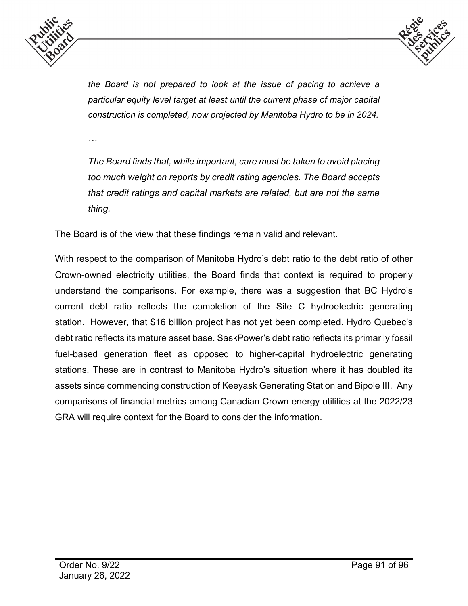



*the Board is not prepared to look at the issue of pacing to achieve a particular equity level target at least until the current phase of major capital construction is completed, now projected by Manitoba Hydro to be in 2024.* 

*…*

*The Board finds that, while important, care must be taken to avoid placing too much weight on reports by credit rating agencies. The Board accepts that credit ratings and capital markets are related, but are not the same thing.*

The Board is of the view that these findings remain valid and relevant.

With respect to the comparison of Manitoba Hydro's debt ratio to the debt ratio of other Crown-owned electricity utilities, the Board finds that context is required to properly understand the comparisons. For example, there was a suggestion that BC Hydro's current debt ratio reflects the completion of the Site C hydroelectric generating station. However, that \$16 billion project has not yet been completed. Hydro Quebec's debt ratio reflects its mature asset base. SaskPower's debt ratio reflects its primarily fossil fuel-based generation fleet as opposed to higher-capital hydroelectric generating stations. These are in contrast to Manitoba Hydro's situation where it has doubled its assets since commencing construction of Keeyask Generating Station and Bipole III. Any comparisons of financial metrics among Canadian Crown energy utilities at the 2022/23 GRA will require context for the Board to consider the information.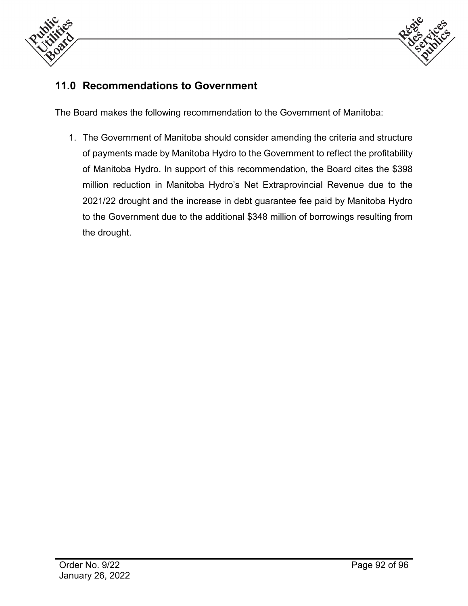



# **11.0 Recommendations to Government**

The Board makes the following recommendation to the Government of Manitoba:

1. The Government of Manitoba should consider amending the criteria and structure of payments made by Manitoba Hydro to the Government to reflect the profitability of Manitoba Hydro. In support of this recommendation, the Board cites the \$398 million reduction in Manitoba Hydro's Net Extraprovincial Revenue due to the 2021/22 drought and the increase in debt guarantee fee paid by Manitoba Hydro to the Government due to the additional \$348 million of borrowings resulting from the drought.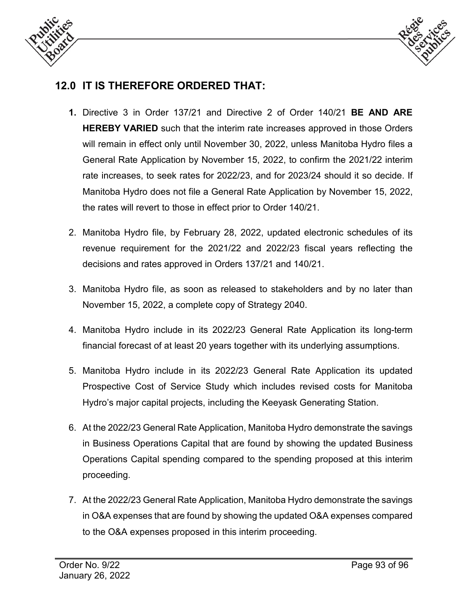



# **12.0 IT IS THEREFORE ORDERED THAT:**

- **1.** Directive 3 in Order 137/21 and Directive 2 of Order 140/21 **BE AND ARE HEREBY VARIED** such that the interim rate increases approved in those Orders will remain in effect only until November 30, 2022, unless Manitoba Hydro files a General Rate Application by November 15, 2022, to confirm the 2021/22 interim rate increases, to seek rates for 2022/23, and for 2023/24 should it so decide. If Manitoba Hydro does not file a General Rate Application by November 15, 2022, the rates will revert to those in effect prior to Order 140/21.
- 2. Manitoba Hydro file, by February 28, 2022, updated electronic schedules of its revenue requirement for the 2021/22 and 2022/23 fiscal years reflecting the decisions and rates approved in Orders 137/21 and 140/21.
- 3. Manitoba Hydro file, as soon as released to stakeholders and by no later than November 15, 2022, a complete copy of Strategy 2040.
- 4. Manitoba Hydro include in its 2022/23 General Rate Application its long-term financial forecast of at least 20 years together with its underlying assumptions.
- 5. Manitoba Hydro include in its 2022/23 General Rate Application its updated Prospective Cost of Service Study which includes revised costs for Manitoba Hydro's major capital projects, including the Keeyask Generating Station.
- 6. At the 2022/23 General Rate Application, Manitoba Hydro demonstrate the savings in Business Operations Capital that are found by showing the updated Business Operations Capital spending compared to the spending proposed at this interim proceeding.
- 7. At the 2022/23 General Rate Application, Manitoba Hydro demonstrate the savings in O&A expenses that are found by showing the updated O&A expenses compared to the O&A expenses proposed in this interim proceeding.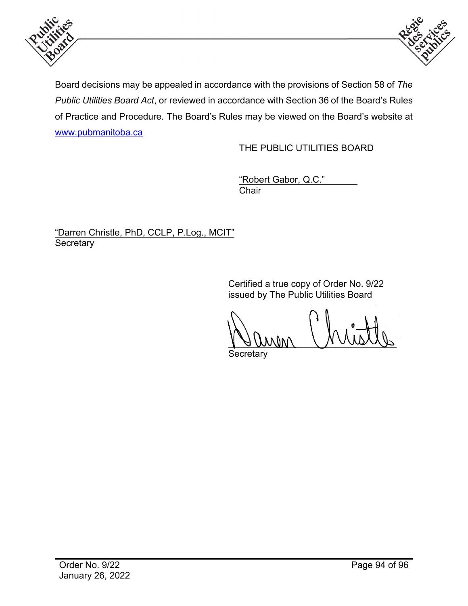



Board decisions may be appealed in accordance with the provisions of Section 58 of *The Public Utilities Board Act*, or reviewed in accordance with Section 36 of the Board's Rules of Practice and Procedure. The Board's Rules may be viewed on the Board's website at [www.pubmanitoba.ca](http://www.pubmanitoba.ca/)

THE PUBLIC UTILITIES BOARD

"Robert Gabor, Q.C." **Chair** 

"Darren Christle, PhD, CCLP, P.Log., MCIT" **Secretary** 

> Certified a true copy of Order No. 9/22 issued by The Public Utilities Board

 $\sqrt{1000000}$ 

**Secretary**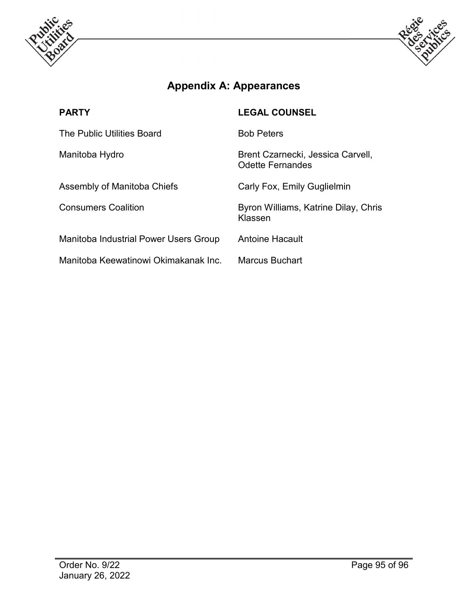



# **Appendix A: Appearances**

| <b>PARTY</b>                          | <b>LEGAL COUNSEL</b>                                         |
|---------------------------------------|--------------------------------------------------------------|
| The Public Utilities Board            | <b>Bob Peters</b>                                            |
| Manitoba Hydro                        | Brent Czarnecki, Jessica Carvell,<br><b>Odette Fernandes</b> |
| Assembly of Manitoba Chiefs           | Carly Fox, Emily Guglielmin                                  |
| <b>Consumers Coalition</b>            | Byron Williams, Katrine Dilay, Chris<br>Klassen              |
| Manitoba Industrial Power Users Group | Antoine Hacault                                              |
| Manitoba Keewatinowi Okimakanak Inc.  | Marcus Buchart                                               |